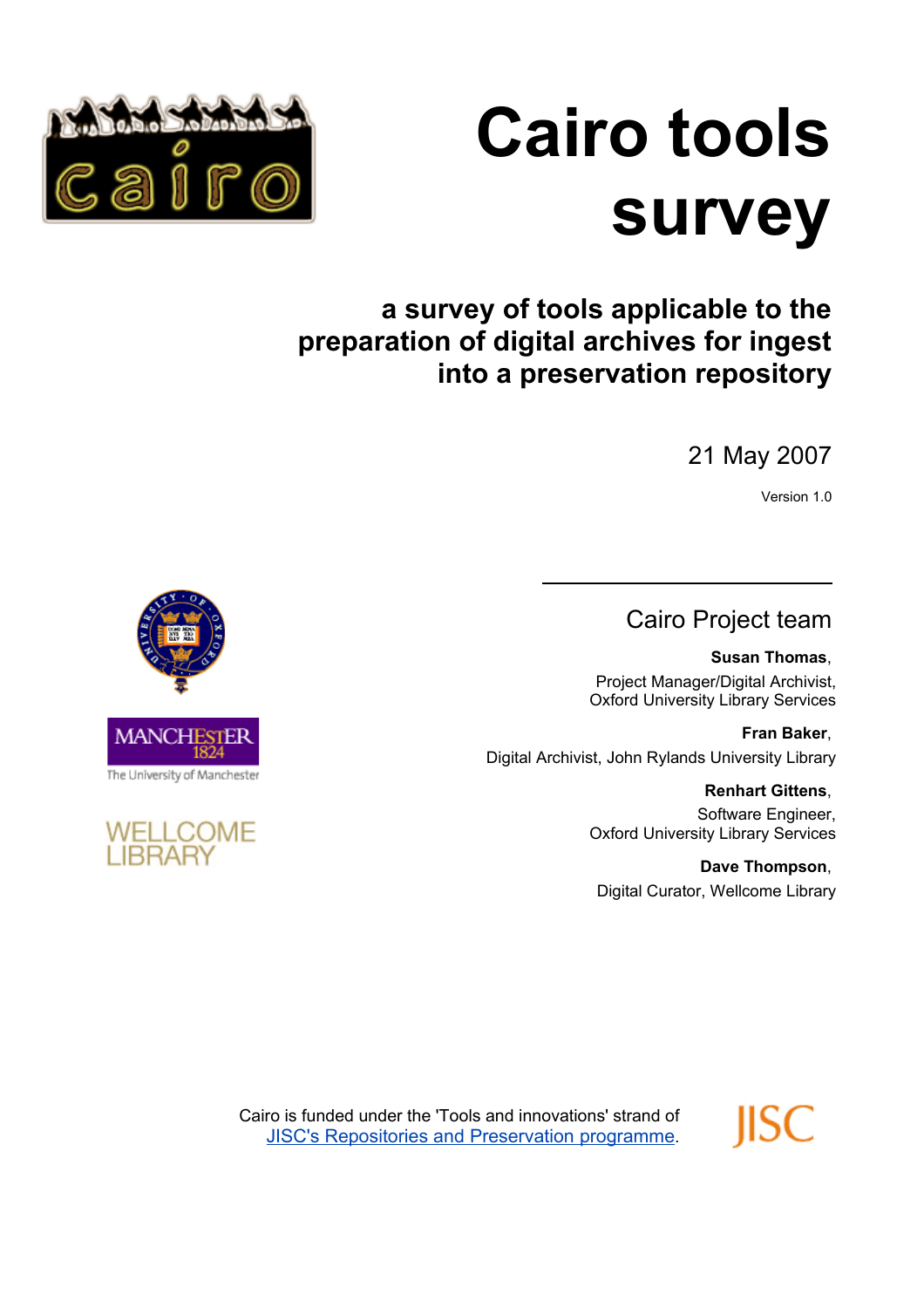



# **a survey of tools applicable to the preparation of digital archives for ingest into a preservation repository**

 $\overline{a}$ 

# 21 May 2007

Version 1.0

# Cairo Project team

**Susan Thomas**, Project Manager/Digital Archivist, Oxford University Library Services

**Fran Baker**, Digital Archivist, John Rylands University Library

> **Renhart Gittens**, Software Engineer, Oxford University Library Services

**Dave Thompson**, Digital Curator, Wellcome Library

IISC



**WELLCOME LIBRARY** 

> Cairo is funded under the 'Tools and innovations' strand of [JISC's Repositories and Preservation programme](http://www.jisc.ac.uk/whatwedo/programmes/programme_rep_pres.aspx).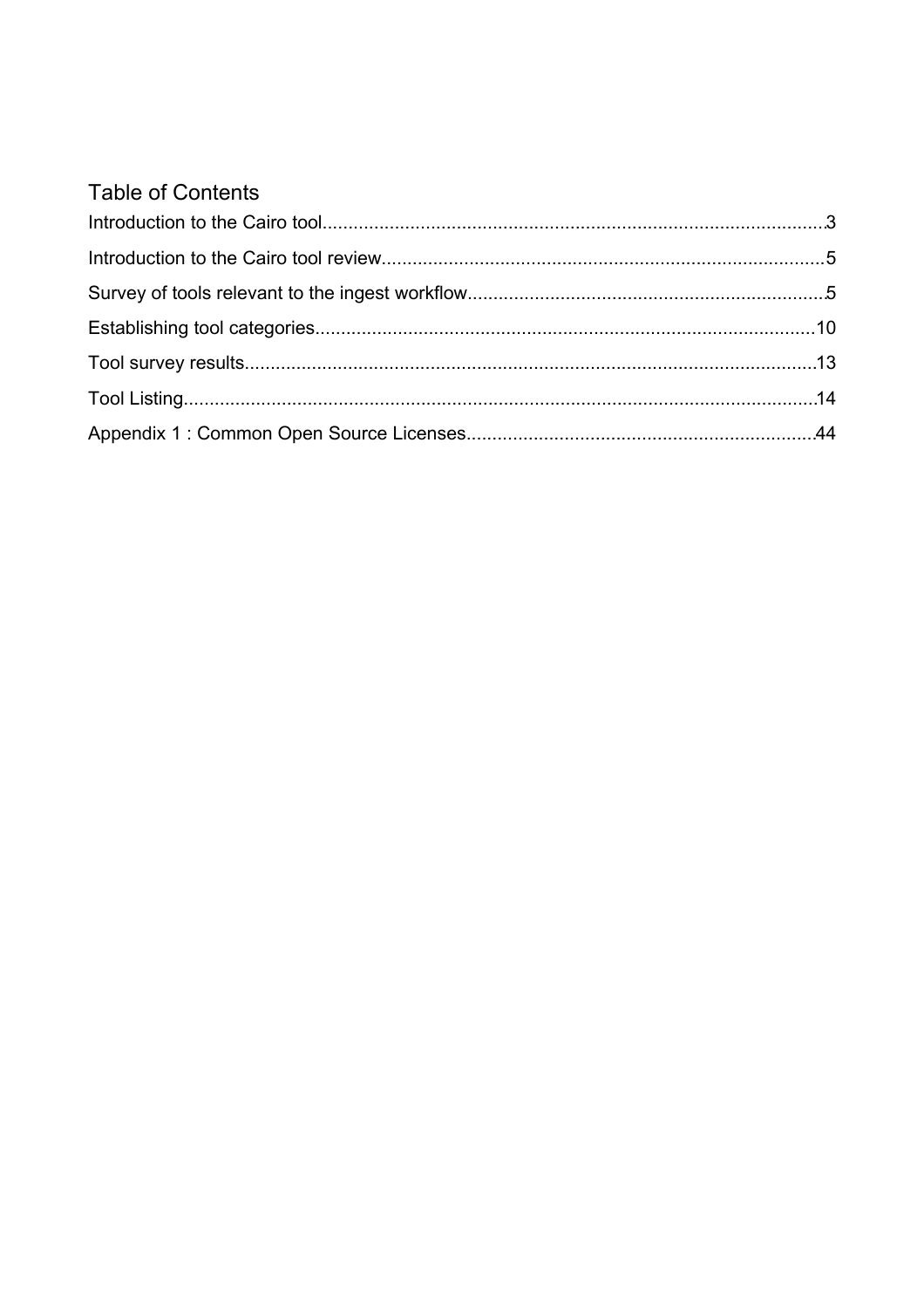# **Table of Contents**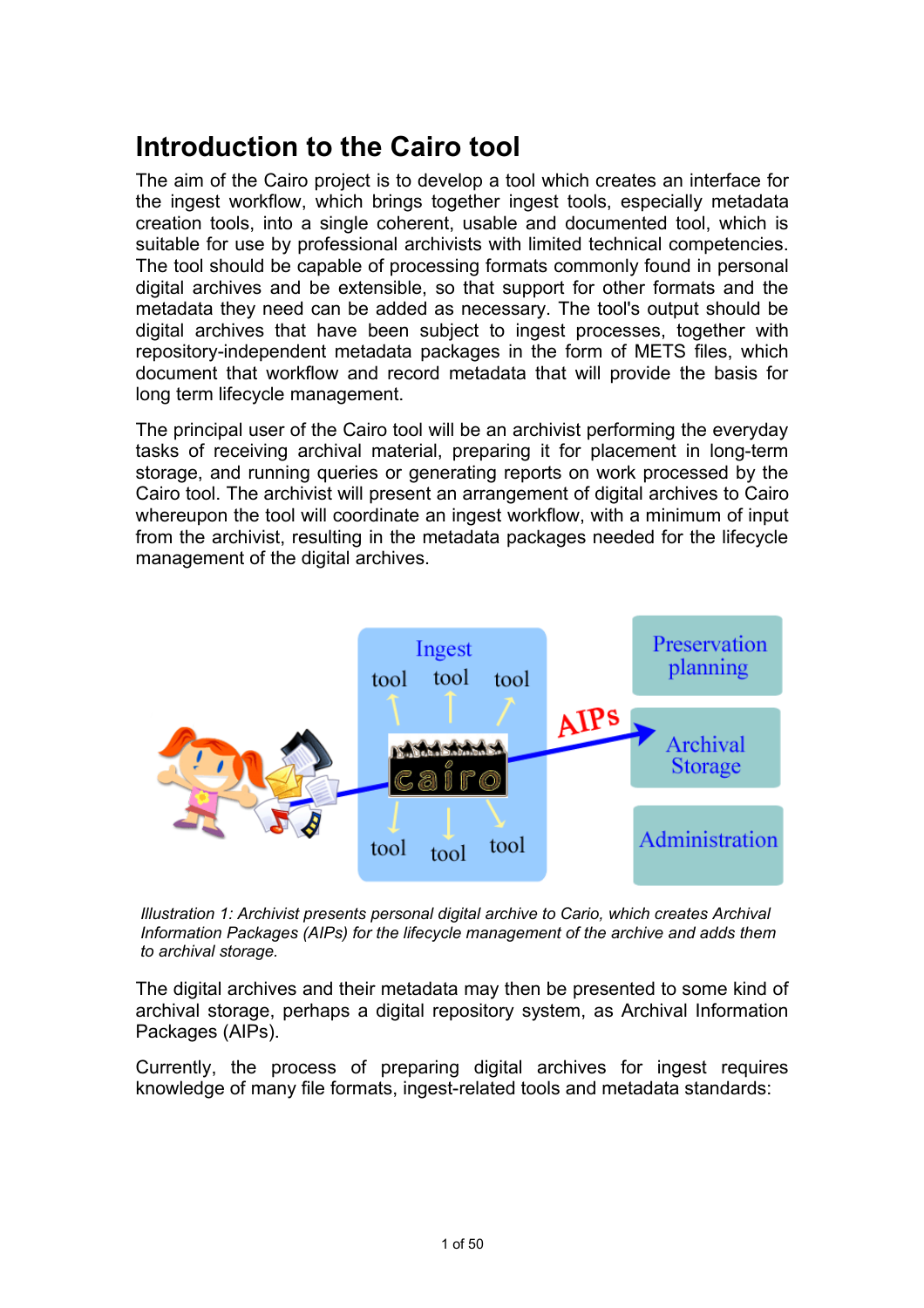# **Introduction to the Cairo tool**

The aim of the Cairo project is to develop a tool which creates an interface for the ingest workflow, which brings together ingest tools, especially metadata creation tools, into a single coherent, usable and documented tool, which is suitable for use by professional archivists with limited technical competencies. The tool should be capable of processing formats commonly found in personal digital archives and be extensible, so that support for other formats and the metadata they need can be added as necessary. The tool's output should be digital archives that have been subject to ingest processes, together with repository-independent metadata packages in the form of METS files, which document that workflow and record metadata that will provide the basis for long term lifecycle management.

The principal user of the Cairo tool will be an archivist performing the everyday tasks of receiving archival material, preparing it for placement in long-term storage, and running queries or generating reports on work processed by the Cairo tool. The archivist will present an arrangement of digital archives to Cairo whereupon the tool will coordinate an ingest workflow, with a minimum of input from the archivist, resulting in the metadata packages needed for the lifecycle management of the digital archives.



*Illustration 1: Archivist presents personal digital archive to Cario, which creates Archival Information Packages (AIPs) for the lifecycle management of the archive and adds them to archival storage.*

The digital archives and their metadata may then be presented to some kind of archival storage, perhaps a digital repository system, as Archival Information Packages (AIPs).

Currently, the process of preparing digital archives for ingest requires knowledge of many file formats, ingest-related tools and metadata standards: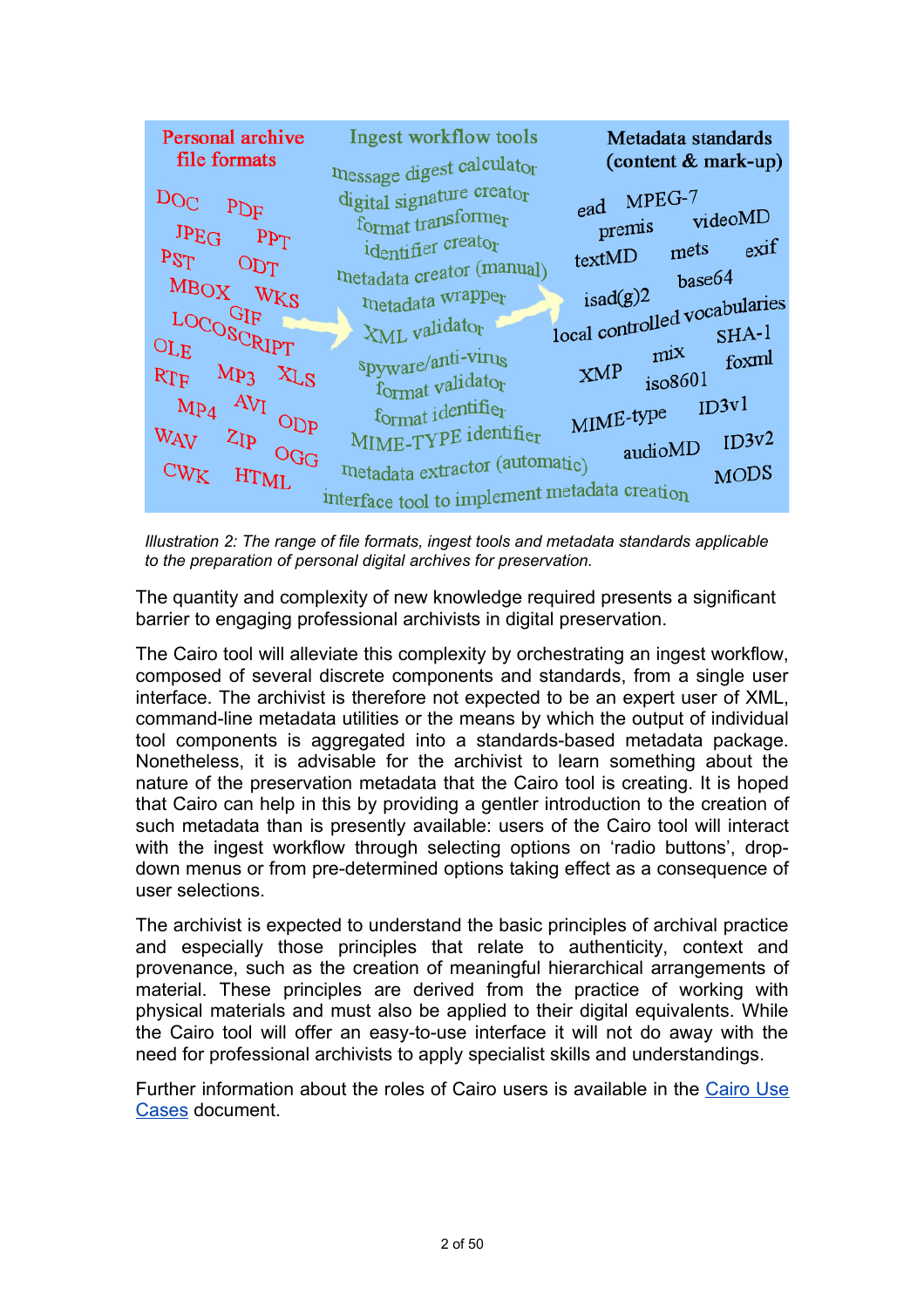

*Illustration 2: The range of file formats, ingest tools and metadata standards applicable to the preparation of personal digital archives for preservation.*

The quantity and complexity of new knowledge required presents a significant barrier to engaging professional archivists in digital preservation.

The Cairo tool will alleviate this complexity by orchestrating an ingest workflow, composed of several discrete components and standards, from a single user interface. The archivist is therefore not expected to be an expert user of XML, command-line metadata utilities or the means by which the output of individual tool components is aggregated into a standards-based metadata package. Nonetheless, it is advisable for the archivist to learn something about the nature of the preservation metadata that the Cairo tool is creating. It is hoped that Cairo can help in this by providing a gentler introduction to the creation of such metadata than is presently available: users of the Cairo tool will interact with the ingest workflow through selecting options on 'radio buttons', dropdown menus or from pre-determined options taking effect as a consequence of user selections.

The archivist is expected to understand the basic principles of archival practice and especially those principles that relate to authenticity, context and provenance, such as the creation of meaningful hierarchical arrangements of material. These principles are derived from the practice of working with physical materials and must also be applied to their digital equivalents. While the Cairo tool will offer an easy-to-use interface it will not do away with the need for professional archivists to apply specialist skills and understandings.

Further information about the roles of Cairo users is available in the [Cairo](http://cairo.paradigm.ac.uk/projectdocs/) Use [Cases](http://cairo.paradigm.ac.uk/projectdocs/) document.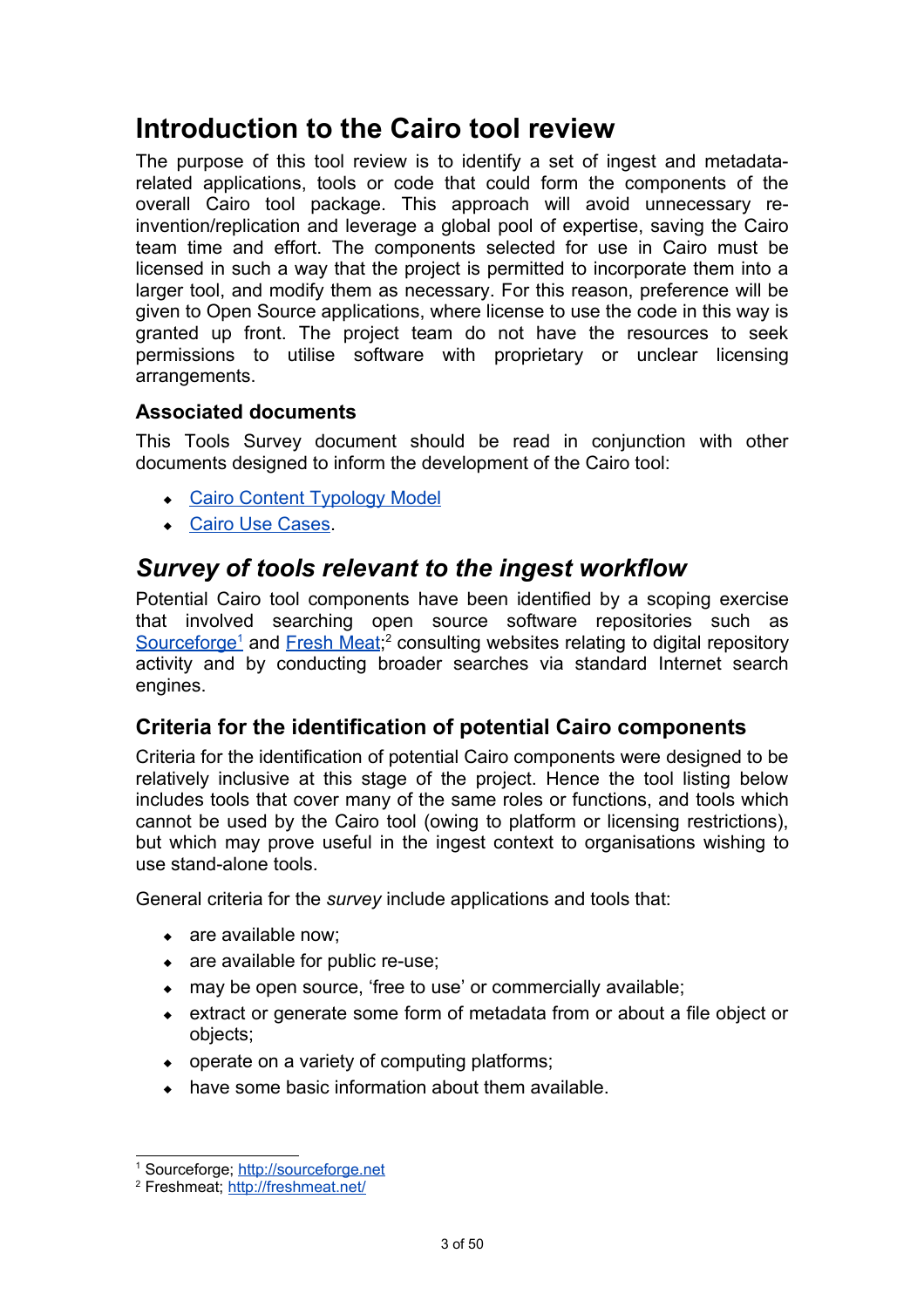# **Introduction to the Cairo tool review**

The purpose of this tool review is to identify a set of ingest and metadatarelated applications, tools or code that could form the components of the overall Cairo tool package. This approach will avoid unnecessary reinvention/replication and leverage a global pool of expertise, saving the Cairo team time and effort. The components selected for use in Cairo must be licensed in such a way that the project is permitted to incorporate them into a larger tool, and modify them as necessary. For this reason, preference will be given to Open Source applications, where license to use the code in this way is granted up front. The project team do not have the resources to seek permissions to utilise software with proprietary or unclear licensing arrangements.

### **Associated documents**

This Tools Survey document should be read in conjunction with other documents designed to inform the development of the Cairo tool:

- [Cairo Content Typology Model](http://cairo.paradigm.ac.uk/projectdocs/)
- [Cairo Use Cases.](http://cairo.paradigm.ac.uk/projectdocs/)

# *Survey of tools relevant to the ingest workflow*

Potential Cairo tool components have been identified by a scoping exercise that involved searching open source software repositories such as Sourceforge<sup>1</sup>and [Fresh](http://freshmeat.net/) Meat;<sup>[2](#page-4-1)</sup> consulting websites relating to digital repository activity and by conducting broader searches via standard Internet search engines.

# **Criteria for the identification of potential Cairo components**

Criteria for the identification of potential Cairo components were designed to be relatively inclusive at this stage of the project. Hence the tool listing below includes tools that cover many of the same roles or functions, and tools which cannot be used by the Cairo tool (owing to platform or licensing restrictions), but which may prove useful in the ingest context to organisations wishing to use stand-alone tools.

General criteria for the *survey* include applications and tools that:

- are available now;
- are available for public re-use:
- may be open source, 'free to use' or commercially available;
- extract or generate some form of metadata from or about a file object or objects;
- operate on a variety of computing platforms;
- have some basic information about them available.

<span id="page-4-0"></span><sup>&</sup>lt;sup>1</sup> Sourceforge; [http://sourceforge.net](http://sourceforge.net/)

<span id="page-4-1"></span><sup>&</sup>lt;sup>2</sup> Freshmeat;<http://freshmeat.net/>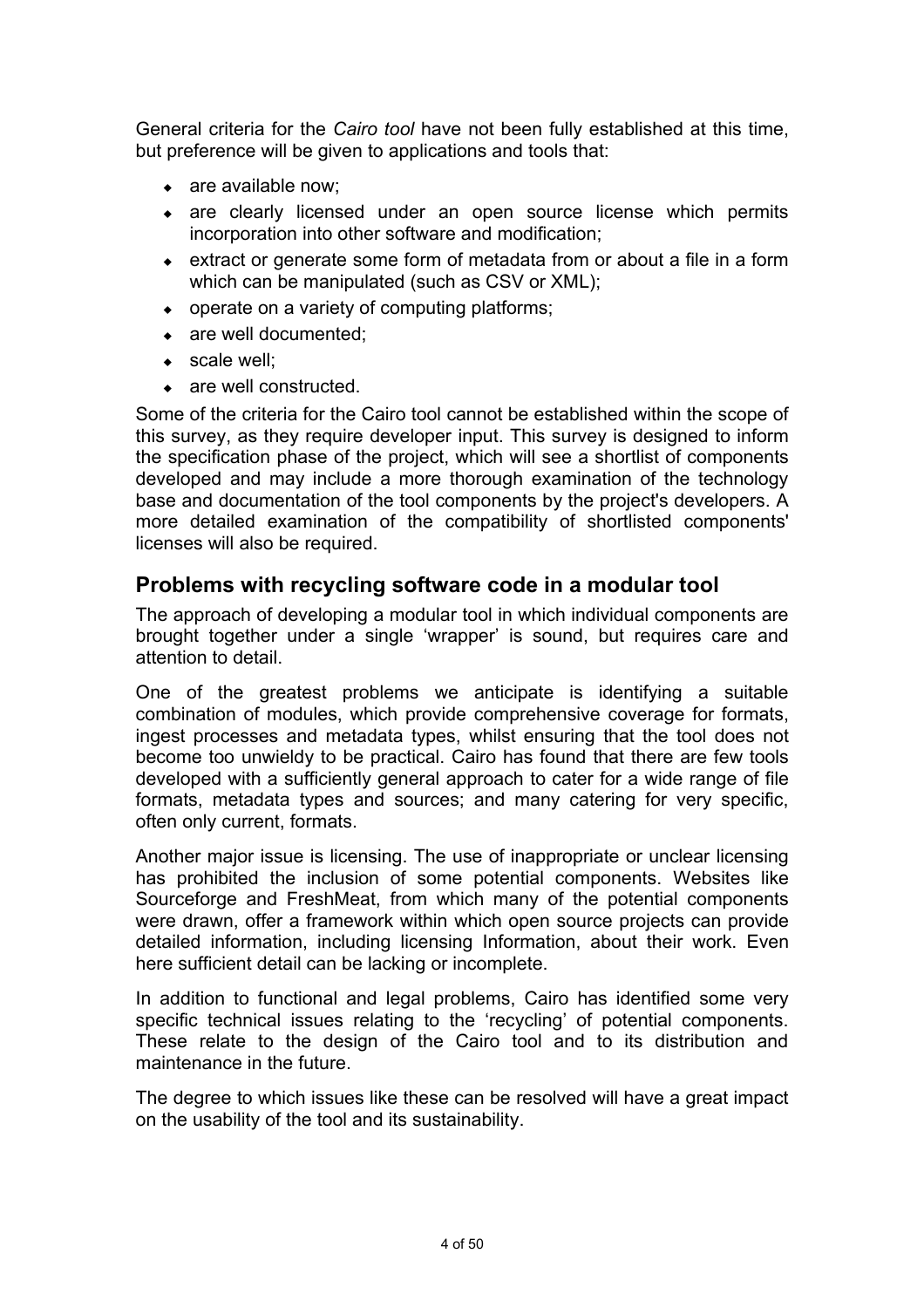General criteria for the *Cairo tool* have not been fully established at this time, but preference will be given to applications and tools that:

- are available now;
- are clearly licensed under an open source license which permits incorporation into other software and modification;
- extract or generate some form of metadata from or about a file in a form which can be manipulated (such as CSV or XML);
- operate on a variety of computing platforms;
- are well documented:
- ◆ scale well:
- are well constructed.

Some of the criteria for the Cairo tool cannot be established within the scope of this survey, as they require developer input. This survey is designed to inform the specification phase of the project, which will see a shortlist of components developed and may include a more thorough examination of the technology base and documentation of the tool components by the project's developers. A more detailed examination of the compatibility of shortlisted components' licenses will also be required.

## **Problems with recycling software code in a modular tool**

The approach of developing a modular tool in which individual components are brought together under a single 'wrapper' is sound, but requires care and attention to detail.

One of the greatest problems we anticipate is identifying a suitable combination of modules, which provide comprehensive coverage for formats, ingest processes and metadata types, whilst ensuring that the tool does not become too unwieldy to be practical. Cairo has found that there are few tools developed with a sufficiently general approach to cater for a wide range of file formats, metadata types and sources; and many catering for very specific, often only current, formats.

Another major issue is licensing. The use of inappropriate or unclear licensing has prohibited the inclusion of some potential components. Websites like Sourceforge and FreshMeat, from which many of the potential components were drawn, offer a framework within which open source projects can provide detailed information, including licensing Information, about their work. Even here sufficient detail can be lacking or incomplete.

In addition to functional and legal problems, Cairo has identified some very specific technical issues relating to the 'recycling' of potential components. These relate to the design of the Cairo tool and to its distribution and maintenance in the future.

The degree to which issues like these can be resolved will have a great impact on the usability of the tool and its sustainability.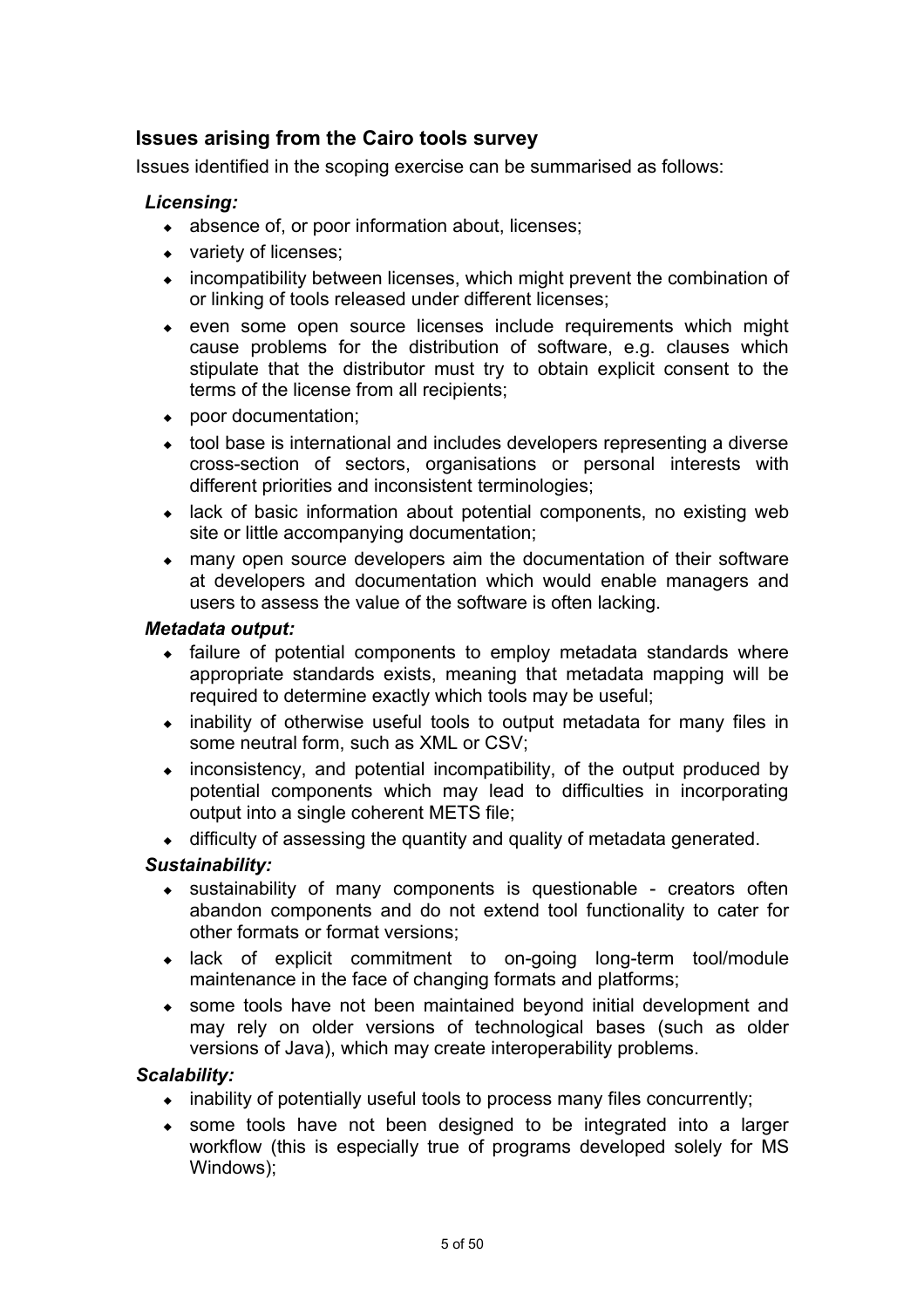# **Issues arising from the Cairo tools survey**

Issues identified in the scoping exercise can be summarised as follows:

#### *Licensing:*

- absence of, or poor information about, licenses;
- variety of licenses;
- incompatibility between licenses, which might prevent the combination of or linking of tools released under different licenses;
- even some open source licenses include requirements which might cause problems for the distribution of software, e.g. clauses which stipulate that the distributor must try to obtain explicit consent to the terms of the license from all recipients;
- poor documentation;
- tool base is international and includes developers representing a diverse cross-section of sectors, organisations or personal interests with different priorities and inconsistent terminologies;
- lack of basic information about potential components, no existing web site or little accompanying documentation;
- many open source developers aim the documentation of their software at developers and documentation which would enable managers and users to assess the value of the software is often lacking.

#### *Metadata output:*

- failure of potential components to employ metadata standards where appropriate standards exists, meaning that metadata mapping will be required to determine exactly which tools may be useful;
- inability of otherwise useful tools to output metadata for many files in some neutral form, such as XML or CSV;
- inconsistency, and potential incompatibility, of the output produced by potential components which may lead to difficulties in incorporating output into a single coherent METS file;
- difficulty of assessing the quantity and quality of metadata generated.

#### *Sustainability:*

- sustainability of many components is questionable creators often abandon components and do not extend tool functionality to cater for other formats or format versions;
- lack of explicit commitment to on-going long-term tool/module maintenance in the face of changing formats and platforms;
- some tools have not been maintained beyond initial development and may rely on older versions of technological bases (such as older versions of Java), which may create interoperability problems.

#### *Scalability:*

- $\bullet$  inability of potentially useful tools to process many files concurrently;
- some tools have not been designed to be integrated into a larger workflow (this is especially true of programs developed solely for MS Windows);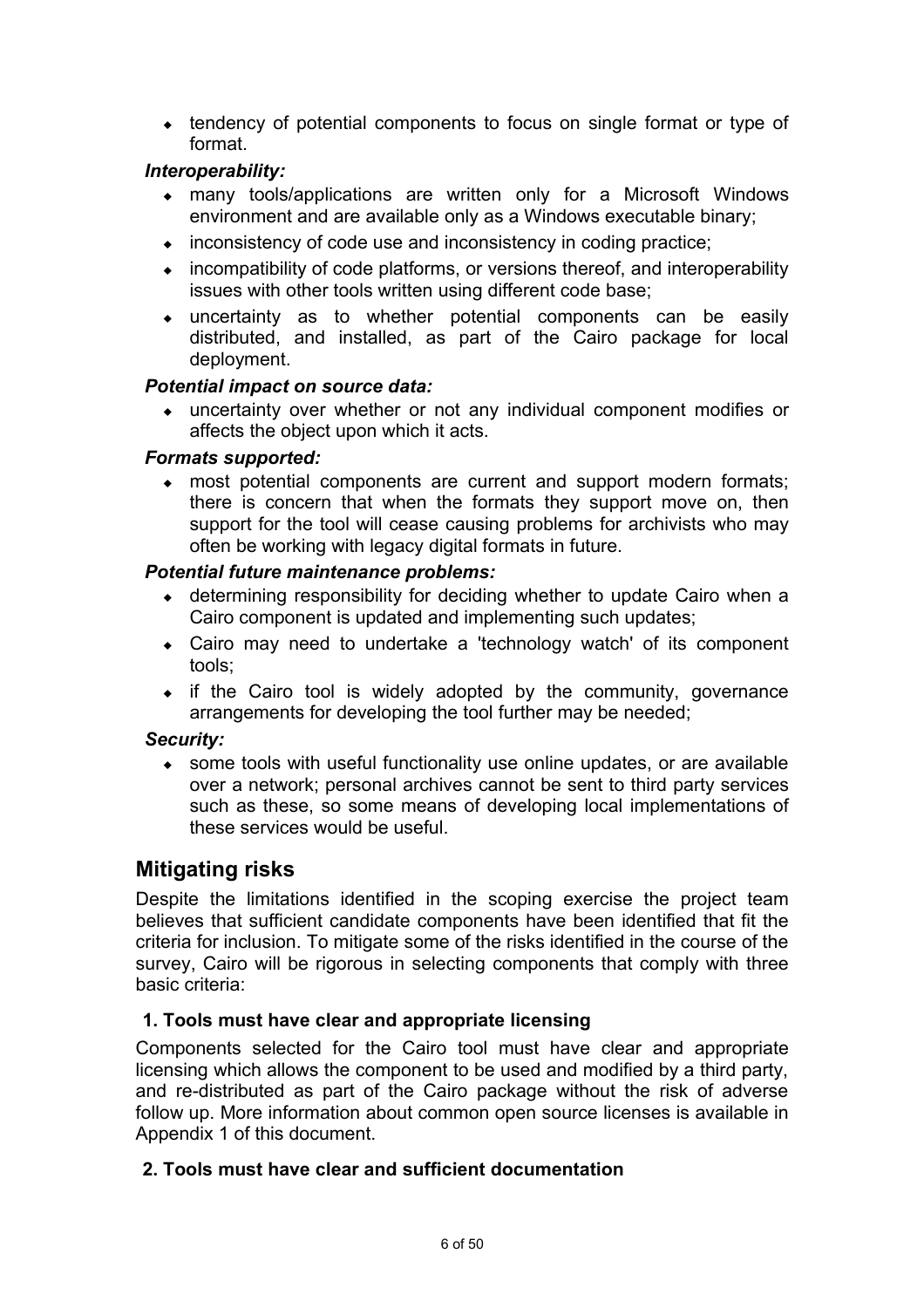• tendency of potential components to focus on single format or type of format.

### *Interoperability:*

- many tools/applications are written only for a Microsoft Windows environment and are available only as a Windows executable binary;
- $\bullet$  inconsistency of code use and inconsistency in coding practice;
- incompatibility of code platforms, or versions thereof, and interoperability issues with other tools written using different code base;
- uncertainty as to whether potential components can be easily distributed, and installed, as part of the Cairo package for local deployment.

#### *Potential impact on source data:*

 uncertainty over whether or not any individual component modifies or affects the object upon which it acts.

#### *Formats supported:*

 most potential components are current and support modern formats; there is concern that when the formats they support move on, then support for the tool will cease causing problems for archivists who may often be working with legacy digital formats in future.

#### *Potential future maintenance problems:*

- determining responsibility for deciding whether to update Cairo when a Cairo component is updated and implementing such updates;
- Cairo may need to undertake a 'technology watch' of its component tools;
- $\bullet$  if the Cairo tool is widely adopted by the community, governance arrangements for developing the tool further may be needed;

#### *Security:*

 some tools with useful functionality use online updates, or are available over a network; personal archives cannot be sent to third party services such as these, so some means of developing local implementations of these services would be useful.

## **Mitigating risks**

Despite the limitations identified in the scoping exercise the project team believes that sufficient candidate components have been identified that fit the criteria for inclusion. To mitigate some of the risks identified in the course of the survey, Cairo will be rigorous in selecting components that comply with three basic criteria:

#### **1. Tools must have clear and appropriate licensing**

Components selected for the Cairo tool must have clear and appropriate licensing which allows the component to be used and modified by a third party, and re-distributed as part of the Cairo package without the risk of adverse follow up. More information about common open source licenses is available in Appendix 1 of this document.

#### **2. Tools must have clear and sufficient documentation**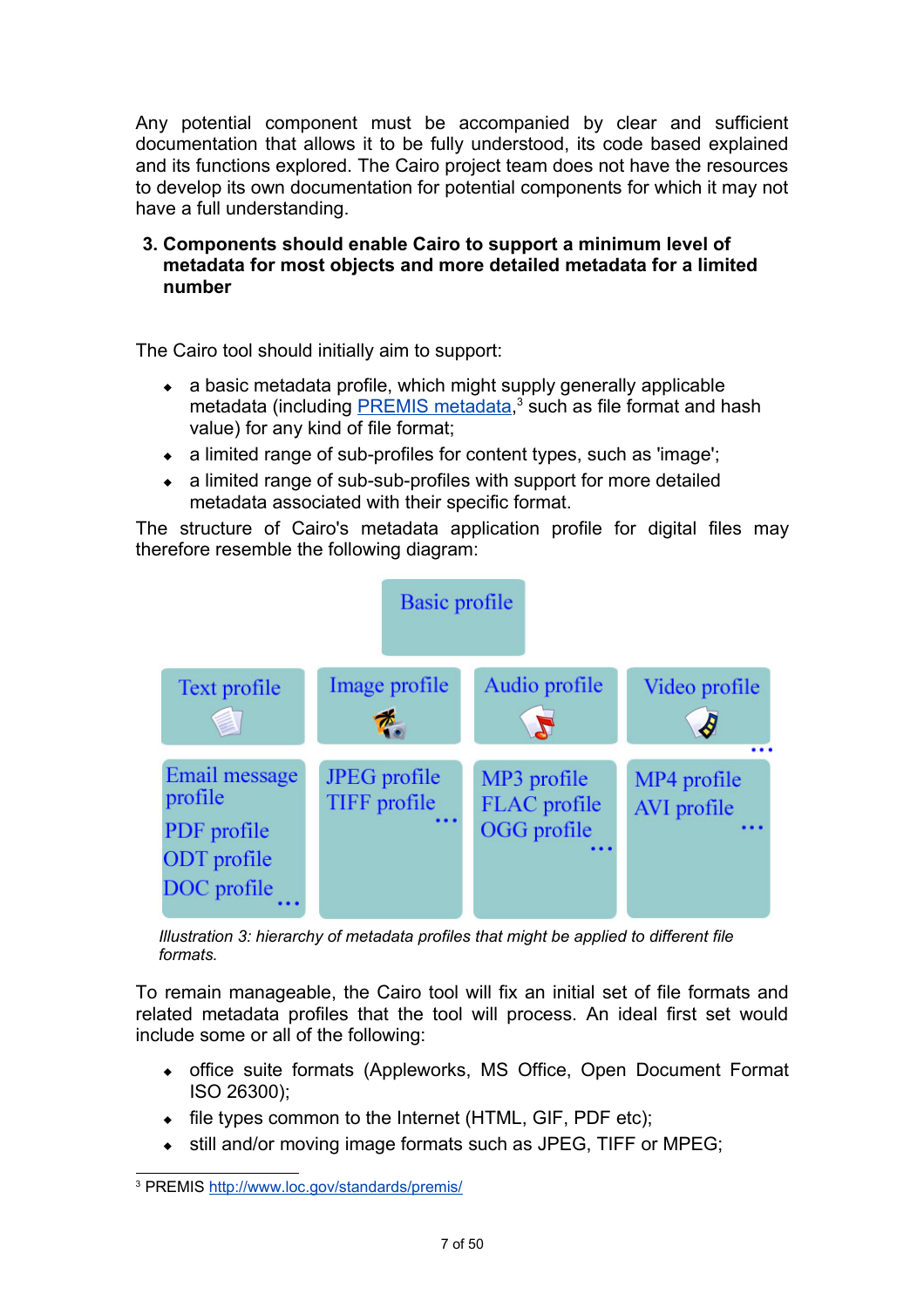Any potential component must be accompanied by clear and sufficient documentation that allows it to be fully understood, its code based explained and its functions explored. The Cairo project team does not have the resources to develop its own documentation for potential components for which it may not have a full understanding.

#### **3. Components should enable Cairo to support a minimum level of metadata for most objects and more detailed metadata for a limited number**

The Cairo tool should initially aim to support:

- a basic metadata profile, which might supply generally applicable metadata (including **PREMIS** metadata,<sup>[3](#page-8-0)</sup> such as file format and hash value) for any kind of file format;
- a limited range of sub-profiles for content types, such as 'image';
- a limited range of sub-sub-profiles with support for more detailed metadata associated with their specific format.

The structure of Cairo's metadata application profile for digital files may therefore resemble the following diagram:



*Illustration 3: hierarchy of metadata profiles that might be applied to different file formats.*

To remain manageable, the Cairo tool will fix an initial set of file formats and related metadata profiles that the tool will process. An ideal first set would include some or all of the following:

- office suite formats (Appleworks, MS Office, Open Document Format ISO 26300);
- file types common to the Internet (HTML, GIF, PDF etc);
- $\bullet$  still and/or moving image formats such as JPEG, TIFF or MPEG;

<span id="page-8-0"></span><sup>&</sup>lt;sup>3</sup> PREMIS<http://www.loc.gov/standards/premis/>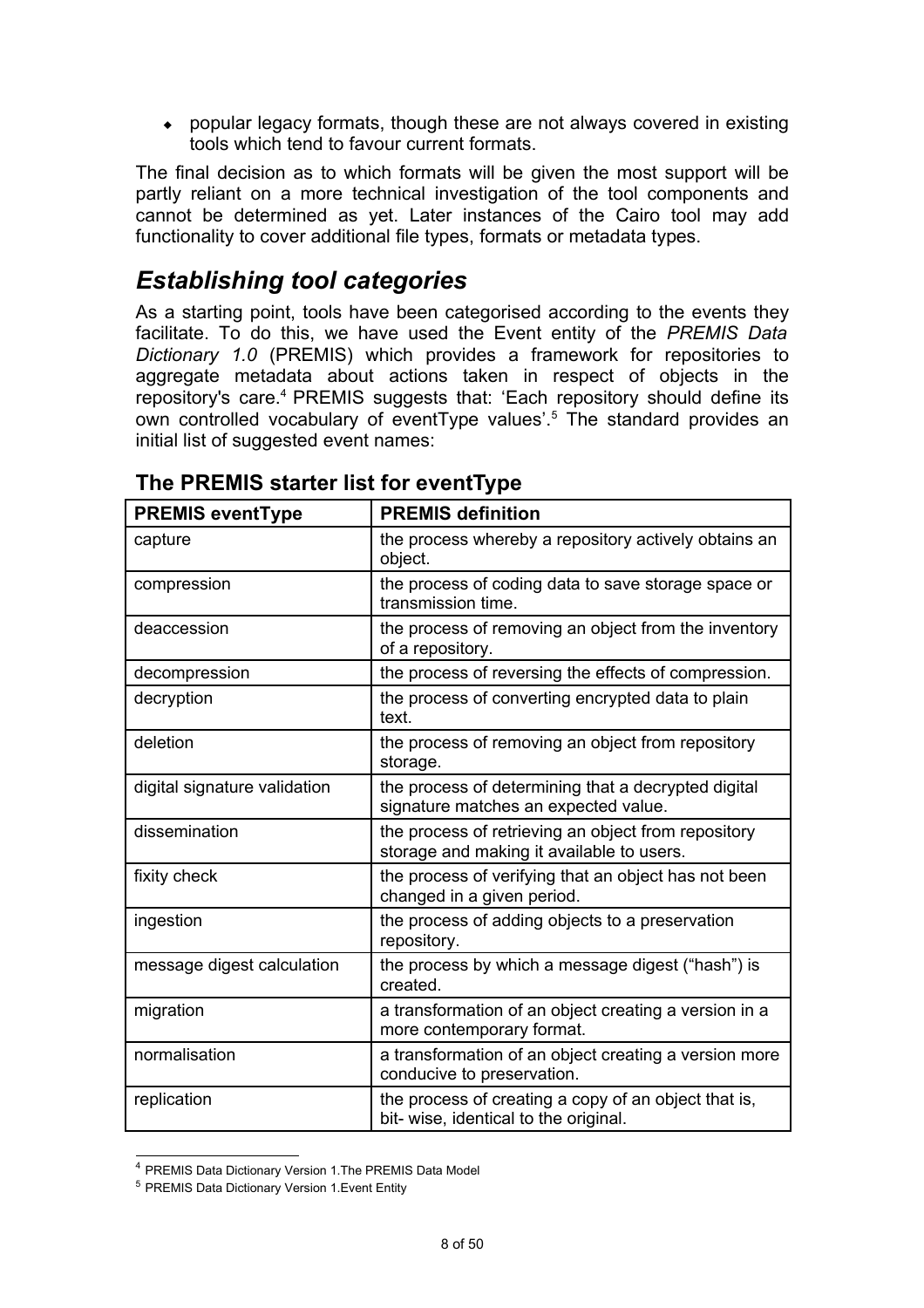popular legacy formats, though these are not always covered in existing tools which tend to favour current formats.

The final decision as to which formats will be given the most support will be partly reliant on a more technical investigation of the tool components and cannot be determined as yet. Later instances of the Cairo tool may add functionality to cover additional file types, formats or metadata types.

# *Establishing tool categories*

As a starting point, tools have been categorised according to the events they facilitate. To do this, we have used the Event entity of the *PREMIS Data Dictionary 1.0* (PREMIS) which provides a framework for repositories to aggregate metadata about actions taken in respect of objects in the repository's care.<sup>[4](#page-9-0)</sup> PREMIS suggests that: 'Each repository should define its own controlled vocabulary of eventType values'.<sup>[5](#page-9-1)</sup> The standard provides an initial list of suggested event names:

| <b>PREMIS eventType</b>      | <b>PREMIS definition</b>                                                                         |
|------------------------------|--------------------------------------------------------------------------------------------------|
| capture                      | the process whereby a repository actively obtains an<br>object.                                  |
| compression                  | the process of coding data to save storage space or<br>transmission time.                        |
| deaccession                  | the process of removing an object from the inventory<br>of a repository.                         |
| decompression                | the process of reversing the effects of compression.                                             |
| decryption                   | the process of converting encrypted data to plain<br>text.                                       |
| deletion                     | the process of removing an object from repository<br>storage.                                    |
| digital signature validation | the process of determining that a decrypted digital<br>signature matches an expected value.      |
| dissemination                | the process of retrieving an object from repository<br>storage and making it available to users. |
| fixity check                 | the process of verifying that an object has not been<br>changed in a given period.               |
| ingestion                    | the process of adding objects to a preservation<br>repository.                                   |
| message digest calculation   | the process by which a message digest ("hash") is<br>created.                                    |
| migration                    | a transformation of an object creating a version in a<br>more contemporary format.               |
| normalisation                | a transformation of an object creating a version more<br>conducive to preservation.              |
| replication                  | the process of creating a copy of an object that is,<br>bit- wise, identical to the original.    |

# **The PREMIS starter list for eventType**

<span id="page-9-0"></span><sup>4</sup> PREMIS Data Dictionary Version 1.The PREMIS Data Model

<span id="page-9-1"></span><sup>5</sup> PREMIS Data Dictionary Version 1.Event Entity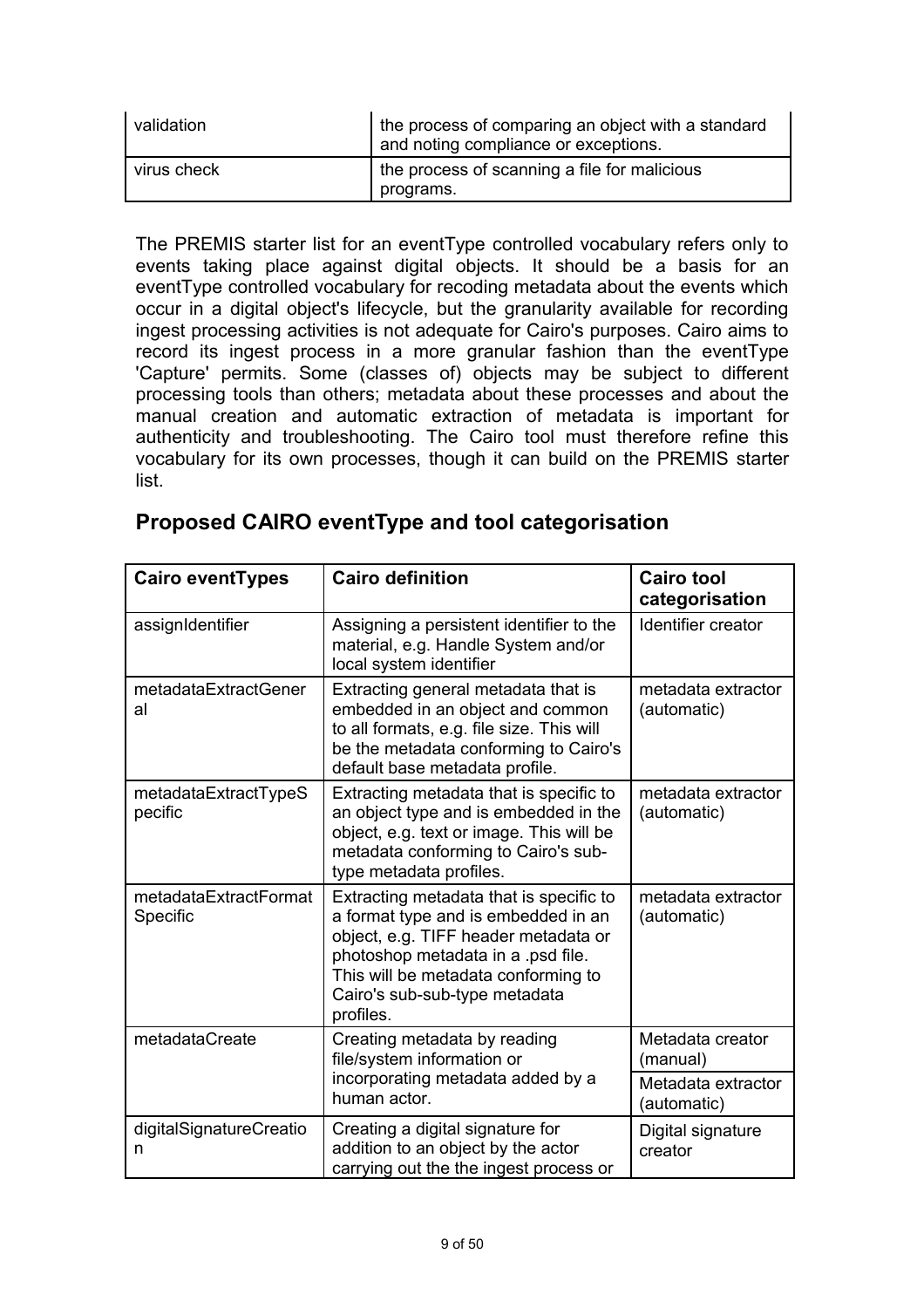| validation  | the process of comparing an object with a standard<br>and noting compliance or exceptions. |
|-------------|--------------------------------------------------------------------------------------------|
| virus check | the process of scanning a file for malicious<br>programs.                                  |

The PREMIS starter list for an eventType controlled vocabulary refers only to events taking place against digital objects. It should be a basis for an eventType controlled vocabulary for recoding metadata about the events which occur in a digital object's lifecycle, but the granularity available for recording ingest processing activities is not adequate for Cairo's purposes. Cairo aims to record its ingest process in a more granular fashion than the eventType 'Capture' permits. Some (classes of) objects may be subject to different processing tools than others; metadata about these processes and about the manual creation and automatic extraction of metadata is important for authenticity and troubleshooting. The Cairo tool must therefore refine this vocabulary for its own processes, though it can build on the PREMIS starter list.

| <b>Cairo eventTypes</b>           | <b>Cairo definition</b>                                                                                                                                                                                                                           | <b>Cairo tool</b><br>categorisation |
|-----------------------------------|---------------------------------------------------------------------------------------------------------------------------------------------------------------------------------------------------------------------------------------------------|-------------------------------------|
| assignIdentifier                  | Assigning a persistent identifier to the<br>material, e.g. Handle System and/or<br>local system identifier                                                                                                                                        | Identifier creator                  |
| metadataExtractGener<br>al        | Extracting general metadata that is<br>embedded in an object and common<br>to all formats, e.g. file size. This will<br>be the metadata conforming to Cairo's<br>default base metadata profile.                                                   | metadata extractor<br>(automatic)   |
| metadataExtractTypeS<br>pecific   | Extracting metadata that is specific to<br>an object type and is embedded in the<br>object, e.g. text or image. This will be<br>metadata conforming to Cairo's sub-<br>type metadata profiles.                                                    | metadata extractor<br>(automatic)   |
| metadataExtractFormat<br>Specific | Extracting metadata that is specific to<br>a format type and is embedded in an<br>object, e.g. TIFF header metadata or<br>photoshop metadata in a .psd file.<br>This will be metadata conforming to<br>Cairo's sub-sub-type metadata<br>profiles. | metadata extractor<br>(automatic)   |
| metadataCreate                    | Creating metadata by reading<br>file/system information or                                                                                                                                                                                        | Metadata creator<br>(manual)        |
|                                   | incorporating metadata added by a<br>human actor.                                                                                                                                                                                                 | Metadata extractor<br>(automatic)   |
| digitalSignatureCreatio<br>n      | Creating a digital signature for<br>addition to an object by the actor<br>carrying out the the ingest process or                                                                                                                                  | Digital signature<br>creator        |

# **Proposed CAIRO eventType and tool categorisation**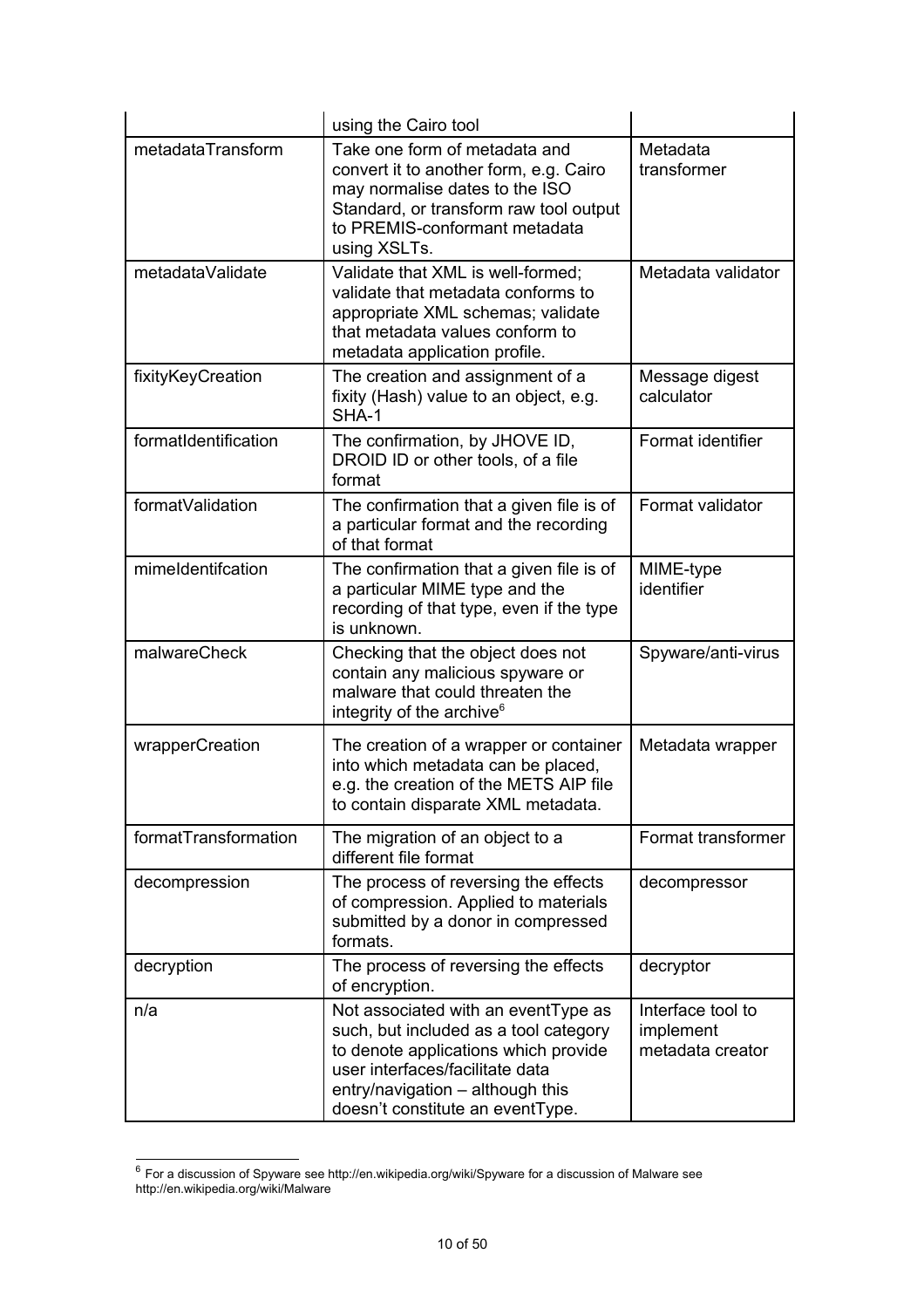|                      | using the Cairo tool                                                                                                                                                                                                            |                                                    |
|----------------------|---------------------------------------------------------------------------------------------------------------------------------------------------------------------------------------------------------------------------------|----------------------------------------------------|
| metadataTransform    | Take one form of metadata and<br>convert it to another form, e.g. Cairo<br>may normalise dates to the ISO<br>Standard, or transform raw tool output<br>to PREMIS-conformant metadata<br>using XSLTs.                            | Metadata<br>transformer                            |
| metadataValidate     | Validate that XML is well-formed;<br>validate that metadata conforms to<br>appropriate XML schemas; validate<br>that metadata values conform to<br>metadata application profile.                                                | Metadata validator                                 |
| fixityKeyCreation    | The creation and assignment of a<br>fixity (Hash) value to an object, e.g.<br>SHA-1                                                                                                                                             | Message digest<br>calculator                       |
| formatIdentification | The confirmation, by JHOVE ID,<br>DROID ID or other tools, of a file<br>format                                                                                                                                                  | Format identifier                                  |
| formatValidation     | The confirmation that a given file is of<br>a particular format and the recording<br>of that format                                                                                                                             | Format validator                                   |
| mimeldentifcation    | The confirmation that a given file is of<br>a particular MIME type and the<br>recording of that type, even if the type<br>is unknown.                                                                                           | MIME-type<br>identifier                            |
| malwareCheck         | Checking that the object does not<br>contain any malicious spyware or<br>malware that could threaten the<br>integrity of the archive <sup>6</sup>                                                                               | Spyware/anti-virus                                 |
| wrapperCreation      | The creation of a wrapper or container<br>into which metadata can be placed,<br>e.g. the creation of the METS AIP file<br>to contain disparate XML metadata                                                                     | Metadata wrapper                                   |
| formatTransformation | The migration of an object to a<br>different file format                                                                                                                                                                        | Format transformer                                 |
| decompression        | The process of reversing the effects<br>of compression. Applied to materials<br>submitted by a donor in compressed<br>formats.                                                                                                  | decompressor                                       |
| decryption           | The process of reversing the effects<br>of encryption.                                                                                                                                                                          | decryptor                                          |
| n/a                  | Not associated with an eventType as<br>such, but included as a tool category<br>to denote applications which provide<br>user interfaces/facilitate data<br>entry/navigation - although this<br>doesn't constitute an eventType. | Interface tool to<br>implement<br>metadata creator |

<span id="page-11-0"></span> $^6$  For a discussion of Spyware see http://en.wikipedia.org/wiki/Spyware for a discussion of Malware see http://en.wikipedia.org/wiki/Malware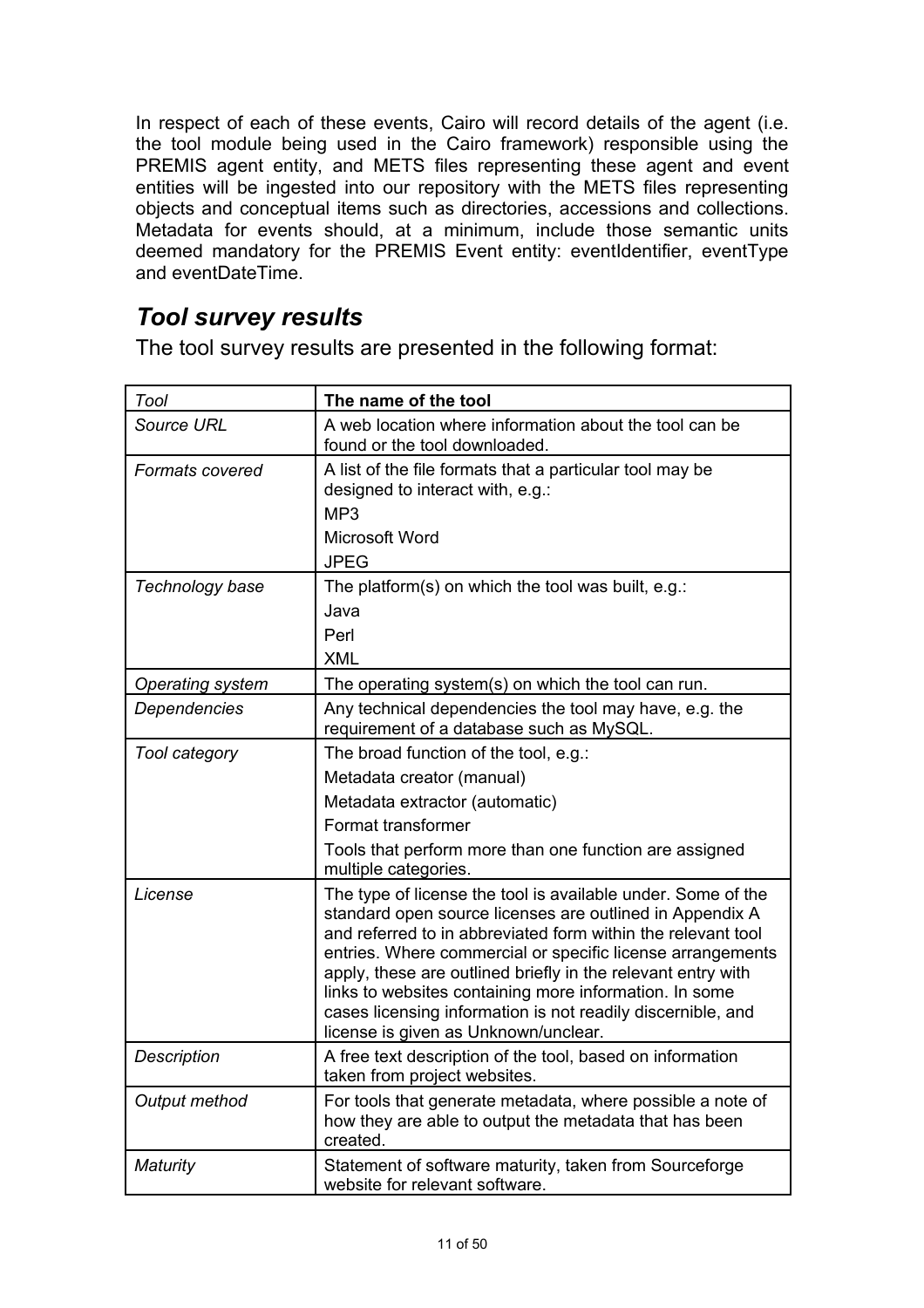In respect of each of these events, Cairo will record details of the agent (i.e. the tool module being used in the Cairo framework) responsible using the PREMIS agent entity, and METS files representing these agent and event entities will be ingested into our repository with the METS files representing objects and conceptual items such as directories, accessions and collections. Metadata for events should, at a minimum, include those semantic units deemed mandatory for the PREMIS Event entity: eventIdentifier, eventType and eventDateTime.

# *Tool survey results*

The tool survey results are presented in the following format:

| <b>Tool</b>             | The name of the tool                                                                                                                                                                                                                                                                                                                                                                                                                                                                    |
|-------------------------|-----------------------------------------------------------------------------------------------------------------------------------------------------------------------------------------------------------------------------------------------------------------------------------------------------------------------------------------------------------------------------------------------------------------------------------------------------------------------------------------|
| Source URL              | A web location where information about the tool can be<br>found or the tool downloaded.                                                                                                                                                                                                                                                                                                                                                                                                 |
| Formats covered         | A list of the file formats that a particular tool may be<br>designed to interact with, e.g.:<br>MP <sub>3</sub><br>Microsoft Word                                                                                                                                                                                                                                                                                                                                                       |
|                         | <b>JPEG</b>                                                                                                                                                                                                                                                                                                                                                                                                                                                                             |
| Technology base         | The platform(s) on which the tool was built, $e.g.:$<br>Java<br>Perl<br><b>XML</b>                                                                                                                                                                                                                                                                                                                                                                                                      |
| <b>Operating system</b> | The operating system(s) on which the tool can run.                                                                                                                                                                                                                                                                                                                                                                                                                                      |
| Dependencies            | Any technical dependencies the tool may have, e.g. the<br>requirement of a database such as MySQL.                                                                                                                                                                                                                                                                                                                                                                                      |
| Tool category           | The broad function of the tool, e.g.:                                                                                                                                                                                                                                                                                                                                                                                                                                                   |
|                         | Metadata creator (manual)                                                                                                                                                                                                                                                                                                                                                                                                                                                               |
|                         | Metadata extractor (automatic)                                                                                                                                                                                                                                                                                                                                                                                                                                                          |
|                         | Format transformer                                                                                                                                                                                                                                                                                                                                                                                                                                                                      |
|                         | Tools that perform more than one function are assigned<br>multiple categories.                                                                                                                                                                                                                                                                                                                                                                                                          |
| License                 | The type of license the tool is available under. Some of the<br>standard open source licenses are outlined in Appendix A<br>and referred to in abbreviated form within the relevant tool<br>entries. Where commercial or specific license arrangements<br>apply, these are outlined briefly in the relevant entry with<br>links to websites containing more information. In some<br>cases licensing information is not readily discernible, and<br>license is given as Unknown/unclear. |
| Description             | A free text description of the tool, based on information<br>taken from project websites.                                                                                                                                                                                                                                                                                                                                                                                               |
| Output method           | For tools that generate metadata, where possible a note of<br>how they are able to output the metadata that has been<br>created.                                                                                                                                                                                                                                                                                                                                                        |
| Maturity                | Statement of software maturity, taken from Sourceforge<br>website for relevant software.                                                                                                                                                                                                                                                                                                                                                                                                |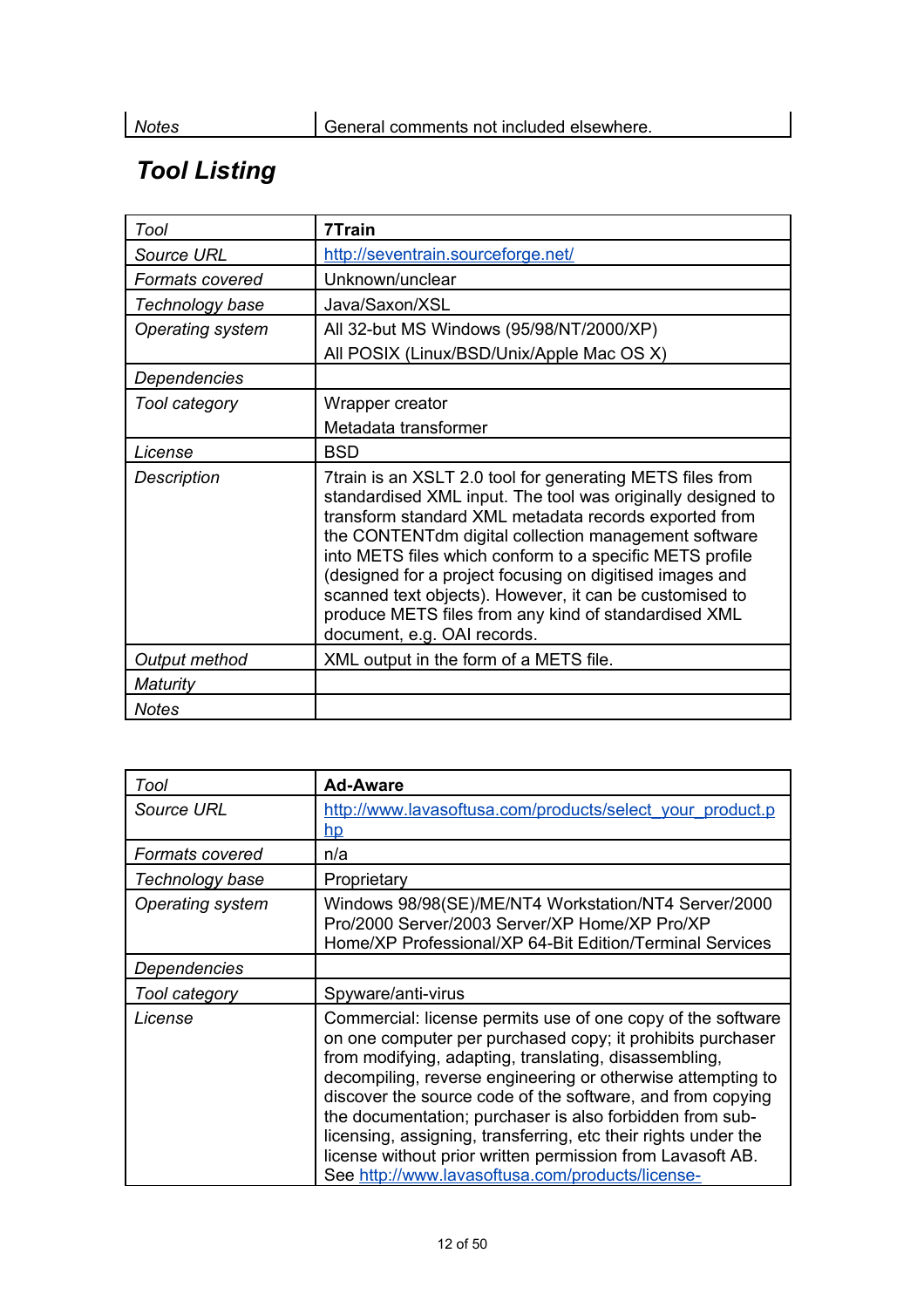# *Tool Listing*

| Tool                   | 7Train                                                                                                                                                                                                                                                                                                                                                                                                                                                                                                              |
|------------------------|---------------------------------------------------------------------------------------------------------------------------------------------------------------------------------------------------------------------------------------------------------------------------------------------------------------------------------------------------------------------------------------------------------------------------------------------------------------------------------------------------------------------|
| <b>Source URL</b>      | http://seventrain.sourceforge.net/                                                                                                                                                                                                                                                                                                                                                                                                                                                                                  |
| <b>Formats covered</b> | Unknown/unclear                                                                                                                                                                                                                                                                                                                                                                                                                                                                                                     |
| Technology base        | Java/Saxon/XSL                                                                                                                                                                                                                                                                                                                                                                                                                                                                                                      |
| Operating system       | All 32-but MS Windows (95/98/NT/2000/XP)                                                                                                                                                                                                                                                                                                                                                                                                                                                                            |
|                        | All POSIX (Linux/BSD/Unix/Apple Mac OS X)                                                                                                                                                                                                                                                                                                                                                                                                                                                                           |
| Dependencies           |                                                                                                                                                                                                                                                                                                                                                                                                                                                                                                                     |
| Tool category          | Wrapper creator                                                                                                                                                                                                                                                                                                                                                                                                                                                                                                     |
|                        | Metadata transformer                                                                                                                                                                                                                                                                                                                                                                                                                                                                                                |
| License                | <b>BSD</b>                                                                                                                                                                                                                                                                                                                                                                                                                                                                                                          |
| Description            | 7train is an XSLT 2.0 tool for generating METS files from<br>standardised XML input. The tool was originally designed to<br>transform standard XML metadata records exported from<br>the CONTENTdm digital collection management software<br>into METS files which conform to a specific METS profile<br>(designed for a project focusing on digitised images and<br>scanned text objects). However, it can be customised to<br>produce METS files from any kind of standardised XML<br>document, e.g. OAI records. |
| Output method          | XML output in the form of a METS file.                                                                                                                                                                                                                                                                                                                                                                                                                                                                              |
| Maturity               |                                                                                                                                                                                                                                                                                                                                                                                                                                                                                                                     |
| <b>Notes</b>           |                                                                                                                                                                                                                                                                                                                                                                                                                                                                                                                     |

| Tool              | <b>Ad-Aware</b>                                                                                                                                                                                                                                                                                                                                                                                                                                                                                                                                                 |
|-------------------|-----------------------------------------------------------------------------------------------------------------------------------------------------------------------------------------------------------------------------------------------------------------------------------------------------------------------------------------------------------------------------------------------------------------------------------------------------------------------------------------------------------------------------------------------------------------|
| <b>Source URL</b> | http://www.lavasoftusa.com/products/select_your_product.p<br><u>hp</u>                                                                                                                                                                                                                                                                                                                                                                                                                                                                                          |
| Formats covered   | n/a                                                                                                                                                                                                                                                                                                                                                                                                                                                                                                                                                             |
| Technology base   | Proprietary                                                                                                                                                                                                                                                                                                                                                                                                                                                                                                                                                     |
| Operating system  | Windows 98/98(SE)/ME/NT4 Workstation/NT4 Server/2000<br>Pro/2000 Server/2003 Server/XP Home/XP Pro/XP<br>Home/XP Professional/XP 64-Bit Edition/Terminal Services                                                                                                                                                                                                                                                                                                                                                                                               |
| Dependencies      |                                                                                                                                                                                                                                                                                                                                                                                                                                                                                                                                                                 |
| Tool category     | Spyware/anti-virus                                                                                                                                                                                                                                                                                                                                                                                                                                                                                                                                              |
| License           | Commercial: license permits use of one copy of the software<br>on one computer per purchased copy; it prohibits purchaser<br>from modifying, adapting, translating, disassembling,<br>decompiling, reverse engineering or otherwise attempting to<br>discover the source code of the software, and from copying<br>the documentation; purchaser is also forbidden from sub-<br>licensing, assigning, transferring, etc their rights under the<br>license without prior written permission from Lavasoft AB.<br>See http://www.lavasoftusa.com/products/license- |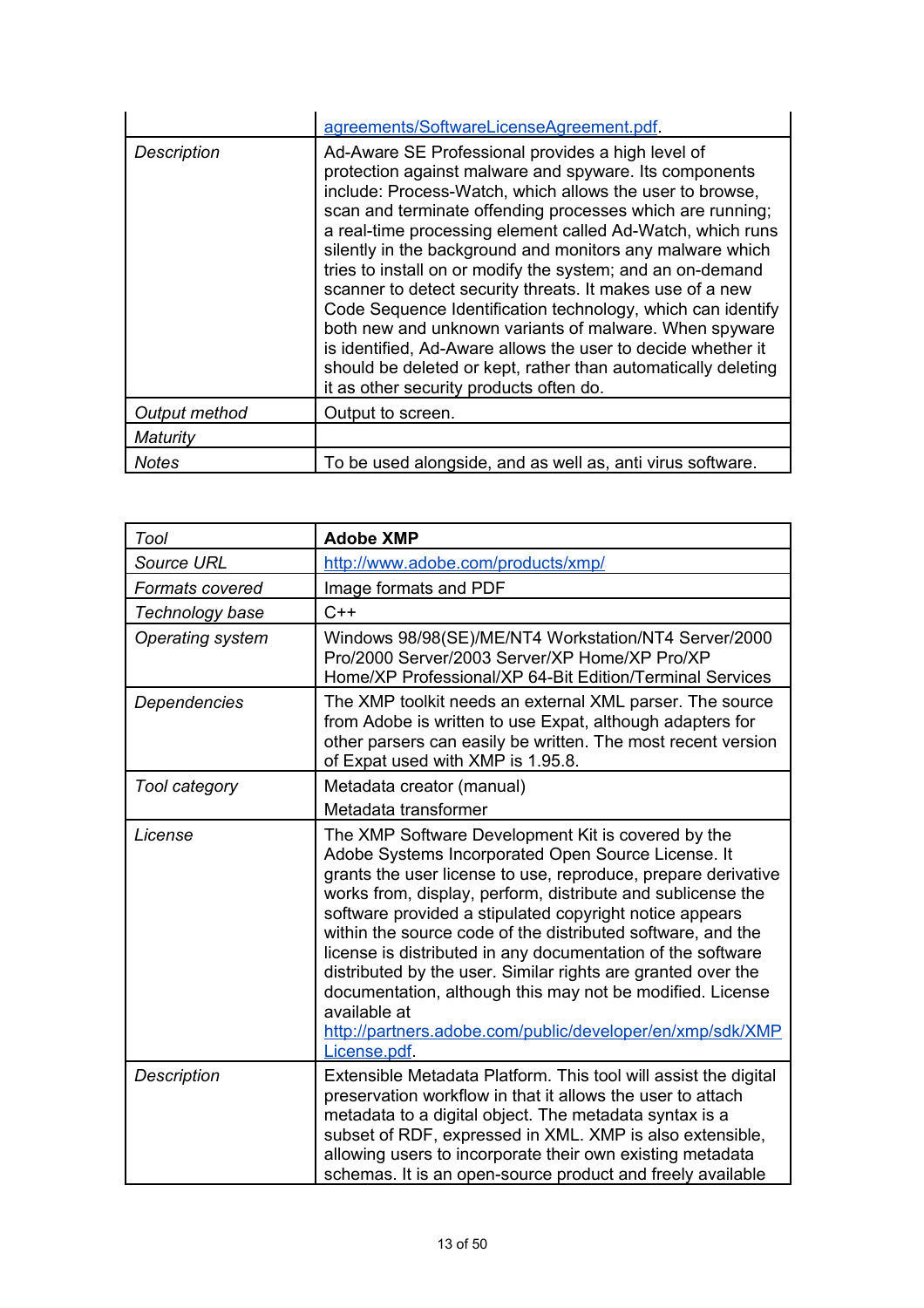|                    | agreements/SoftwareLicenseAgreement.pdf                                                                                                                                                                                                                                                                                                                                                                                                                                                                                                                                                                                                                                                                                                                                                         |
|--------------------|-------------------------------------------------------------------------------------------------------------------------------------------------------------------------------------------------------------------------------------------------------------------------------------------------------------------------------------------------------------------------------------------------------------------------------------------------------------------------------------------------------------------------------------------------------------------------------------------------------------------------------------------------------------------------------------------------------------------------------------------------------------------------------------------------|
| <b>Description</b> | Ad-Aware SE Professional provides a high level of<br>protection against malware and spyware. Its components<br>include: Process-Watch, which allows the user to browse,<br>scan and terminate offending processes which are running;<br>a real-time processing element called Ad-Watch, which runs<br>silently in the background and monitors any malware which<br>tries to install on or modify the system; and an on-demand<br>scanner to detect security threats. It makes use of a new<br>Code Sequence Identification technology, which can identify<br>both new and unknown variants of malware. When spyware<br>is identified, Ad-Aware allows the user to decide whether it<br>should be deleted or kept, rather than automatically deleting<br>it as other security products often do. |
| Output method      | Output to screen.                                                                                                                                                                                                                                                                                                                                                                                                                                                                                                                                                                                                                                                                                                                                                                               |
| Maturity           |                                                                                                                                                                                                                                                                                                                                                                                                                                                                                                                                                                                                                                                                                                                                                                                                 |
| Notes              | To be used alongside, and as well as, anti virus software.                                                                                                                                                                                                                                                                                                                                                                                                                                                                                                                                                                                                                                                                                                                                      |

| Tool                   | <b>Adobe XMP</b>                                                                                                                                                                                                                                                                                                                                                                                                                                                                                                                                                                                                                                            |
|------------------------|-------------------------------------------------------------------------------------------------------------------------------------------------------------------------------------------------------------------------------------------------------------------------------------------------------------------------------------------------------------------------------------------------------------------------------------------------------------------------------------------------------------------------------------------------------------------------------------------------------------------------------------------------------------|
| <b>Source URL</b>      | http://www.adobe.com/products/xmp/                                                                                                                                                                                                                                                                                                                                                                                                                                                                                                                                                                                                                          |
| <b>Formats covered</b> | Image formats and PDF                                                                                                                                                                                                                                                                                                                                                                                                                                                                                                                                                                                                                                       |
| Technology base        | $C++$                                                                                                                                                                                                                                                                                                                                                                                                                                                                                                                                                                                                                                                       |
| Operating system       | Windows 98/98(SE)/ME/NT4 Workstation/NT4 Server/2000<br>Pro/2000 Server/2003 Server/XP Home/XP Pro/XP<br>Home/XP Professional/XP 64-Bit Edition/Terminal Services                                                                                                                                                                                                                                                                                                                                                                                                                                                                                           |
| Dependencies           | The XMP toolkit needs an external XML parser. The source<br>from Adobe is written to use Expat, although adapters for<br>other parsers can easily be written. The most recent version<br>of Expat used with XMP is 1.95.8.                                                                                                                                                                                                                                                                                                                                                                                                                                  |
| Tool category          | Metadata creator (manual)<br>Metadata transformer                                                                                                                                                                                                                                                                                                                                                                                                                                                                                                                                                                                                           |
| License                | The XMP Software Development Kit is covered by the<br>Adobe Systems Incorporated Open Source License. It<br>grants the user license to use, reproduce, prepare derivative<br>works from, display, perform, distribute and sublicense the<br>software provided a stipulated copyright notice appears<br>within the source code of the distributed software, and the<br>license is distributed in any documentation of the software<br>distributed by the user. Similar rights are granted over the<br>documentation, although this may not be modified. License<br>available at<br>http://partners.adobe.com/public/developer/en/xmp/sdk/XMP<br>License.pdf. |
| <b>Description</b>     | Extensible Metadata Platform. This tool will assist the digital<br>preservation workflow in that it allows the user to attach<br>metadata to a digital object. The metadata syntax is a<br>subset of RDF, expressed in XML. XMP is also extensible,<br>allowing users to incorporate their own existing metadata<br>schemas. It is an open-source product and freely available                                                                                                                                                                                                                                                                              |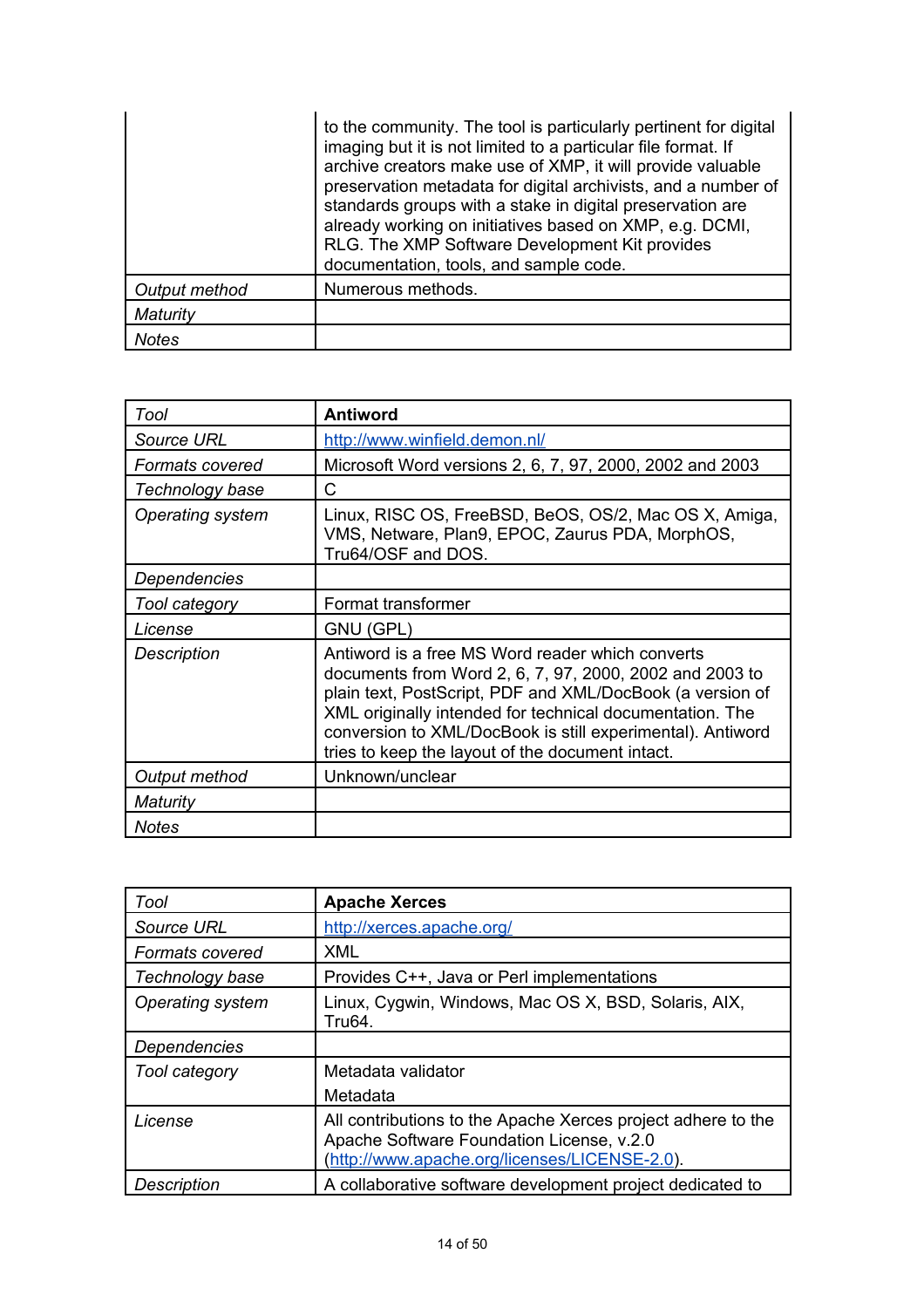|               | to the community. The tool is particularly pertinent for digital<br>imaging but it is not limited to a particular file format. If<br>archive creators make use of XMP, it will provide valuable<br>preservation metadata for digital archivists, and a number of<br>standards groups with a stake in digital preservation are<br>already working on initiatives based on XMP, e.g. DCMI,<br>RLG. The XMP Software Development Kit provides<br>documentation, tools, and sample code. |
|---------------|--------------------------------------------------------------------------------------------------------------------------------------------------------------------------------------------------------------------------------------------------------------------------------------------------------------------------------------------------------------------------------------------------------------------------------------------------------------------------------------|
| Output method | Numerous methods.                                                                                                                                                                                                                                                                                                                                                                                                                                                                    |
| Maturity      |                                                                                                                                                                                                                                                                                                                                                                                                                                                                                      |
| Notes         |                                                                                                                                                                                                                                                                                                                                                                                                                                                                                      |

| Tool              | <b>Antiword</b>                                                                                                                                                                                                                                                                                                                                        |
|-------------------|--------------------------------------------------------------------------------------------------------------------------------------------------------------------------------------------------------------------------------------------------------------------------------------------------------------------------------------------------------|
| <b>Source URL</b> | http://www.winfield.demon.nl/                                                                                                                                                                                                                                                                                                                          |
| Formats covered   | Microsoft Word versions 2, 6, 7, 97, 2000, 2002 and 2003                                                                                                                                                                                                                                                                                               |
| Technology base   | C                                                                                                                                                                                                                                                                                                                                                      |
| Operating system  | Linux, RISC OS, FreeBSD, BeOS, OS/2, Mac OS X, Amiga,<br>VMS, Netware, Plan9, EPOC, Zaurus PDA, MorphOS,<br>Tru64/OSF and DOS.                                                                                                                                                                                                                         |
| Dependencies      |                                                                                                                                                                                                                                                                                                                                                        |
| Tool category     | Format transformer                                                                                                                                                                                                                                                                                                                                     |
| License           | GNU (GPL)                                                                                                                                                                                                                                                                                                                                              |
| Description       | Antiword is a free MS Word reader which converts<br>documents from Word 2, 6, 7, 97, 2000, 2002 and 2003 to<br>plain text, PostScript, PDF and XML/DocBook (a version of<br>XML originally intended for technical documentation. The<br>conversion to XML/DocBook is still experimental). Antiword<br>tries to keep the layout of the document intact. |
| Output method     | Unknown/unclear                                                                                                                                                                                                                                                                                                                                        |
| Maturity          |                                                                                                                                                                                                                                                                                                                                                        |
| <b>Notes</b>      |                                                                                                                                                                                                                                                                                                                                                        |

| Tool                    | <b>Apache Xerces</b>                                                                                                                                       |
|-------------------------|------------------------------------------------------------------------------------------------------------------------------------------------------------|
| Source URL              | http://xerces.apache.org/                                                                                                                                  |
| Formats covered         | <b>XML</b>                                                                                                                                                 |
| Technology base         | Provides C++, Java or Perl implementations                                                                                                                 |
| <b>Operating system</b> | Linux, Cygwin, Windows, Mac OS X, BSD, Solaris, AIX,<br>Tru64.                                                                                             |
| <b>Dependencies</b>     |                                                                                                                                                            |
| Tool category           | Metadata validator                                                                                                                                         |
|                         | Metadata                                                                                                                                                   |
| License                 | All contributions to the Apache Xerces project adhere to the<br>Apache Software Foundation License, v.2.0<br>(http://www.apache.org/licenses/LICENSE-2.0). |
| <b>Description</b>      | A collaborative software development project dedicated to                                                                                                  |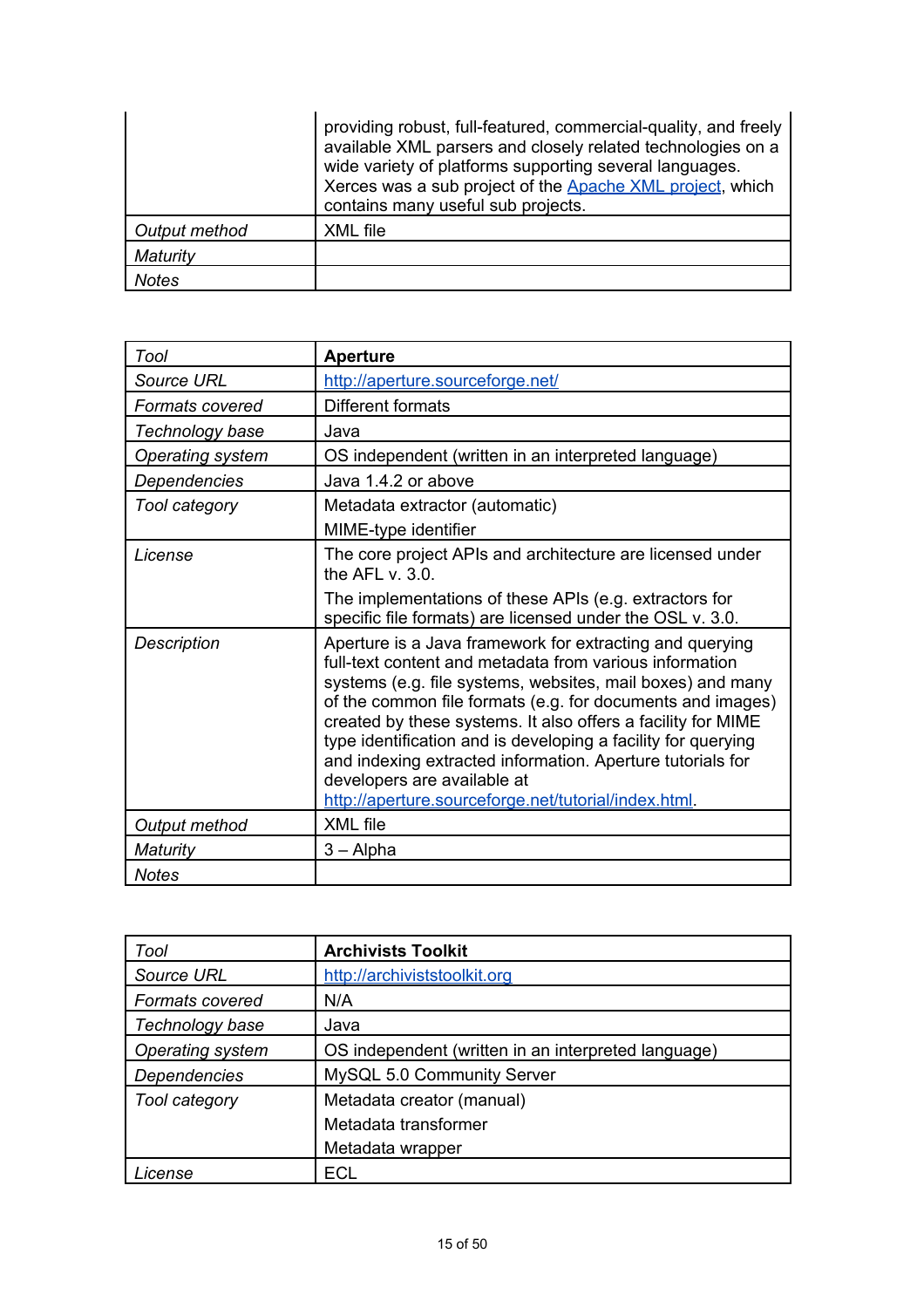|               | providing robust, full-featured, commercial-quality, and freely<br>available XML parsers and closely related technologies on a<br>wide variety of platforms supporting several languages.<br>Xerces was a sub project of the Apache XML project, which<br>contains many useful sub projects. |
|---------------|----------------------------------------------------------------------------------------------------------------------------------------------------------------------------------------------------------------------------------------------------------------------------------------------|
| Output method | XML file                                                                                                                                                                                                                                                                                     |
| Maturity      |                                                                                                                                                                                                                                                                                              |
| <b>Notes</b>  |                                                                                                                                                                                                                                                                                              |

| Tool               | <b>Aperture</b>                                                                                                                                                                                                                                                                                                                                                                                                                                                                                                                       |
|--------------------|---------------------------------------------------------------------------------------------------------------------------------------------------------------------------------------------------------------------------------------------------------------------------------------------------------------------------------------------------------------------------------------------------------------------------------------------------------------------------------------------------------------------------------------|
| <b>Source URL</b>  | http://aperture.sourceforge.net/                                                                                                                                                                                                                                                                                                                                                                                                                                                                                                      |
| Formats covered    | Different formats                                                                                                                                                                                                                                                                                                                                                                                                                                                                                                                     |
| Technology base    | Java                                                                                                                                                                                                                                                                                                                                                                                                                                                                                                                                  |
| Operating system   | OS independent (written in an interpreted language)                                                                                                                                                                                                                                                                                                                                                                                                                                                                                   |
| Dependencies       | Java 1.4.2 or above                                                                                                                                                                                                                                                                                                                                                                                                                                                                                                                   |
| Tool category      | Metadata extractor (automatic)                                                                                                                                                                                                                                                                                                                                                                                                                                                                                                        |
|                    | MIME-type identifier                                                                                                                                                                                                                                                                                                                                                                                                                                                                                                                  |
| License            | The core project APIs and architecture are licensed under<br>the AFL $v. 3.0$ .                                                                                                                                                                                                                                                                                                                                                                                                                                                       |
|                    | The implementations of these APIs (e.g. extractors for<br>specific file formats) are licensed under the OSL v. 3.0.                                                                                                                                                                                                                                                                                                                                                                                                                   |
| <b>Description</b> | Aperture is a Java framework for extracting and querying<br>full-text content and metadata from various information<br>systems (e.g. file systems, websites, mail boxes) and many<br>of the common file formats (e.g. for documents and images)<br>created by these systems. It also offers a facility for MIME<br>type identification and is developing a facility for querying<br>and indexing extracted information. Aperture tutorials for<br>developers are available at<br>http://aperture.sourceforge.net/tutorial/index.html. |
| Output method      | XML file                                                                                                                                                                                                                                                                                                                                                                                                                                                                                                                              |
| Maturity           | $3 -$ Alpha                                                                                                                                                                                                                                                                                                                                                                                                                                                                                                                           |
| <b>Notes</b>       |                                                                                                                                                                                                                                                                                                                                                                                                                                                                                                                                       |

| Tool                | <b>Archivists Toolkit</b>                           |
|---------------------|-----------------------------------------------------|
| Source URL          | http://archiviststoolkit.org                        |
| Formats covered     | N/A                                                 |
| Technology base     | Java                                                |
| Operating system    | OS independent (written in an interpreted language) |
| <b>Dependencies</b> | MySQL 5.0 Community Server                          |
| Tool category       | Metadata creator (manual)                           |
|                     | Metadata transformer                                |
|                     | Metadata wrapper                                    |
| .icense             | ECL                                                 |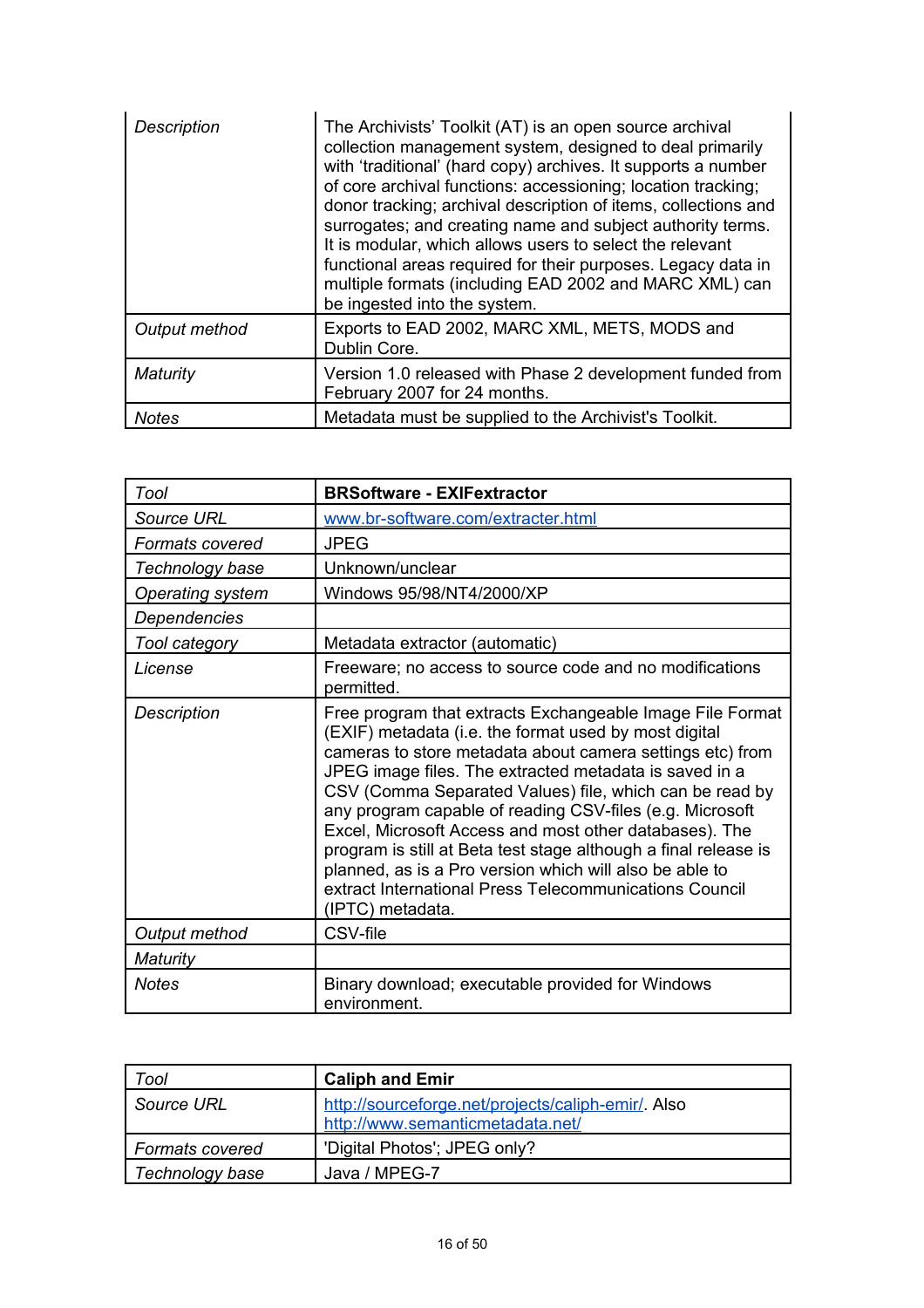| <b>Description</b> | The Archivists' Toolkit (AT) is an open source archival<br>collection management system, designed to deal primarily<br>with 'traditional' (hard copy) archives. It supports a number<br>of core archival functions: accessioning; location tracking;<br>donor tracking; archival description of items, collections and<br>surrogates; and creating name and subject authority terms.<br>It is modular, which allows users to select the relevant<br>functional areas required for their purposes. Legacy data in<br>multiple formats (including EAD 2002 and MARC XML) can<br>be ingested into the system. |
|--------------------|------------------------------------------------------------------------------------------------------------------------------------------------------------------------------------------------------------------------------------------------------------------------------------------------------------------------------------------------------------------------------------------------------------------------------------------------------------------------------------------------------------------------------------------------------------------------------------------------------------|
| Output method      | Exports to EAD 2002, MARC XML, METS, MODS and<br>Dublin Core.                                                                                                                                                                                                                                                                                                                                                                                                                                                                                                                                              |
| Maturity           | Version 1.0 released with Phase 2 development funded from<br>February 2007 for 24 months.                                                                                                                                                                                                                                                                                                                                                                                                                                                                                                                  |
| <b>Notes</b>       | Metadata must be supplied to the Archivist's Toolkit.                                                                                                                                                                                                                                                                                                                                                                                                                                                                                                                                                      |

| Tool               | <b>BRSoftware - EXIFextractor</b>                                                                                                                                                                                                                                                                                                                                                                                                                                                                                                                                                                                                      |
|--------------------|----------------------------------------------------------------------------------------------------------------------------------------------------------------------------------------------------------------------------------------------------------------------------------------------------------------------------------------------------------------------------------------------------------------------------------------------------------------------------------------------------------------------------------------------------------------------------------------------------------------------------------------|
| <b>Source URL</b>  | www.br-software.com/extracter.html                                                                                                                                                                                                                                                                                                                                                                                                                                                                                                                                                                                                     |
| Formats covered    | <b>JPEG</b>                                                                                                                                                                                                                                                                                                                                                                                                                                                                                                                                                                                                                            |
| Technology base    | Unknown/unclear                                                                                                                                                                                                                                                                                                                                                                                                                                                                                                                                                                                                                        |
| Operating system   | Windows 95/98/NT4/2000/XP                                                                                                                                                                                                                                                                                                                                                                                                                                                                                                                                                                                                              |
| Dependencies       |                                                                                                                                                                                                                                                                                                                                                                                                                                                                                                                                                                                                                                        |
| Tool category      | Metadata extractor (automatic)                                                                                                                                                                                                                                                                                                                                                                                                                                                                                                                                                                                                         |
| License            | Freeware; no access to source code and no modifications<br>permitted.                                                                                                                                                                                                                                                                                                                                                                                                                                                                                                                                                                  |
| <b>Description</b> | Free program that extracts Exchangeable Image File Format<br>(EXIF) metadata (i.e. the format used by most digital<br>cameras to store metadata about camera settings etc) from<br>JPEG image files. The extracted metadata is saved in a<br>CSV (Comma Separated Values) file, which can be read by<br>any program capable of reading CSV-files (e.g. Microsoft<br>Excel, Microsoft Access and most other databases). The<br>program is still at Beta test stage although a final release is<br>planned, as is a Pro version which will also be able to<br>extract International Press Telecommunications Council<br>(IPTC) metadata. |
| Output method      | CSV-file                                                                                                                                                                                                                                                                                                                                                                                                                                                                                                                                                                                                                               |
| <b>Maturity</b>    |                                                                                                                                                                                                                                                                                                                                                                                                                                                                                                                                                                                                                                        |
| <b>Notes</b>       | Binary download; executable provided for Windows<br>environment.                                                                                                                                                                                                                                                                                                                                                                                                                                                                                                                                                                       |

| Tool            | <b>Caliph and Emir</b>                                                                 |
|-----------------|----------------------------------------------------------------------------------------|
| Source URL      | http://sourceforge.net/projects/caliph-emir/. Also<br>http://www.semanticmetadata.net/ |
| Formats covered | 'Digital Photos'; JPEG only?                                                           |
| Technology base | Java / MPEG-7                                                                          |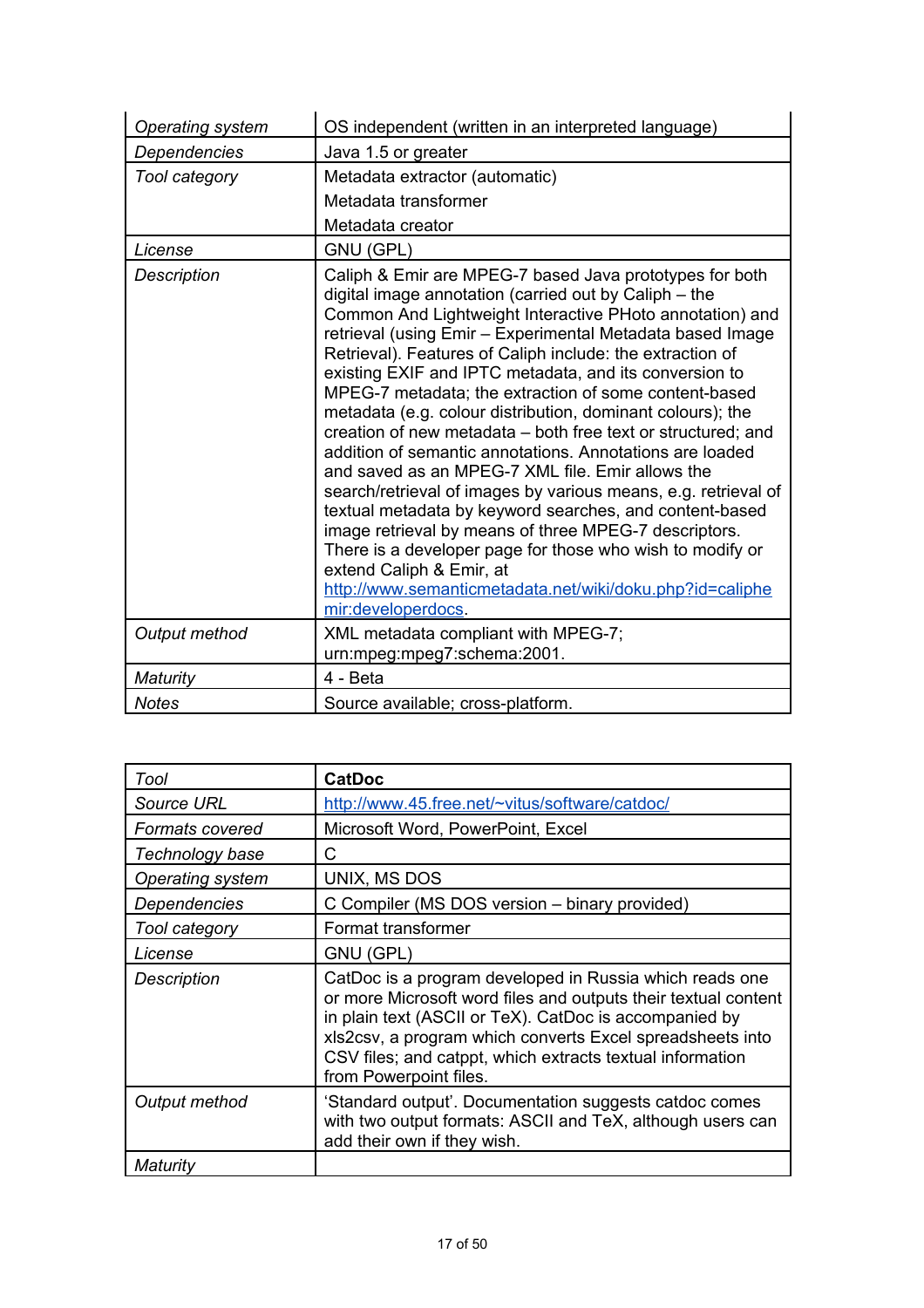| <b>Operating system</b> | OS independent (written in an interpreted language)                                                                                                                                                                                                                                                                                                                                                                                                                                                                                                                                                                                                                                                                                                                                                                                                                                                                                                                                                                                      |
|-------------------------|------------------------------------------------------------------------------------------------------------------------------------------------------------------------------------------------------------------------------------------------------------------------------------------------------------------------------------------------------------------------------------------------------------------------------------------------------------------------------------------------------------------------------------------------------------------------------------------------------------------------------------------------------------------------------------------------------------------------------------------------------------------------------------------------------------------------------------------------------------------------------------------------------------------------------------------------------------------------------------------------------------------------------------------|
| Dependencies            | Java 1.5 or greater                                                                                                                                                                                                                                                                                                                                                                                                                                                                                                                                                                                                                                                                                                                                                                                                                                                                                                                                                                                                                      |
| Tool category           | Metadata extractor (automatic)                                                                                                                                                                                                                                                                                                                                                                                                                                                                                                                                                                                                                                                                                                                                                                                                                                                                                                                                                                                                           |
|                         | Metadata transformer                                                                                                                                                                                                                                                                                                                                                                                                                                                                                                                                                                                                                                                                                                                                                                                                                                                                                                                                                                                                                     |
|                         | Metadata creator                                                                                                                                                                                                                                                                                                                                                                                                                                                                                                                                                                                                                                                                                                                                                                                                                                                                                                                                                                                                                         |
| License                 | GNU (GPL)                                                                                                                                                                                                                                                                                                                                                                                                                                                                                                                                                                                                                                                                                                                                                                                                                                                                                                                                                                                                                                |
| <b>Description</b>      | Caliph & Emir are MPEG-7 based Java prototypes for both<br>digital image annotation (carried out by Caliph - the<br>Common And Lightweight Interactive PHoto annotation) and<br>retrieval (using Emir - Experimental Metadata based Image<br>Retrieval). Features of Caliph include: the extraction of<br>existing EXIF and IPTC metadata, and its conversion to<br>MPEG-7 metadata; the extraction of some content-based<br>metadata (e.g. colour distribution, dominant colours); the<br>creation of new metadata - both free text or structured; and<br>addition of semantic annotations. Annotations are loaded<br>and saved as an MPEG-7 XML file. Emir allows the<br>search/retrieval of images by various means, e.g. retrieval of<br>textual metadata by keyword searches, and content-based<br>image retrieval by means of three MPEG-7 descriptors.<br>There is a developer page for those who wish to modify or<br>extend Caliph & Emir, at<br>http://www.semanticmetadata.net/wiki/doku.php?id=caliphe<br>mir:developerdocs. |
| Output method           | XML metadata compliant with MPEG-7;<br>urn:mpeg:mpeg7:schema:2001.                                                                                                                                                                                                                                                                                                                                                                                                                                                                                                                                                                                                                                                                                                                                                                                                                                                                                                                                                                       |
| Maturity                | 4 - Beta                                                                                                                                                                                                                                                                                                                                                                                                                                                                                                                                                                                                                                                                                                                                                                                                                                                                                                                                                                                                                                 |
| <b>Notes</b>            | Source available; cross-platform.                                                                                                                                                                                                                                                                                                                                                                                                                                                                                                                                                                                                                                                                                                                                                                                                                                                                                                                                                                                                        |

| Tool                   | <b>CatDoc</b>                                                                                                                                                                                                                                                                                                                           |
|------------------------|-----------------------------------------------------------------------------------------------------------------------------------------------------------------------------------------------------------------------------------------------------------------------------------------------------------------------------------------|
| Source URL             | http://www.45.free.net/~vitus/software/catdoc/                                                                                                                                                                                                                                                                                          |
| <b>Formats covered</b> | Microsoft Word, PowerPoint, Excel                                                                                                                                                                                                                                                                                                       |
| Technology base        | C                                                                                                                                                                                                                                                                                                                                       |
| Operating system       | UNIX, MS DOS                                                                                                                                                                                                                                                                                                                            |
| Dependencies           | C Compiler (MS DOS version - binary provided)                                                                                                                                                                                                                                                                                           |
| Tool category          | Format transformer                                                                                                                                                                                                                                                                                                                      |
| License                | GNU (GPL)                                                                                                                                                                                                                                                                                                                               |
| Description            | CatDoc is a program developed in Russia which reads one<br>or more Microsoft word files and outputs their textual content<br>in plain text (ASCII or TeX). CatDoc is accompanied by<br>xls2csv, a program which converts Excel spreadsheets into<br>CSV files; and catppt, which extracts textual information<br>from Powerpoint files. |
| Output method          | 'Standard output'. Documentation suggests catdoc comes<br>with two output formats: ASCII and TeX, although users can<br>add their own if they wish.                                                                                                                                                                                     |
| Maturity               |                                                                                                                                                                                                                                                                                                                                         |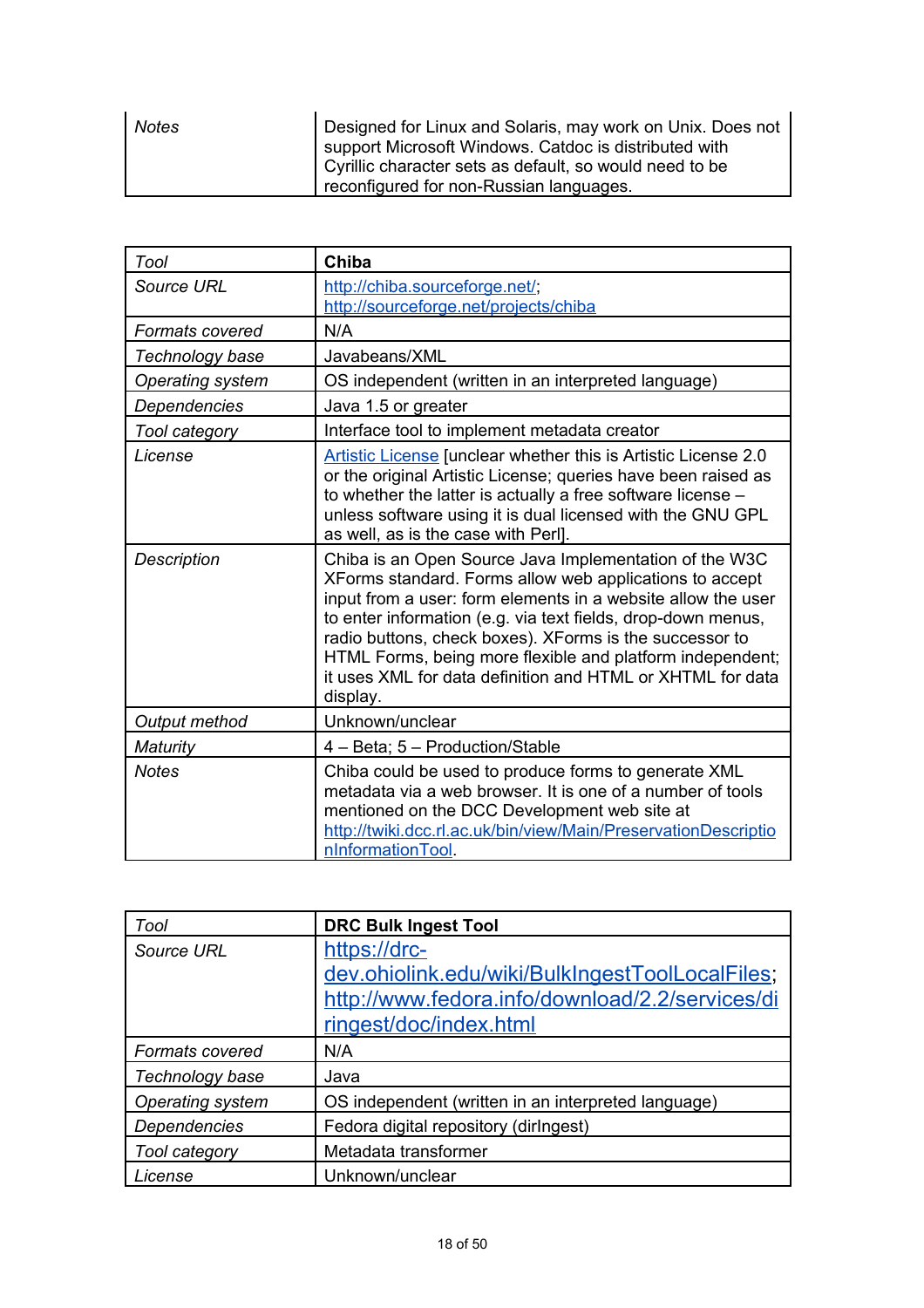| <b>Notes</b> | Designed for Linux and Solaris, may work on Unix. Does not<br>I support Microsoft Windows. Catdoc is distributed with<br>  Cyrillic character sets as default, so would need to be |
|--------------|------------------------------------------------------------------------------------------------------------------------------------------------------------------------------------|
|              | reconfigured for non-Russian languages.                                                                                                                                            |

| Tool                    | Chiba                                                                                                                                                                                                                                                                                                                                                                                                                                               |
|-------------------------|-----------------------------------------------------------------------------------------------------------------------------------------------------------------------------------------------------------------------------------------------------------------------------------------------------------------------------------------------------------------------------------------------------------------------------------------------------|
| Source URL              | http://chiba.sourceforge.net/;<br>http://sourceforge.net/projects/chiba                                                                                                                                                                                                                                                                                                                                                                             |
| Formats covered         | N/A                                                                                                                                                                                                                                                                                                                                                                                                                                                 |
| Technology base         | Javabeans/XML                                                                                                                                                                                                                                                                                                                                                                                                                                       |
| <b>Operating system</b> | OS independent (written in an interpreted language)                                                                                                                                                                                                                                                                                                                                                                                                 |
| Dependencies            | Java 1.5 or greater                                                                                                                                                                                                                                                                                                                                                                                                                                 |
| Tool category           | Interface tool to implement metadata creator                                                                                                                                                                                                                                                                                                                                                                                                        |
| License                 | Artistic License [unclear whether this is Artistic License 2.0<br>or the original Artistic License; queries have been raised as<br>to whether the latter is actually a free software license -<br>unless software using it is dual licensed with the GNU GPL<br>as well, as is the case with Perl].                                                                                                                                                 |
| Description             | Chiba is an Open Source Java Implementation of the W3C<br>XForms standard. Forms allow web applications to accept<br>input from a user: form elements in a website allow the user<br>to enter information (e.g. via text fields, drop-down menus,<br>radio buttons, check boxes). XForms is the successor to<br>HTML Forms, being more flexible and platform independent;<br>it uses XML for data definition and HTML or XHTML for data<br>display. |
| Output method           | Unknown/unclear                                                                                                                                                                                                                                                                                                                                                                                                                                     |
| Maturity                | 4 - Beta; 5 - Production/Stable                                                                                                                                                                                                                                                                                                                                                                                                                     |
| <b>Notes</b>            | Chiba could be used to produce forms to generate XML<br>metadata via a web browser. It is one of a number of tools<br>mentioned on the DCC Development web site at<br>http://twiki.dcc.rl.ac.uk/bin/view/Main/PreservationDescriptio<br>nInformationTool.                                                                                                                                                                                           |

| Tool                | <b>DRC Bulk Ingest Tool</b>                         |
|---------------------|-----------------------------------------------------|
| Source URL          | https://drc-                                        |
|                     | dev.ohiolink.edu/wiki/BulkIngestToolLocalFiles;     |
|                     | http://www.fedora.info/download/2.2/services/di     |
|                     | ringest/doc/index.html                              |
| Formats covered     | N/A                                                 |
| Technology base     | Java                                                |
| Operating system    | OS independent (written in an interpreted language) |
| <b>Dependencies</b> | Fedora digital repository (dirlngest)               |
| Tool category       | Metadata transformer                                |
| License             | Unknown/unclear                                     |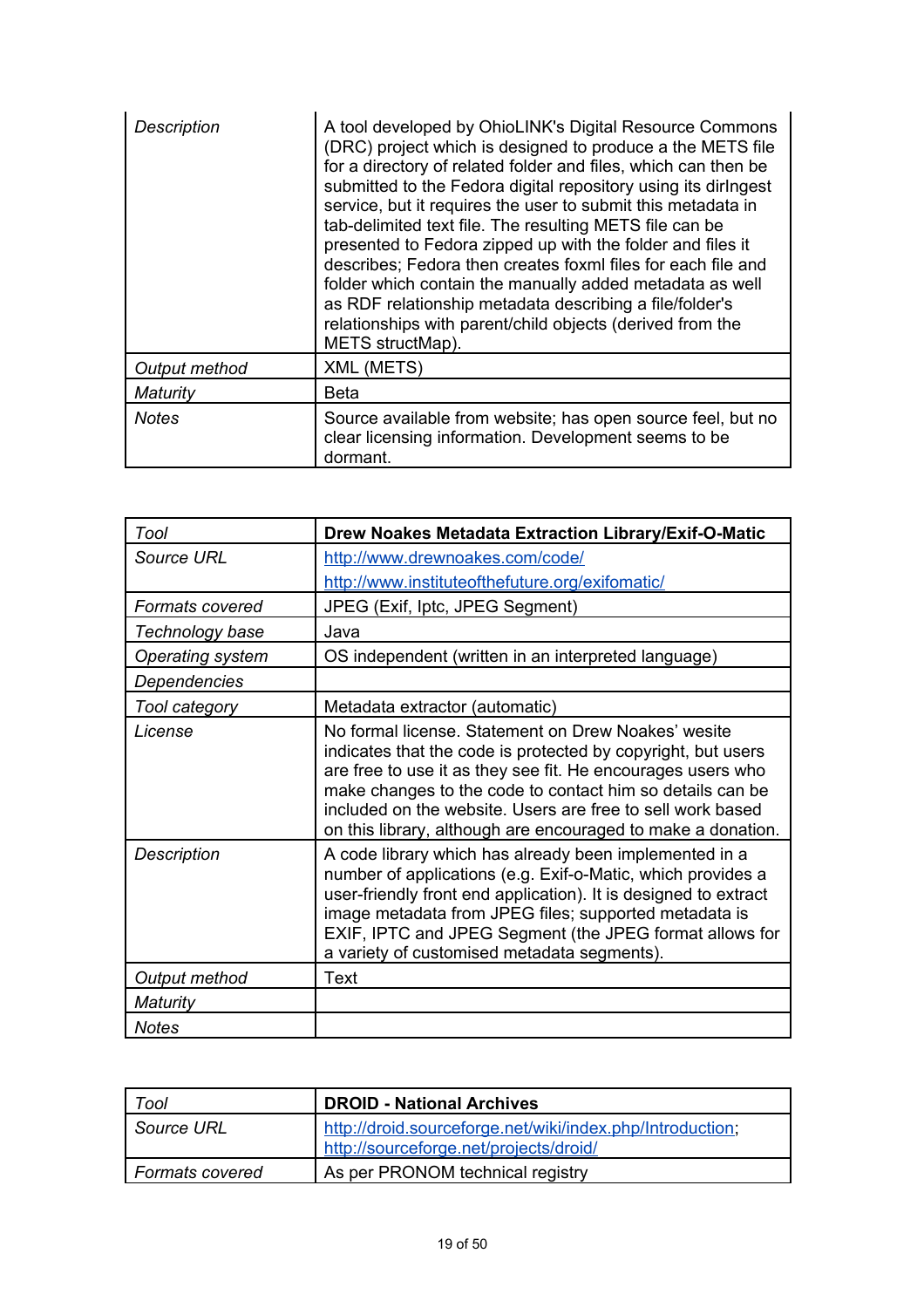| Description   | A tool developed by OhioLINK's Digital Resource Commons<br>(DRC) project which is designed to produce a the METS file<br>for a directory of related folder and files, which can then be<br>submitted to the Fedora digital repository using its diringest<br>service, but it requires the user to submit this metadata in<br>tab-delimited text file. The resulting METS file can be<br>presented to Fedora zipped up with the folder and files it<br>describes; Fedora then creates foxml files for each file and<br>folder which contain the manually added metadata as well<br>as RDF relationship metadata describing a file/folder's<br>relationships with parent/child objects (derived from the<br>METS structMap). |
|---------------|----------------------------------------------------------------------------------------------------------------------------------------------------------------------------------------------------------------------------------------------------------------------------------------------------------------------------------------------------------------------------------------------------------------------------------------------------------------------------------------------------------------------------------------------------------------------------------------------------------------------------------------------------------------------------------------------------------------------------|
| Output method | XML (METS)                                                                                                                                                                                                                                                                                                                                                                                                                                                                                                                                                                                                                                                                                                                 |
| Maturity      | Beta                                                                                                                                                                                                                                                                                                                                                                                                                                                                                                                                                                                                                                                                                                                       |
| <b>Notes</b>  | Source available from website; has open source feel, but no<br>clear licensing information. Development seems to be<br>dormant.                                                                                                                                                                                                                                                                                                                                                                                                                                                                                                                                                                                            |

| Tool                   | Drew Noakes Metadata Extraction Library/Exif-O-Matic                                                                                                                                                                                                                                                                                                                          |
|------------------------|-------------------------------------------------------------------------------------------------------------------------------------------------------------------------------------------------------------------------------------------------------------------------------------------------------------------------------------------------------------------------------|
| Source URL             | http://www.drewnoakes.com/code/                                                                                                                                                                                                                                                                                                                                               |
|                        | http://www.instituteofthefuture.org/exifomatic/                                                                                                                                                                                                                                                                                                                               |
| <b>Formats covered</b> | JPEG (Exif, Iptc, JPEG Segment)                                                                                                                                                                                                                                                                                                                                               |
| Technology base        | Java                                                                                                                                                                                                                                                                                                                                                                          |
| Operating system       | OS independent (written in an interpreted language)                                                                                                                                                                                                                                                                                                                           |
| Dependencies           |                                                                                                                                                                                                                                                                                                                                                                               |
| Tool category          | Metadata extractor (automatic)                                                                                                                                                                                                                                                                                                                                                |
| License                | No formal license. Statement on Drew Noakes' wesite<br>indicates that the code is protected by copyright, but users<br>are free to use it as they see fit. He encourages users who<br>make changes to the code to contact him so details can be<br>included on the website. Users are free to sell work based<br>on this library, although are encouraged to make a donation. |
| Description            | A code library which has already been implemented in a<br>number of applications (e.g. Exif-o-Matic, which provides a<br>user-friendly front end application). It is designed to extract<br>image metadata from JPEG files; supported metadata is<br>EXIF, IPTC and JPEG Segment (the JPEG format allows for<br>a variety of customised metadata segments).                   |
| Output method          | <b>Text</b>                                                                                                                                                                                                                                                                                                                                                                   |
| Maturity               |                                                                                                                                                                                                                                                                                                                                                                               |
| <b>Notes</b>           |                                                                                                                                                                                                                                                                                                                                                                               |

| Tool                   | <b>DROID - National Archives</b>                                                                    |
|------------------------|-----------------------------------------------------------------------------------------------------|
| Source URL             | http://droid.sourceforge.net/wiki/index.php/Introduction;<br>http://sourceforge.net/projects/droid/ |
| <b>Formats covered</b> | As per PRONOM technical registry                                                                    |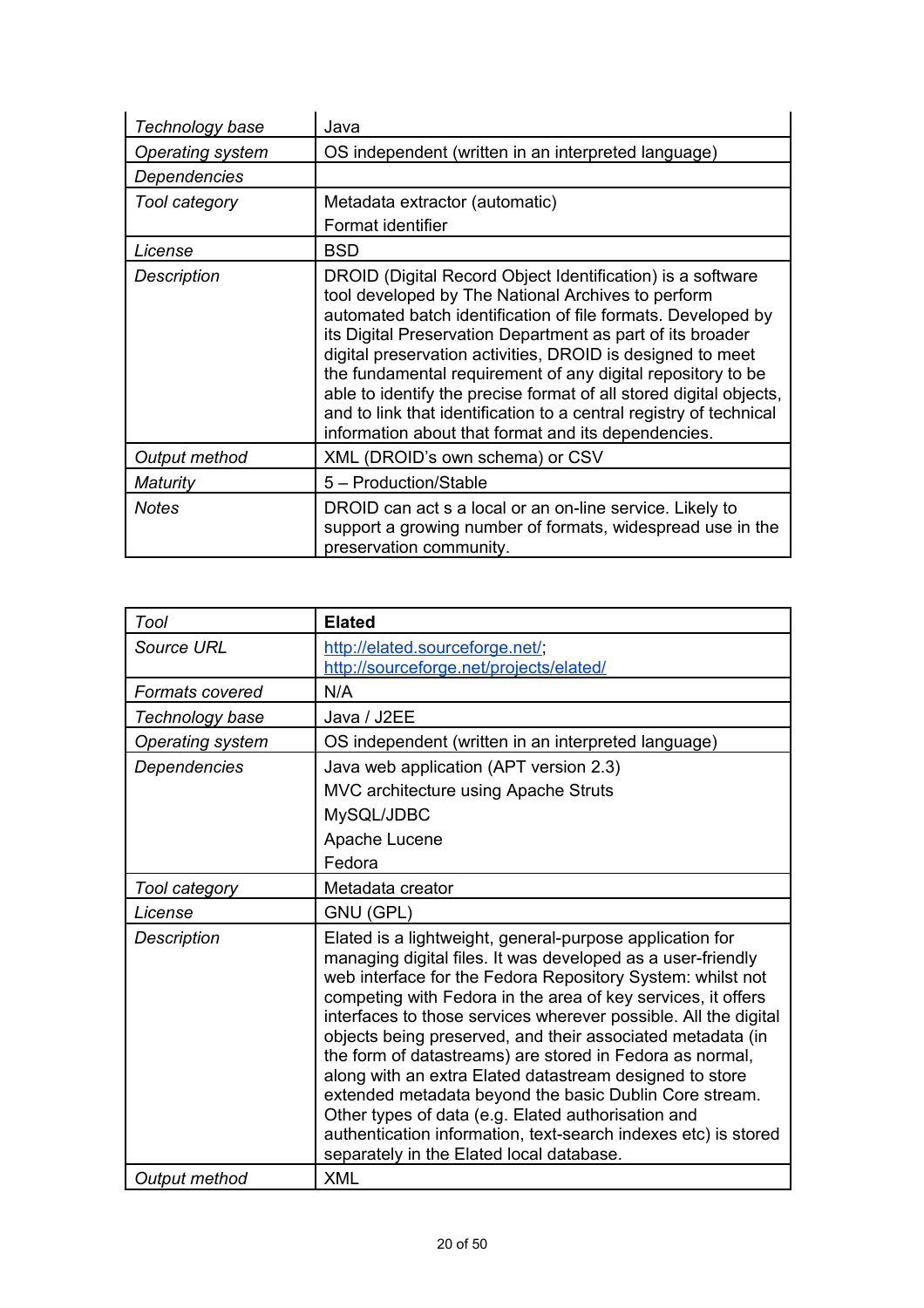| Technology base  | Java                                                                                                                                                                                                                                                                                                                                                                                                                                                                                                                                                                           |
|------------------|--------------------------------------------------------------------------------------------------------------------------------------------------------------------------------------------------------------------------------------------------------------------------------------------------------------------------------------------------------------------------------------------------------------------------------------------------------------------------------------------------------------------------------------------------------------------------------|
| Operating system | OS independent (written in an interpreted language)                                                                                                                                                                                                                                                                                                                                                                                                                                                                                                                            |
| Dependencies     |                                                                                                                                                                                                                                                                                                                                                                                                                                                                                                                                                                                |
| Tool category    | Metadata extractor (automatic)                                                                                                                                                                                                                                                                                                                                                                                                                                                                                                                                                 |
|                  | Format identifier                                                                                                                                                                                                                                                                                                                                                                                                                                                                                                                                                              |
| License          | <b>BSD</b>                                                                                                                                                                                                                                                                                                                                                                                                                                                                                                                                                                     |
| Description      | DROID (Digital Record Object Identification) is a software<br>tool developed by The National Archives to perform<br>automated batch identification of file formats. Developed by<br>its Digital Preservation Department as part of its broader<br>digital preservation activities, DROID is designed to meet<br>the fundamental requirement of any digital repository to be<br>able to identify the precise format of all stored digital objects,<br>and to link that identification to a central registry of technical<br>information about that format and its dependencies. |
| Output method    | XML (DROID's own schema) or CSV                                                                                                                                                                                                                                                                                                                                                                                                                                                                                                                                                |
| Maturity         | 5 - Production/Stable                                                                                                                                                                                                                                                                                                                                                                                                                                                                                                                                                          |
| Notes            | DROID can act s a local or an on-line service. Likely to<br>support a growing number of formats, widespread use in the<br>preservation community.                                                                                                                                                                                                                                                                                                                                                                                                                              |

| Tool                | <b>Elated</b>                                                                                                                                                                                                                                                                                                                                                                                                                                                                                                                                                                                                                                                                                                                               |
|---------------------|---------------------------------------------------------------------------------------------------------------------------------------------------------------------------------------------------------------------------------------------------------------------------------------------------------------------------------------------------------------------------------------------------------------------------------------------------------------------------------------------------------------------------------------------------------------------------------------------------------------------------------------------------------------------------------------------------------------------------------------------|
| Source URL          | http://elated.sourceforge.net/;<br>http://sourceforge.net/projects/elated/                                                                                                                                                                                                                                                                                                                                                                                                                                                                                                                                                                                                                                                                  |
| Formats covered     | N/A                                                                                                                                                                                                                                                                                                                                                                                                                                                                                                                                                                                                                                                                                                                                         |
| Technology base     | Java / J2EE                                                                                                                                                                                                                                                                                                                                                                                                                                                                                                                                                                                                                                                                                                                                 |
| Operating system    | OS independent (written in an interpreted language)                                                                                                                                                                                                                                                                                                                                                                                                                                                                                                                                                                                                                                                                                         |
| <b>Dependencies</b> | Java web application (APT version 2.3)<br>MVC architecture using Apache Struts<br>MySQL/JDBC<br>Apache Lucene<br>Fedora                                                                                                                                                                                                                                                                                                                                                                                                                                                                                                                                                                                                                     |
| Tool category       | Metadata creator                                                                                                                                                                                                                                                                                                                                                                                                                                                                                                                                                                                                                                                                                                                            |
| License             | GNU (GPL)                                                                                                                                                                                                                                                                                                                                                                                                                                                                                                                                                                                                                                                                                                                                   |
| <b>Description</b>  | Elated is a lightweight, general-purpose application for<br>managing digital files. It was developed as a user-friendly<br>web interface for the Fedora Repository System: whilst not<br>competing with Fedora in the area of key services, it offers<br>interfaces to those services wherever possible. All the digital<br>objects being preserved, and their associated metadata (in<br>the form of datastreams) are stored in Fedora as normal,<br>along with an extra Elated datastream designed to store<br>extended metadata beyond the basic Dublin Core stream.<br>Other types of data (e.g. Elated authorisation and<br>authentication information, text-search indexes etc) is stored<br>separately in the Elated local database. |
| Output method       | <b>XML</b>                                                                                                                                                                                                                                                                                                                                                                                                                                                                                                                                                                                                                                                                                                                                  |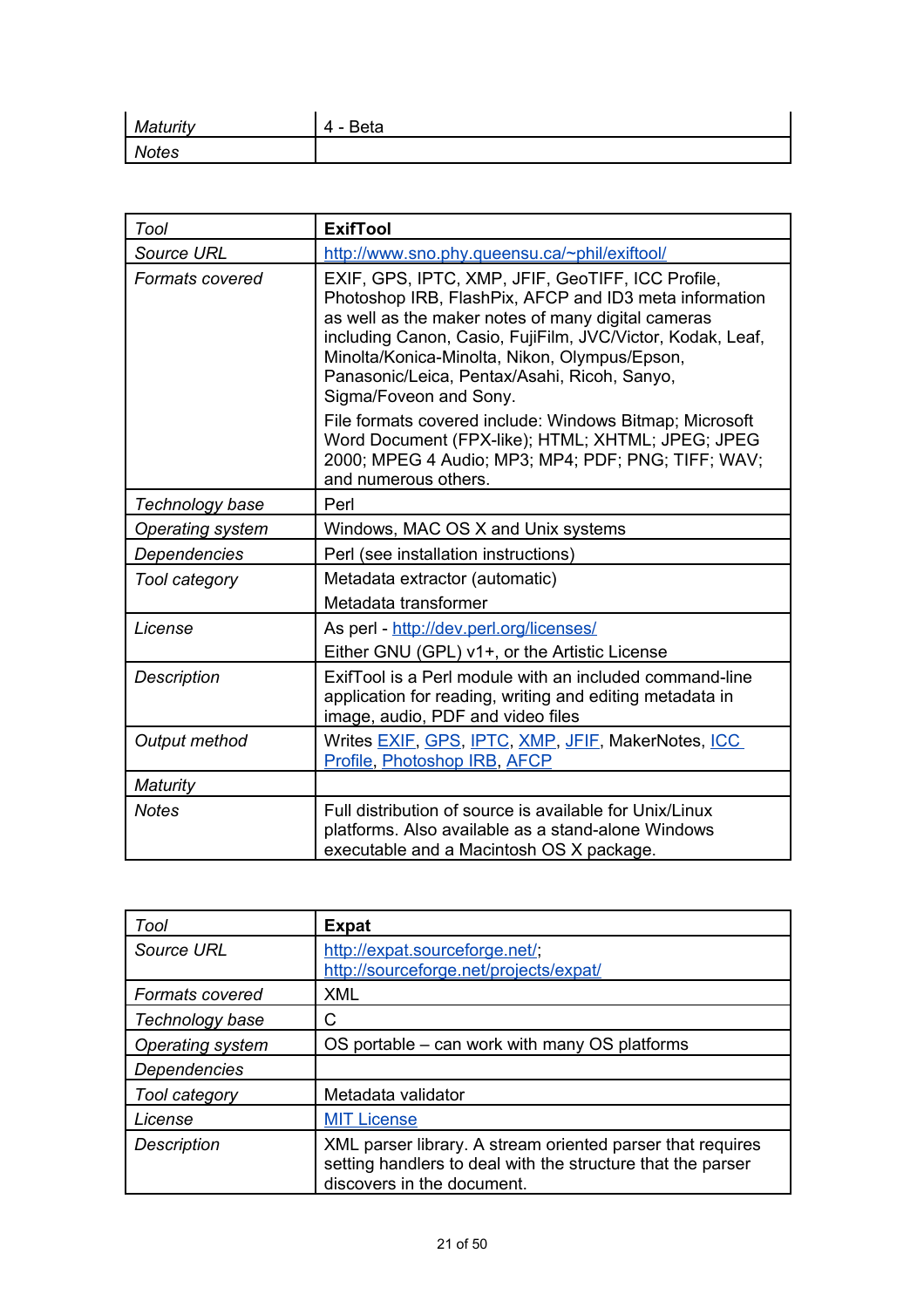| . <i>Aaturitv</i> | <b>Beta</b><br>. . |
|-------------------|--------------------|
| <b>Notes</b>      |                    |

| Tool                    | <b>ExifTool</b>                                                                                                                                                                                                                                                                                                                                            |
|-------------------------|------------------------------------------------------------------------------------------------------------------------------------------------------------------------------------------------------------------------------------------------------------------------------------------------------------------------------------------------------------|
| <b>Source URL</b>       | http://www.sno.phy.queensu.ca/~phil/exiftool/                                                                                                                                                                                                                                                                                                              |
| <b>Formats covered</b>  | EXIF, GPS, IPTC, XMP, JFIF, GeoTIFF, ICC Profile,<br>Photoshop IRB, FlashPix, AFCP and ID3 meta information<br>as well as the maker notes of many digital cameras<br>including Canon, Casio, FujiFilm, JVC/Victor, Kodak, Leaf,<br>Minolta/Konica-Minolta, Nikon, Olympus/Epson,<br>Panasonic/Leica, Pentax/Asahi, Ricoh, Sanyo,<br>Sigma/Foveon and Sony. |
|                         | File formats covered include: Windows Bitmap; Microsoft<br>Word Document (FPX-like); HTML; XHTML; JPEG; JPEG<br>2000; MPEG 4 Audio; MP3; MP4; PDF; PNG; TIFF; WAV;<br>and numerous others.                                                                                                                                                                 |
| Technology base         | Perl                                                                                                                                                                                                                                                                                                                                                       |
| <b>Operating system</b> | Windows, MAC OS X and Unix systems                                                                                                                                                                                                                                                                                                                         |
| Dependencies            | Perl (see installation instructions)                                                                                                                                                                                                                                                                                                                       |
| Tool category           | Metadata extractor (automatic)<br>Metadata transformer                                                                                                                                                                                                                                                                                                     |
| License                 | As perl - http://dev.perl.org/licenses/<br>Either GNU (GPL) v1+, or the Artistic License                                                                                                                                                                                                                                                                   |
| <b>Description</b>      | ExifTool is a Perl module with an included command-line<br>application for reading, writing and editing metadata in<br>image, audio, PDF and video files                                                                                                                                                                                                   |
| Output method           | Writes EXIF, GPS, IPTC, XMP, JFIF, MakerNotes, ICC<br>Profile, Photoshop IRB, AFCP                                                                                                                                                                                                                                                                         |
| <b>Maturity</b>         |                                                                                                                                                                                                                                                                                                                                                            |
| <b>Notes</b>            | Full distribution of source is available for Unix/Linux<br>platforms. Also available as a stand-alone Windows<br>executable and a Macintosh OS X package.                                                                                                                                                                                                  |

| Tool                   | <b>Expat</b>                                                                                                                                            |
|------------------------|---------------------------------------------------------------------------------------------------------------------------------------------------------|
| Source URL             | http://expat.sourceforge.net/;<br>http://sourceforge.net/projects/expat/                                                                                |
| <b>Formats covered</b> | XML                                                                                                                                                     |
| Technology base        | С                                                                                                                                                       |
| Operating system       | OS portable – can work with many OS platforms                                                                                                           |
| <b>Dependencies</b>    |                                                                                                                                                         |
| Tool category          | Metadata validator                                                                                                                                      |
| License                | <b>MIT License</b>                                                                                                                                      |
| <b>Description</b>     | XML parser library. A stream oriented parser that requires<br>setting handlers to deal with the structure that the parser<br>discovers in the document. |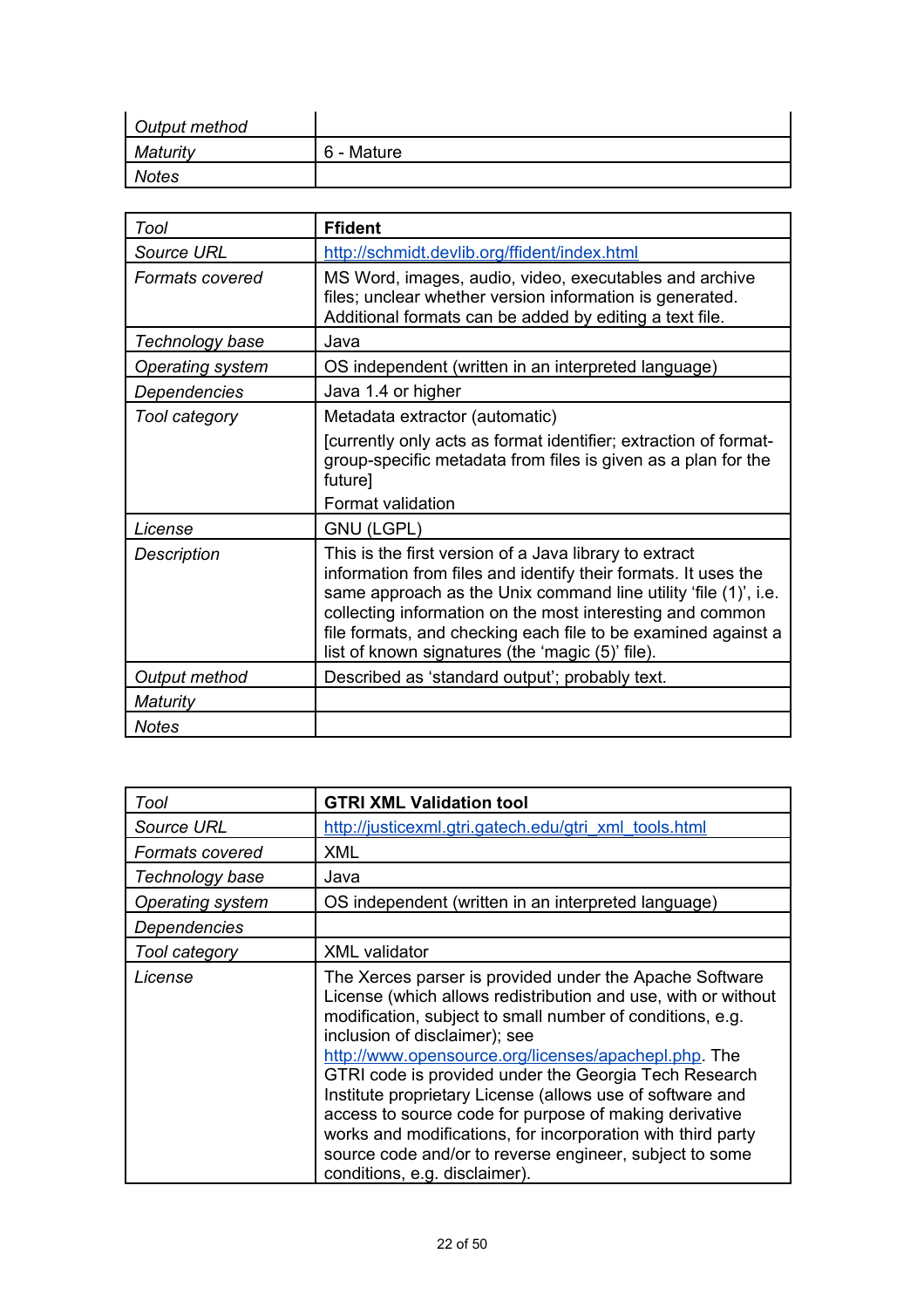| Output method |            |
|---------------|------------|
| Maturity      | 6 - Mature |
| <b>Notes</b>  |            |

| Tool               | <b>Ffident</b>                                                                                                                                                                                                                                                                                                                                                                |
|--------------------|-------------------------------------------------------------------------------------------------------------------------------------------------------------------------------------------------------------------------------------------------------------------------------------------------------------------------------------------------------------------------------|
| Source URL         | http://schmidt.devlib.org/ffident/index.html                                                                                                                                                                                                                                                                                                                                  |
| Formats covered    | MS Word, images, audio, video, executables and archive<br>files; unclear whether version information is generated.<br>Additional formats can be added by editing a text file.                                                                                                                                                                                                 |
| Technology base    | Java                                                                                                                                                                                                                                                                                                                                                                          |
| Operating system   | OS independent (written in an interpreted language)                                                                                                                                                                                                                                                                                                                           |
| Dependencies       | Java 1.4 or higher                                                                                                                                                                                                                                                                                                                                                            |
| Tool category      | Metadata extractor (automatic)                                                                                                                                                                                                                                                                                                                                                |
|                    | [currently only acts as format identifier; extraction of format-<br>group-specific metadata from files is given as a plan for the<br>future]                                                                                                                                                                                                                                  |
|                    | Format validation                                                                                                                                                                                                                                                                                                                                                             |
| License            | <b>GNU (LGPL)</b>                                                                                                                                                                                                                                                                                                                                                             |
| <b>Description</b> | This is the first version of a Java library to extract<br>information from files and identify their formats. It uses the<br>same approach as the Unix command line utility 'file (1)', i.e.<br>collecting information on the most interesting and common<br>file formats, and checking each file to be examined against a<br>list of known signatures (the 'magic (5)' file). |
| Output method      | Described as 'standard output'; probably text.                                                                                                                                                                                                                                                                                                                                |
| Maturity           |                                                                                                                                                                                                                                                                                                                                                                               |
| <b>Notes</b>       |                                                                                                                                                                                                                                                                                                                                                                               |

| Tool              | <b>GTRI XML Validation tool</b>                                                                                                                                                                                                                                                                                                                                                                                                                                                                                                                                                                                           |
|-------------------|---------------------------------------------------------------------------------------------------------------------------------------------------------------------------------------------------------------------------------------------------------------------------------------------------------------------------------------------------------------------------------------------------------------------------------------------------------------------------------------------------------------------------------------------------------------------------------------------------------------------------|
| <b>Source URL</b> | http://justicexml.gtri.gatech.edu/gtri_xml_tools.html                                                                                                                                                                                                                                                                                                                                                                                                                                                                                                                                                                     |
| Formats covered   | <b>XML</b>                                                                                                                                                                                                                                                                                                                                                                                                                                                                                                                                                                                                                |
| Technology base   | Java                                                                                                                                                                                                                                                                                                                                                                                                                                                                                                                                                                                                                      |
| Operating system  | OS independent (written in an interpreted language)                                                                                                                                                                                                                                                                                                                                                                                                                                                                                                                                                                       |
| Dependencies      |                                                                                                                                                                                                                                                                                                                                                                                                                                                                                                                                                                                                                           |
| Tool category     | <b>XML</b> validator                                                                                                                                                                                                                                                                                                                                                                                                                                                                                                                                                                                                      |
| License           | The Xerces parser is provided under the Apache Software<br>License (which allows redistribution and use, with or without<br>modification, subject to small number of conditions, e.g.<br>inclusion of disclaimer); see<br>http://www.opensource.org/licenses/apachepl.php. The<br>GTRI code is provided under the Georgia Tech Research<br>Institute proprietary License (allows use of software and<br>access to source code for purpose of making derivative<br>works and modifications, for incorporation with third party<br>source code and/or to reverse engineer, subject to some<br>conditions, e.g. disclaimer). |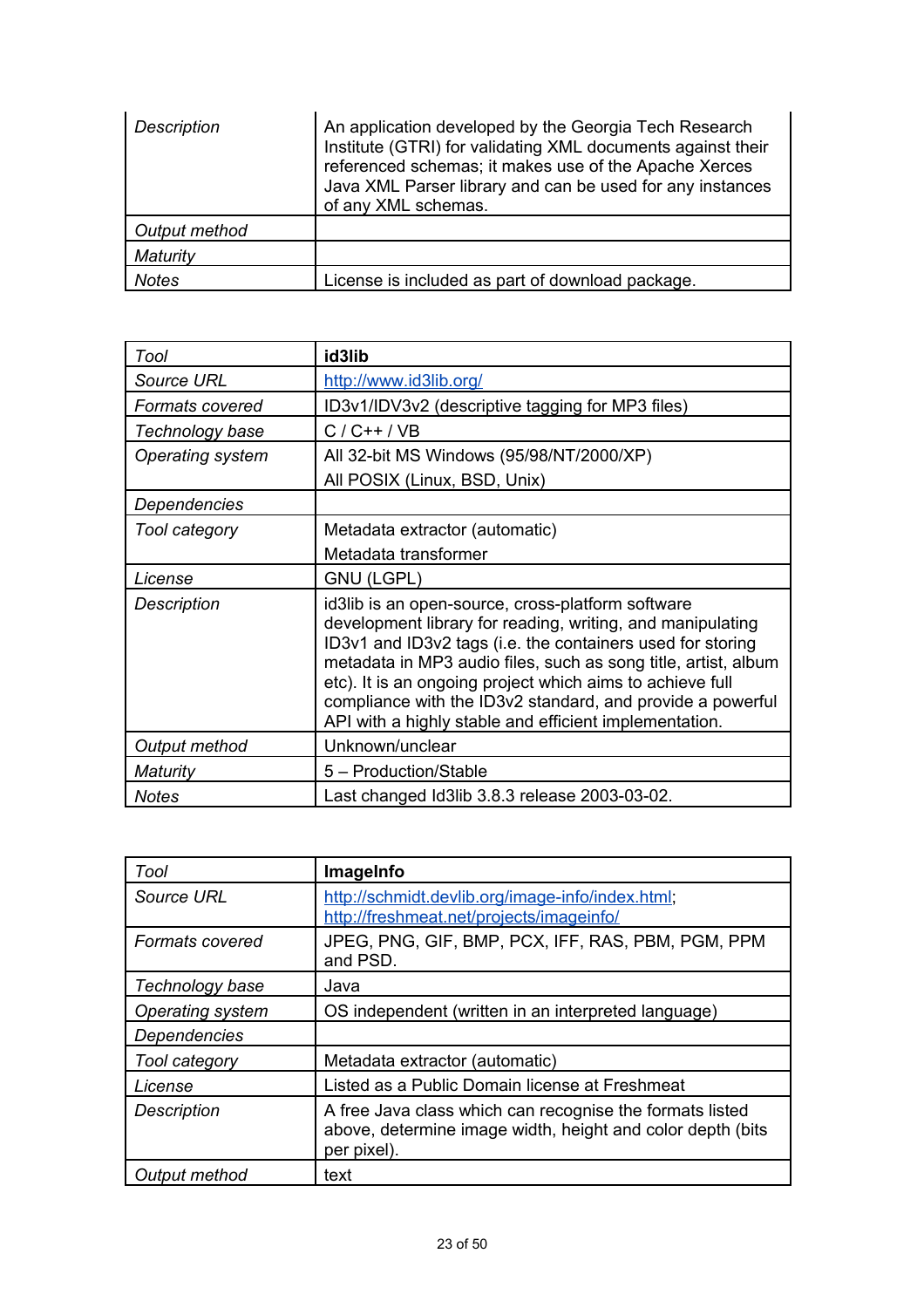| <b>Description</b> | An application developed by the Georgia Tech Research<br>Institute (GTRI) for validating XML documents against their<br>referenced schemas; it makes use of the Apache Xerces<br>Java XML Parser library and can be used for any instances<br>of any XML schemas. |
|--------------------|-------------------------------------------------------------------------------------------------------------------------------------------------------------------------------------------------------------------------------------------------------------------|
| Output method      |                                                                                                                                                                                                                                                                   |
| Maturity           |                                                                                                                                                                                                                                                                   |
| <b>Notes</b>       | License is included as part of download package.                                                                                                                                                                                                                  |

| Tool                    | id3lib                                                                                                                                                                                                                                                                                                                                                                                                                               |
|-------------------------|--------------------------------------------------------------------------------------------------------------------------------------------------------------------------------------------------------------------------------------------------------------------------------------------------------------------------------------------------------------------------------------------------------------------------------------|
| Source URL              | http://www.id3lib.org/                                                                                                                                                                                                                                                                                                                                                                                                               |
| Formats covered         | ID3v1/IDV3v2 (descriptive tagging for MP3 files)                                                                                                                                                                                                                                                                                                                                                                                     |
| Technology base         | $C/C++/VB$                                                                                                                                                                                                                                                                                                                                                                                                                           |
| <b>Operating system</b> | All 32-bit MS Windows (95/98/NT/2000/XP)                                                                                                                                                                                                                                                                                                                                                                                             |
|                         | All POSIX (Linux, BSD, Unix)                                                                                                                                                                                                                                                                                                                                                                                                         |
| Dependencies            |                                                                                                                                                                                                                                                                                                                                                                                                                                      |
| Tool category           | Metadata extractor (automatic)                                                                                                                                                                                                                                                                                                                                                                                                       |
|                         | Metadata transformer                                                                                                                                                                                                                                                                                                                                                                                                                 |
| License                 | <b>GNU (LGPL)</b>                                                                                                                                                                                                                                                                                                                                                                                                                    |
| <b>Description</b>      | id3lib is an open-source, cross-platform software<br>development library for reading, writing, and manipulating<br>ID3v1 and ID3v2 tags (i.e. the containers used for storing<br>metadata in MP3 audio files, such as song title, artist, album<br>etc). It is an ongoing project which aims to achieve full<br>compliance with the ID3v2 standard, and provide a powerful<br>API with a highly stable and efficient implementation. |
| Output method           | Unknown/unclear                                                                                                                                                                                                                                                                                                                                                                                                                      |
| Maturity                | 5 - Production/Stable                                                                                                                                                                                                                                                                                                                                                                                                                |
| <b>Notes</b>            | Last changed Id3lib 3.8.3 release 2003-03-02.                                                                                                                                                                                                                                                                                                                                                                                        |

| Tool                   | ImageInfo                                                                                                                             |
|------------------------|---------------------------------------------------------------------------------------------------------------------------------------|
| Source URL             | http://schmidt.devlib.org/image-info/index.html;<br>http://freshmeat.net/projects/imageinfo/                                          |
| <b>Formats covered</b> | JPEG, PNG, GIF, BMP, PCX, IFF, RAS, PBM, PGM, PPM<br>and PSD.                                                                         |
| Technology base        | Java                                                                                                                                  |
| Operating system       | OS independent (written in an interpreted language)                                                                                   |
| Dependencies           |                                                                                                                                       |
| Tool category          | Metadata extractor (automatic)                                                                                                        |
| License                | Listed as a Public Domain license at Freshmeat                                                                                        |
| <b>Description</b>     | A free Java class which can recognise the formats listed<br>above, determine image width, height and color depth (bits<br>per pixel). |
| Output method          | text                                                                                                                                  |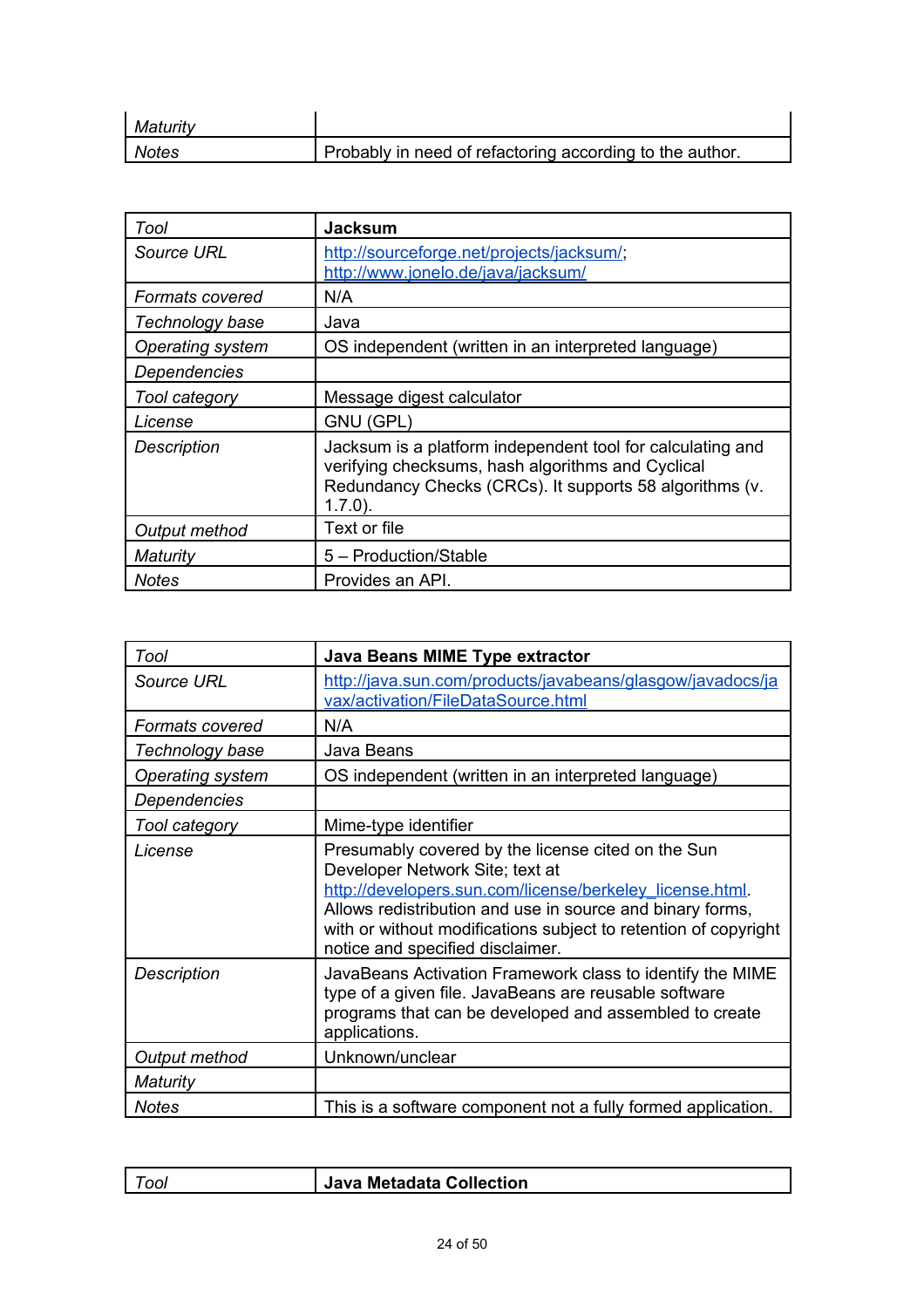| Maturity |                                                          |
|----------|----------------------------------------------------------|
| Notes    | Probably in need of refactoring according to the author. |

| Tool               | <b>Jacksum</b>                                                                                                                                                                           |
|--------------------|------------------------------------------------------------------------------------------------------------------------------------------------------------------------------------------|
| Source URL         | http://sourceforge.net/projects/jacksum/;<br>http://www.jonelo.de/java/jacksum/                                                                                                          |
| Formats covered    | N/A                                                                                                                                                                                      |
| Technology base    | Java                                                                                                                                                                                     |
| Operating system   | OS independent (written in an interpreted language)                                                                                                                                      |
| Dependencies       |                                                                                                                                                                                          |
| Tool category      | Message digest calculator                                                                                                                                                                |
| License            | GNU (GPL)                                                                                                                                                                                |
| <b>Description</b> | Jacksum is a platform independent tool for calculating and<br>verifying checksums, hash algorithms and Cyclical<br>Redundancy Checks (CRCs). It supports 58 algorithms (v.<br>$1.7.0$ ). |
| Output method      | Text or file                                                                                                                                                                             |
| Maturity           | 5 - Production/Stable                                                                                                                                                                    |
| <b>Notes</b>       | Provides an API.                                                                                                                                                                         |

| Tool                   | Java Beans MIME Type extractor                                                                                                                                                                                                                                                                                        |
|------------------------|-----------------------------------------------------------------------------------------------------------------------------------------------------------------------------------------------------------------------------------------------------------------------------------------------------------------------|
| Source URL             | http://java.sun.com/products/javabeans/glasgow/javadocs/ja<br>vax/activation/FileDataSource.html                                                                                                                                                                                                                      |
| <b>Formats covered</b> | N/A                                                                                                                                                                                                                                                                                                                   |
| Technology base        | Java Beans                                                                                                                                                                                                                                                                                                            |
| Operating system       | OS independent (written in an interpreted language)                                                                                                                                                                                                                                                                   |
| Dependencies           |                                                                                                                                                                                                                                                                                                                       |
| Tool category          | Mime-type identifier                                                                                                                                                                                                                                                                                                  |
| License                | Presumably covered by the license cited on the Sun<br>Developer Network Site; text at<br>http://developers.sun.com/license/berkeley_license.html.<br>Allows redistribution and use in source and binary forms,<br>with or without modifications subject to retention of copyright<br>notice and specified disclaimer. |
| <b>Description</b>     | JavaBeans Activation Framework class to identify the MIME<br>type of a given file. JavaBeans are reusable software<br>programs that can be developed and assembled to create<br>applications.                                                                                                                         |
| Output method          | Unknown/unclear                                                                                                                                                                                                                                                                                                       |
| Maturity               |                                                                                                                                                                                                                                                                                                                       |
| <b>Notes</b>           | This is a software component not a fully formed application.                                                                                                                                                                                                                                                          |

| $\tau_{OOI}$ | Java Metadata Collection |
|--------------|--------------------------|
|              |                          |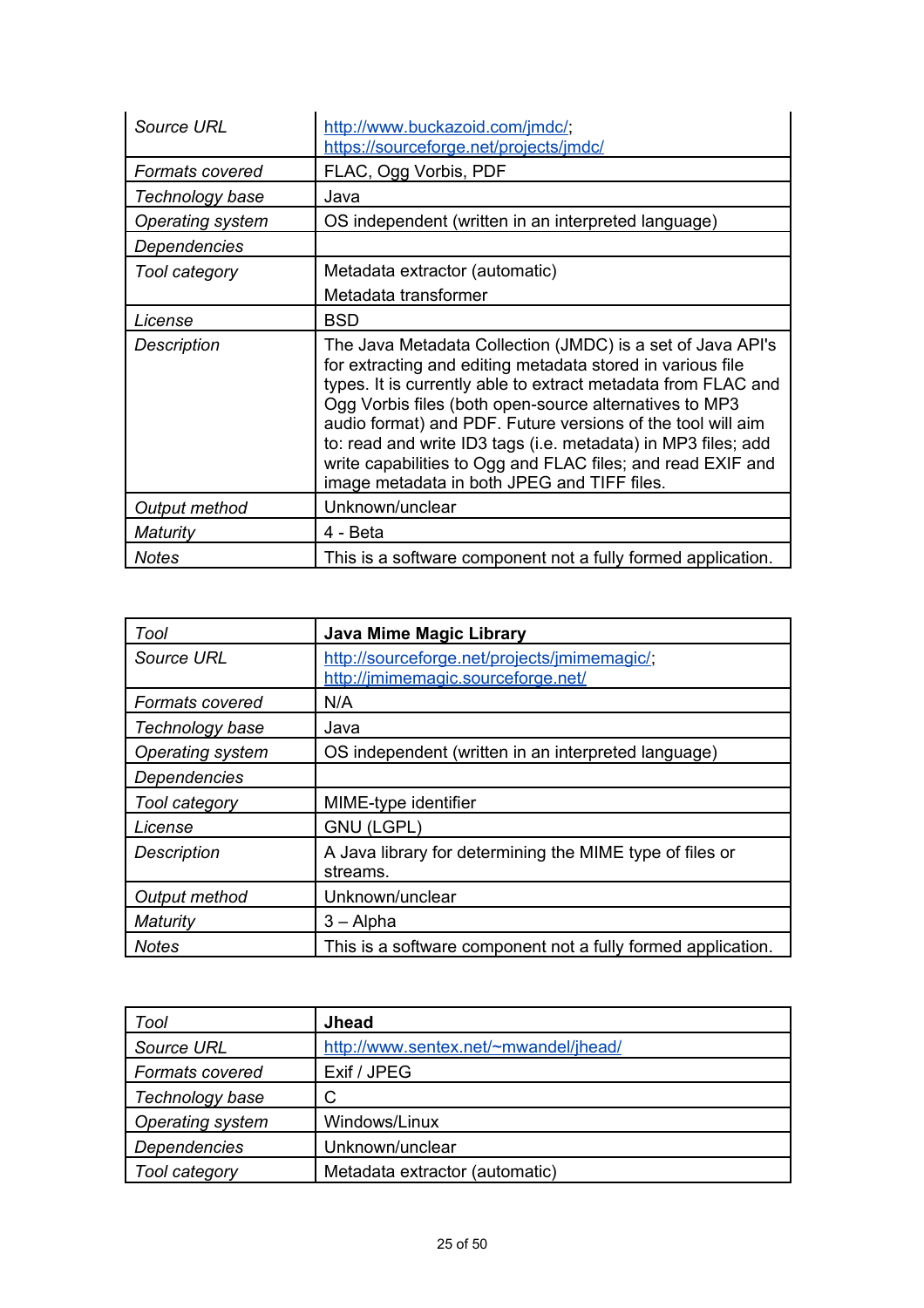| Source URL             | http://www.buckazoid.com/jmdc/;<br>https://sourceforge.net/projects/jmdc/                                                                                                                                                                                                                                                                                                                                                                                                                         |
|------------------------|---------------------------------------------------------------------------------------------------------------------------------------------------------------------------------------------------------------------------------------------------------------------------------------------------------------------------------------------------------------------------------------------------------------------------------------------------------------------------------------------------|
| <b>Formats covered</b> | FLAC, Ogg Vorbis, PDF                                                                                                                                                                                                                                                                                                                                                                                                                                                                             |
| Technology base        | Java                                                                                                                                                                                                                                                                                                                                                                                                                                                                                              |
| Operating system       | OS independent (written in an interpreted language)                                                                                                                                                                                                                                                                                                                                                                                                                                               |
| Dependencies           |                                                                                                                                                                                                                                                                                                                                                                                                                                                                                                   |
| Tool category          | Metadata extractor (automatic)                                                                                                                                                                                                                                                                                                                                                                                                                                                                    |
|                        | Metadata transformer                                                                                                                                                                                                                                                                                                                                                                                                                                                                              |
| License                | <b>BSD</b>                                                                                                                                                                                                                                                                                                                                                                                                                                                                                        |
| Description            | The Java Metadata Collection (JMDC) is a set of Java API's<br>for extracting and editing metadata stored in various file<br>types. It is currently able to extract metadata from FLAC and<br>Ogg Vorbis files (both open-source alternatives to MP3<br>audio format) and PDF. Future versions of the tool will aim<br>to: read and write ID3 tags (i.e. metadata) in MP3 files; add<br>write capabilities to Ogg and FLAC files; and read EXIF and<br>image metadata in both JPEG and TIFF files. |
| Output method          | Unknown/unclear                                                                                                                                                                                                                                                                                                                                                                                                                                                                                   |
| Maturity               | 4 - Beta                                                                                                                                                                                                                                                                                                                                                                                                                                                                                          |
| <b>Notes</b>           | This is a software component not a fully formed application.                                                                                                                                                                                                                                                                                                                                                                                                                                      |

| Tool                   | <b>Java Mime Magic Library</b>                                                     |
|------------------------|------------------------------------------------------------------------------------|
| Source URL             | http://sourceforge.net/projects/jmimemagic/;<br>http://jmimemagic.sourceforge.net/ |
| <b>Formats covered</b> | N/A                                                                                |
| Technology base        | Java                                                                               |
| Operating system       | OS independent (written in an interpreted language)                                |
| Dependencies           |                                                                                    |
| Tool category          | MIME-type identifier                                                               |
| License                | <b>GNU (LGPL)</b>                                                                  |
| <b>Description</b>     | A Java library for determining the MIME type of files or<br>streams.               |
| Output method          | Unknown/unclear                                                                    |
| Maturity               | $3 -$ Alpha                                                                        |
| <b>Notes</b>           | This is a software component not a fully formed application.                       |

| Tool                | <b>Jhead</b>                          |
|---------------------|---------------------------------------|
| Source URL          | http://www.sentex.net/~mwandel/jhead/ |
| Formats covered     | Exif / JPEG                           |
| Technology base     |                                       |
| Operating system    | Windows/Linux                         |
| <b>Dependencies</b> | Unknown/unclear                       |
| Tool category       | Metadata extractor (automatic)        |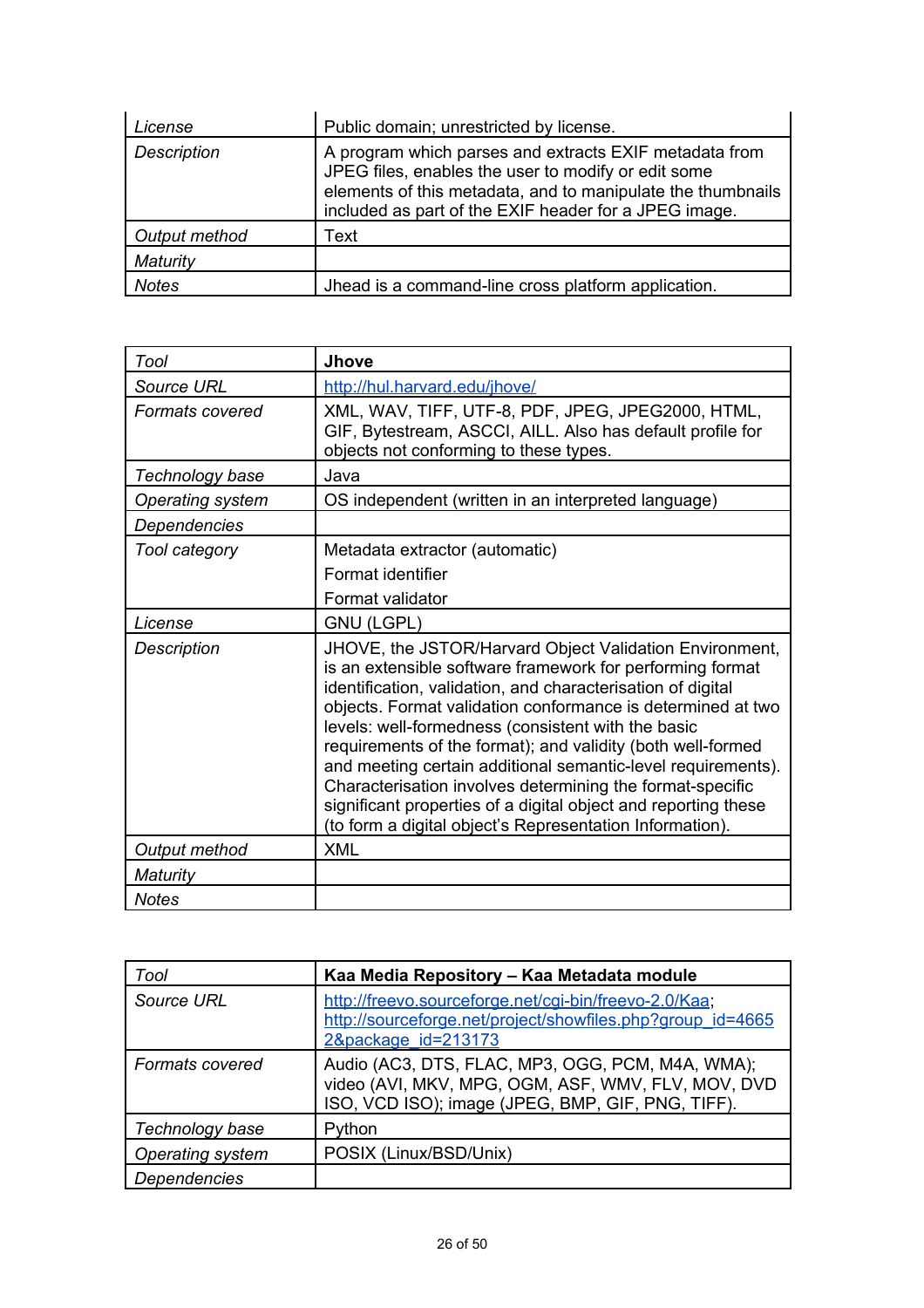| License            | Public domain; unrestricted by license.                                                                                                                                                                                               |
|--------------------|---------------------------------------------------------------------------------------------------------------------------------------------------------------------------------------------------------------------------------------|
| <b>Description</b> | A program which parses and extracts EXIF metadata from<br>JPEG files, enables the user to modify or edit some<br>elements of this metadata, and to manipulate the thumbnails<br>included as part of the EXIF header for a JPEG image. |
| Output method      | Text                                                                                                                                                                                                                                  |
| Maturity           |                                                                                                                                                                                                                                       |
| Notes              | Jhead is a command-line cross platform application.                                                                                                                                                                                   |

| Tool                    | <b>Jhove</b>                                                                                                                                                                                                                                                                                                                                                                                                                                                                                                                                                                                                                       |
|-------------------------|------------------------------------------------------------------------------------------------------------------------------------------------------------------------------------------------------------------------------------------------------------------------------------------------------------------------------------------------------------------------------------------------------------------------------------------------------------------------------------------------------------------------------------------------------------------------------------------------------------------------------------|
| <b>Source URL</b>       | http://hul.harvard.edu/jhove/                                                                                                                                                                                                                                                                                                                                                                                                                                                                                                                                                                                                      |
| <b>Formats covered</b>  | XML, WAV, TIFF, UTF-8, PDF, JPEG, JPEG2000, HTML,<br>GIF, Bytestream, ASCCI, AILL. Also has default profile for<br>objects not conforming to these types.                                                                                                                                                                                                                                                                                                                                                                                                                                                                          |
| Technology base         | Java                                                                                                                                                                                                                                                                                                                                                                                                                                                                                                                                                                                                                               |
| <b>Operating system</b> | OS independent (written in an interpreted language)                                                                                                                                                                                                                                                                                                                                                                                                                                                                                                                                                                                |
| Dependencies            |                                                                                                                                                                                                                                                                                                                                                                                                                                                                                                                                                                                                                                    |
| Tool category           | Metadata extractor (automatic)                                                                                                                                                                                                                                                                                                                                                                                                                                                                                                                                                                                                     |
|                         | Format identifier                                                                                                                                                                                                                                                                                                                                                                                                                                                                                                                                                                                                                  |
|                         | Format validator                                                                                                                                                                                                                                                                                                                                                                                                                                                                                                                                                                                                                   |
| License                 | <b>GNU (LGPL)</b>                                                                                                                                                                                                                                                                                                                                                                                                                                                                                                                                                                                                                  |
| <b>Description</b>      | JHOVE, the JSTOR/Harvard Object Validation Environment,<br>is an extensible software framework for performing format<br>identification, validation, and characterisation of digital<br>objects. Format validation conformance is determined at two<br>levels: well-formedness (consistent with the basic<br>requirements of the format); and validity (both well-formed<br>and meeting certain additional semantic-level requirements).<br>Characterisation involves determining the format-specific<br>significant properties of a digital object and reporting these<br>(to form a digital object's Representation Information). |
| Output method           | <b>XML</b>                                                                                                                                                                                                                                                                                                                                                                                                                                                                                                                                                                                                                         |
| Maturity                |                                                                                                                                                                                                                                                                                                                                                                                                                                                                                                                                                                                                                                    |
| <b>Notes</b>            |                                                                                                                                                                                                                                                                                                                                                                                                                                                                                                                                                                                                                                    |

| Tool                   | Kaa Media Repository – Kaa Metadata module                                                                                                                  |
|------------------------|-------------------------------------------------------------------------------------------------------------------------------------------------------------|
| Source URL             | http://freevo.sourceforge.net/cgi-bin/freevo-2.0/Kaa;<br>http://sourceforge.net/project/showfiles.php?group_id=4665<br>2&package id=213173                  |
| <b>Formats covered</b> | Audio (AC3, DTS, FLAC, MP3, OGG, PCM, M4A, WMA);<br>video (AVI, MKV, MPG, OGM, ASF, WMV, FLV, MOV, DVD<br>ISO, VCD ISO); image (JPEG, BMP, GIF, PNG, TIFF). |
| Technology base        | Python                                                                                                                                                      |
| Operating system       | POSIX (Linux/BSD/Unix)                                                                                                                                      |
| <b>Dependencies</b>    |                                                                                                                                                             |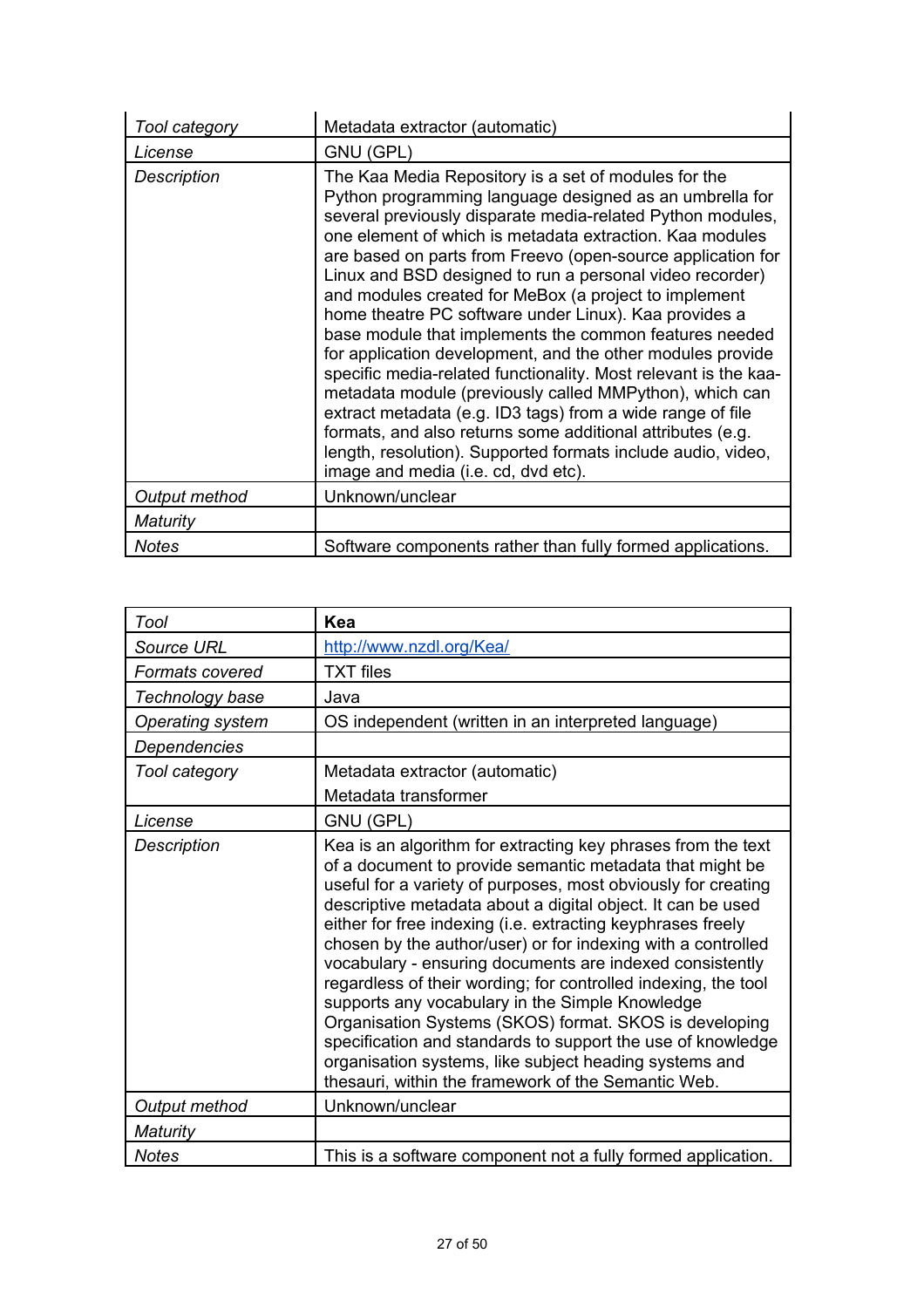| Tool category      | Metadata extractor (automatic)                                                                                                                                                                                                                                                                                                                                                                                                                                                                                                                                                                                                                                                                                                                                                                                                                                                                                                                                                  |
|--------------------|---------------------------------------------------------------------------------------------------------------------------------------------------------------------------------------------------------------------------------------------------------------------------------------------------------------------------------------------------------------------------------------------------------------------------------------------------------------------------------------------------------------------------------------------------------------------------------------------------------------------------------------------------------------------------------------------------------------------------------------------------------------------------------------------------------------------------------------------------------------------------------------------------------------------------------------------------------------------------------|
| License            | GNU (GPL)                                                                                                                                                                                                                                                                                                                                                                                                                                                                                                                                                                                                                                                                                                                                                                                                                                                                                                                                                                       |
| <b>Description</b> | The Kaa Media Repository is a set of modules for the<br>Python programming language designed as an umbrella for<br>several previously disparate media-related Python modules,<br>one element of which is metadata extraction. Kaa modules<br>are based on parts from Freevo (open-source application for<br>Linux and BSD designed to run a personal video recorder)<br>and modules created for MeBox (a project to implement<br>home theatre PC software under Linux). Kaa provides a<br>base module that implements the common features needed<br>for application development, and the other modules provide<br>specific media-related functionality. Most relevant is the kaa-<br>metadata module (previously called MMPython), which can<br>extract metadata (e.g. ID3 tags) from a wide range of file<br>formats, and also returns some additional attributes (e.g.<br>length, resolution). Supported formats include audio, video,<br>image and media (i.e. cd, dvd etc). |
| Output method      | Unknown/unclear                                                                                                                                                                                                                                                                                                                                                                                                                                                                                                                                                                                                                                                                                                                                                                                                                                                                                                                                                                 |
| Maturity           |                                                                                                                                                                                                                                                                                                                                                                                                                                                                                                                                                                                                                                                                                                                                                                                                                                                                                                                                                                                 |
| Notes              | Software components rather than fully formed applications.                                                                                                                                                                                                                                                                                                                                                                                                                                                                                                                                                                                                                                                                                                                                                                                                                                                                                                                      |

| Tool              | Kea                                                                                                                                                                                                                                                                                                                                                                                                                                                                                                                                                                                                                                                                                                                                                                                                                |
|-------------------|--------------------------------------------------------------------------------------------------------------------------------------------------------------------------------------------------------------------------------------------------------------------------------------------------------------------------------------------------------------------------------------------------------------------------------------------------------------------------------------------------------------------------------------------------------------------------------------------------------------------------------------------------------------------------------------------------------------------------------------------------------------------------------------------------------------------|
| <b>Source URL</b> | http://www.nzdl.org/Kea/                                                                                                                                                                                                                                                                                                                                                                                                                                                                                                                                                                                                                                                                                                                                                                                           |
| Formats covered   | <b>TXT</b> files                                                                                                                                                                                                                                                                                                                                                                                                                                                                                                                                                                                                                                                                                                                                                                                                   |
| Technology base   | Java                                                                                                                                                                                                                                                                                                                                                                                                                                                                                                                                                                                                                                                                                                                                                                                                               |
| Operating system  | OS independent (written in an interpreted language)                                                                                                                                                                                                                                                                                                                                                                                                                                                                                                                                                                                                                                                                                                                                                                |
| Dependencies      |                                                                                                                                                                                                                                                                                                                                                                                                                                                                                                                                                                                                                                                                                                                                                                                                                    |
| Tool category     | Metadata extractor (automatic)                                                                                                                                                                                                                                                                                                                                                                                                                                                                                                                                                                                                                                                                                                                                                                                     |
|                   | Metadata transformer                                                                                                                                                                                                                                                                                                                                                                                                                                                                                                                                                                                                                                                                                                                                                                                               |
| License           | GNU (GPL)                                                                                                                                                                                                                                                                                                                                                                                                                                                                                                                                                                                                                                                                                                                                                                                                          |
| Description       | Kea is an algorithm for extracting key phrases from the text<br>of a document to provide semantic metadata that might be<br>useful for a variety of purposes, most obviously for creating<br>descriptive metadata about a digital object. It can be used<br>either for free indexing (i.e. extracting keyphrases freely<br>chosen by the author/user) or for indexing with a controlled<br>vocabulary - ensuring documents are indexed consistently<br>regardless of their wording; for controlled indexing, the tool<br>supports any vocabulary in the Simple Knowledge<br>Organisation Systems (SKOS) format. SKOS is developing<br>specification and standards to support the use of knowledge<br>organisation systems, like subject heading systems and<br>thesauri, within the framework of the Semantic Web. |
| Output method     | Unknown/unclear                                                                                                                                                                                                                                                                                                                                                                                                                                                                                                                                                                                                                                                                                                                                                                                                    |
| Maturity          |                                                                                                                                                                                                                                                                                                                                                                                                                                                                                                                                                                                                                                                                                                                                                                                                                    |
| <b>Notes</b>      | This is a software component not a fully formed application.                                                                                                                                                                                                                                                                                                                                                                                                                                                                                                                                                                                                                                                                                                                                                       |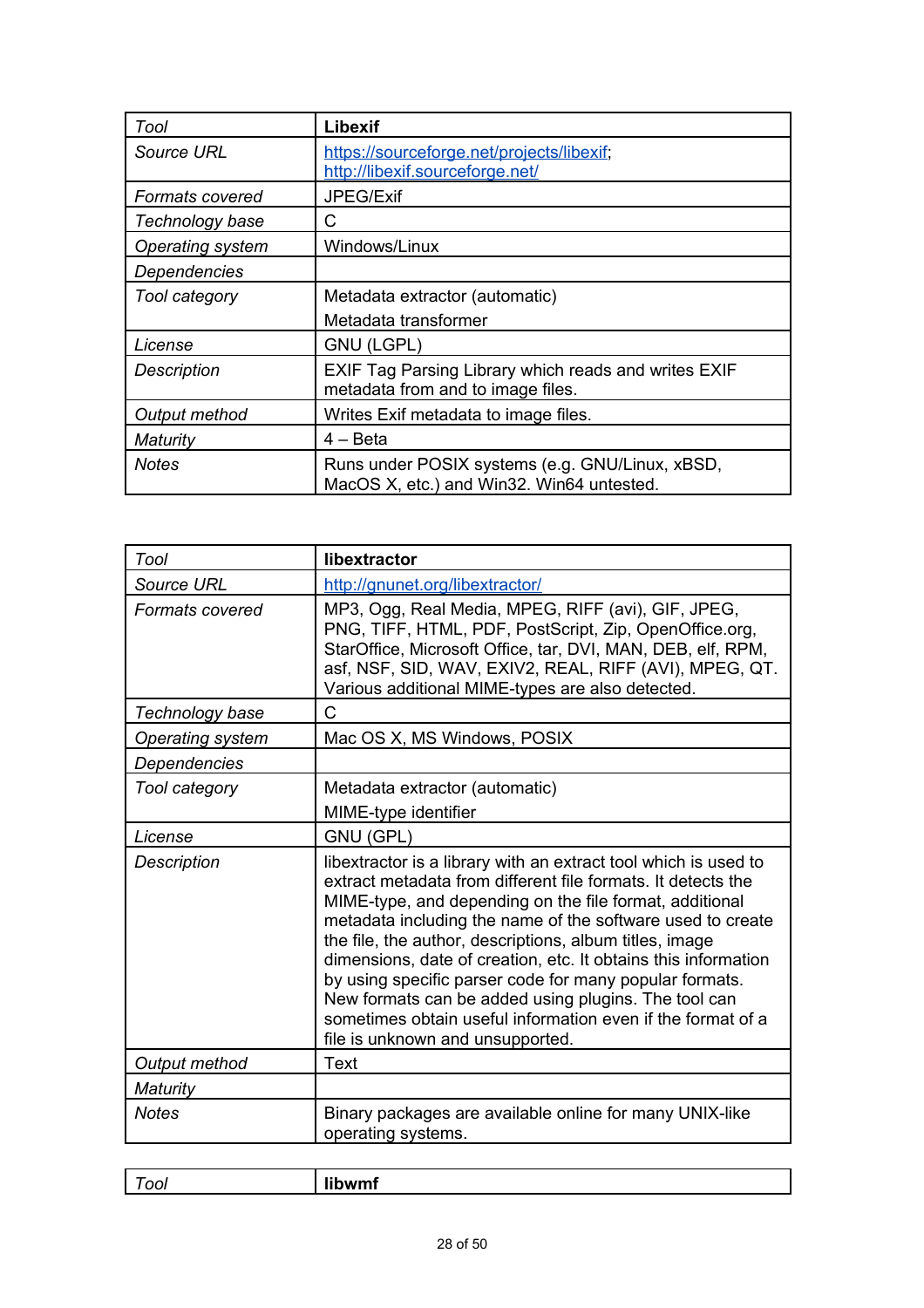| Tool                   | Libexif                                                                                      |
|------------------------|----------------------------------------------------------------------------------------------|
| Source URL             | https://sourceforge.net/projects/libexif;<br>http://libexif.sourceforge.net/                 |
| <b>Formats covered</b> | JPEG/Exif                                                                                    |
| Technology base        | C                                                                                            |
| Operating system       | Windows/Linux                                                                                |
| Dependencies           |                                                                                              |
| Tool category          | Metadata extractor (automatic)                                                               |
|                        | Metadata transformer                                                                         |
| License                | <b>GNU (LGPL)</b>                                                                            |
| <b>Description</b>     | EXIF Tag Parsing Library which reads and writes EXIF<br>metadata from and to image files.    |
| Output method          | Writes Exif metadata to image files.                                                         |
| Maturity               | $4 - Beta$                                                                                   |
| <b>Notes</b>           | Runs under POSIX systems (e.g. GNU/Linux, xBSD,<br>MacOS X, etc.) and Win32. Win64 untested. |

| Tool               | libextractor                                                                                                                                                                                                                                                                                                                                                                                                                                                                                                                                                                                                |
|--------------------|-------------------------------------------------------------------------------------------------------------------------------------------------------------------------------------------------------------------------------------------------------------------------------------------------------------------------------------------------------------------------------------------------------------------------------------------------------------------------------------------------------------------------------------------------------------------------------------------------------------|
| <b>Source URL</b>  | http://gnunet.org/libextractor/                                                                                                                                                                                                                                                                                                                                                                                                                                                                                                                                                                             |
| Formats covered    | MP3, Ogg, Real Media, MPEG, RIFF (avi), GIF, JPEG,<br>PNG, TIFF, HTML, PDF, PostScript, Zip, OpenOffice.org,<br>StarOffice, Microsoft Office, tar, DVI, MAN, DEB, elf, RPM,<br>asf, NSF, SID, WAV, EXIV2, REAL, RIFF (AVI), MPEG, QT.<br>Various additional MIME-types are also detected.                                                                                                                                                                                                                                                                                                                   |
| Technology base    | Ć                                                                                                                                                                                                                                                                                                                                                                                                                                                                                                                                                                                                           |
| Operating system   | Mac OS X, MS Windows, POSIX                                                                                                                                                                                                                                                                                                                                                                                                                                                                                                                                                                                 |
| Dependencies       |                                                                                                                                                                                                                                                                                                                                                                                                                                                                                                                                                                                                             |
| Tool category      | Metadata extractor (automatic)                                                                                                                                                                                                                                                                                                                                                                                                                                                                                                                                                                              |
|                    | MIME-type identifier                                                                                                                                                                                                                                                                                                                                                                                                                                                                                                                                                                                        |
| License            | GNU (GPL)                                                                                                                                                                                                                                                                                                                                                                                                                                                                                                                                                                                                   |
| <b>Description</b> | libextractor is a library with an extract tool which is used to<br>extract metadata from different file formats. It detects the<br>MIME-type, and depending on the file format, additional<br>metadata including the name of the software used to create<br>the file, the author, descriptions, album titles, image<br>dimensions, date of creation, etc. It obtains this information<br>by using specific parser code for many popular formats.<br>New formats can be added using plugins. The tool can<br>sometimes obtain useful information even if the format of a<br>file is unknown and unsupported. |
| Output method      | <b>Text</b>                                                                                                                                                                                                                                                                                                                                                                                                                                                                                                                                                                                                 |
| <b>Maturity</b>    |                                                                                                                                                                                                                                                                                                                                                                                                                                                                                                                                                                                                             |
| <b>Notes</b>       | Binary packages are available online for many UNIX-like<br>operating systems.                                                                                                                                                                                                                                                                                                                                                                                                                                                                                                                               |

| .<br><br>------ |
|-----------------|
|                 |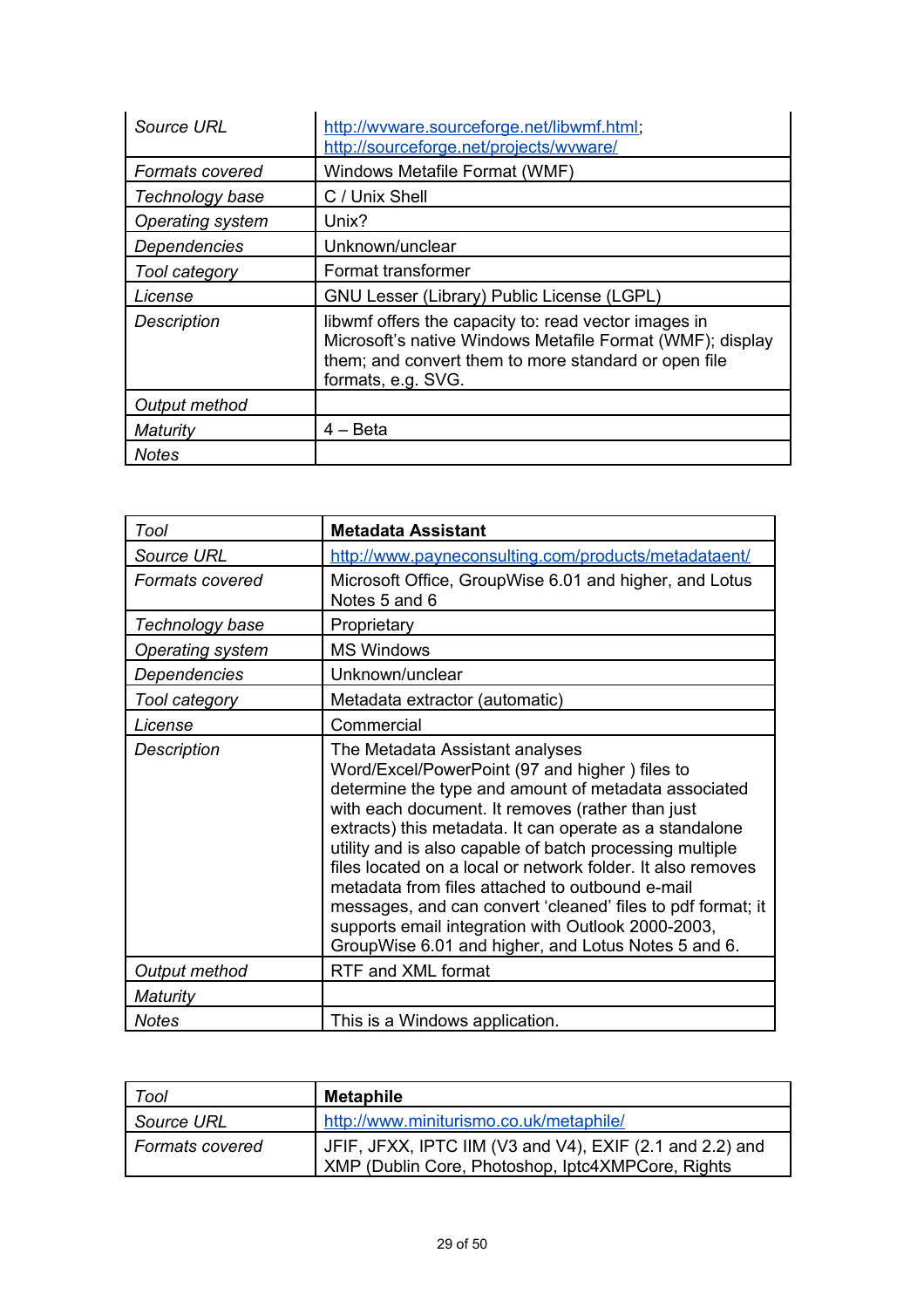| Source URL             | http://wyware.sourceforge.net/libwmf.html;<br>http://sourceforge.net/projects/wyware/                                                                                                           |
|------------------------|-------------------------------------------------------------------------------------------------------------------------------------------------------------------------------------------------|
| <b>Formats covered</b> | Windows Metafile Format (WMF)                                                                                                                                                                   |
| Technology base        | C / Unix Shell                                                                                                                                                                                  |
| Operating system       | Unix?                                                                                                                                                                                           |
| <b>Dependencies</b>    | Unknown/unclear                                                                                                                                                                                 |
| Tool category          | Format transformer                                                                                                                                                                              |
| License                | GNU Lesser (Library) Public License (LGPL)                                                                                                                                                      |
| <b>Description</b>     | libwmf offers the capacity to: read vector images in<br>Microsoft's native Windows Metafile Format (WMF); display<br>them; and convert them to more standard or open file<br>formats, e.g. SVG. |
| Output method          |                                                                                                                                                                                                 |
| Maturity               | 4 – Beta                                                                                                                                                                                        |
| <b>Notes</b>           |                                                                                                                                                                                                 |

| Tool                   | <b>Metadata Assistant</b>                                                                                                                                                                                                                                                                                                                                                                                                                                                                                                                                                                                          |
|------------------------|--------------------------------------------------------------------------------------------------------------------------------------------------------------------------------------------------------------------------------------------------------------------------------------------------------------------------------------------------------------------------------------------------------------------------------------------------------------------------------------------------------------------------------------------------------------------------------------------------------------------|
| Source URL             | http://www.payneconsulting.com/products/metadataent/                                                                                                                                                                                                                                                                                                                                                                                                                                                                                                                                                               |
| <b>Formats covered</b> | Microsoft Office, GroupWise 6.01 and higher, and Lotus<br>Notes 5 and 6                                                                                                                                                                                                                                                                                                                                                                                                                                                                                                                                            |
| Technology base        | Proprietary                                                                                                                                                                                                                                                                                                                                                                                                                                                                                                                                                                                                        |
| Operating system       | <b>MS Windows</b>                                                                                                                                                                                                                                                                                                                                                                                                                                                                                                                                                                                                  |
| Dependencies           | Unknown/unclear                                                                                                                                                                                                                                                                                                                                                                                                                                                                                                                                                                                                    |
| Tool category          | Metadata extractor (automatic)                                                                                                                                                                                                                                                                                                                                                                                                                                                                                                                                                                                     |
| License                | Commercial                                                                                                                                                                                                                                                                                                                                                                                                                                                                                                                                                                                                         |
| Description            | The Metadata Assistant analyses<br>Word/Excel/PowerPoint (97 and higher) files to<br>determine the type and amount of metadata associated<br>with each document. It removes (rather than just<br>extracts) this metadata. It can operate as a standalone<br>utility and is also capable of batch processing multiple<br>files located on a local or network folder. It also removes<br>metadata from files attached to outbound e-mail<br>messages, and can convert 'cleaned' files to pdf format; it<br>supports email integration with Outlook 2000-2003,<br>GroupWise 6.01 and higher, and Lotus Notes 5 and 6. |
| Output method          | RTF and XML format                                                                                                                                                                                                                                                                                                                                                                                                                                                                                                                                                                                                 |
| Maturity               |                                                                                                                                                                                                                                                                                                                                                                                                                                                                                                                                                                                                                    |
| <b>Notes</b>           | This is a Windows application.                                                                                                                                                                                                                                                                                                                                                                                                                                                                                                                                                                                     |

| Tool                   | <b>Metaphile</b>                                                                                              |
|------------------------|---------------------------------------------------------------------------------------------------------------|
| Source URL             | http://www.miniturismo.co.uk/metaphile/                                                                       |
| <b>Formats covered</b> | JFIF, JFXX, IPTC IIM (V3 and V4), EXIF (2.1 and 2.2) and<br>XMP (Dublin Core, Photoshop, Iptc4XMPCore, Rights |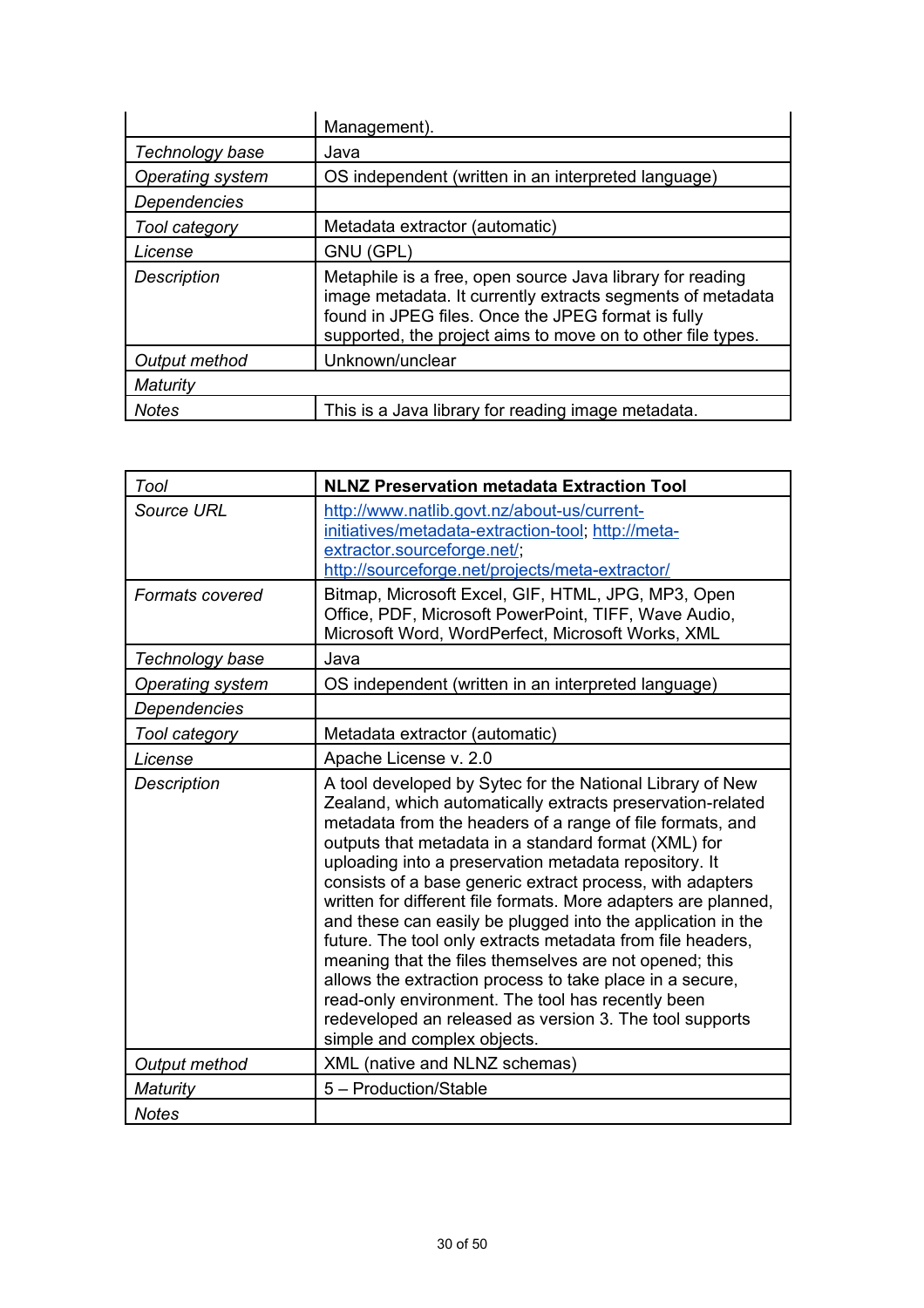|                         | Management).                                                                                                                                                                                                                                 |
|-------------------------|----------------------------------------------------------------------------------------------------------------------------------------------------------------------------------------------------------------------------------------------|
| Technology base         | Java                                                                                                                                                                                                                                         |
| <b>Operating system</b> | OS independent (written in an interpreted language)                                                                                                                                                                                          |
| <b>Dependencies</b>     |                                                                                                                                                                                                                                              |
| Tool category           | Metadata extractor (automatic)                                                                                                                                                                                                               |
| License                 | GNU (GPL)                                                                                                                                                                                                                                    |
| <b>Description</b>      | Metaphile is a free, open source Java library for reading<br>image metadata. It currently extracts segments of metadata<br>found in JPEG files. Once the JPEG format is fully<br>supported, the project aims to move on to other file types. |
| Output method           | Unknown/unclear                                                                                                                                                                                                                              |
| Maturity                |                                                                                                                                                                                                                                              |
| <b>Notes</b>            | This is a Java library for reading image metadata.                                                                                                                                                                                           |

| Tool               | <b>NLNZ Preservation metadata Extraction Tool</b>                                                                                                                                                                                                                                                                                                                                                                                                                                                                                                                                                                                                                                                                                                                                                                                      |
|--------------------|----------------------------------------------------------------------------------------------------------------------------------------------------------------------------------------------------------------------------------------------------------------------------------------------------------------------------------------------------------------------------------------------------------------------------------------------------------------------------------------------------------------------------------------------------------------------------------------------------------------------------------------------------------------------------------------------------------------------------------------------------------------------------------------------------------------------------------------|
| Source URL         | http://www.natlib.govt.nz/about-us/current-<br>initiatives/metadata-extraction-tool; http://meta-<br>extractor.sourceforge.net/;<br>http://sourceforge.net/projects/meta-extractor/                                                                                                                                                                                                                                                                                                                                                                                                                                                                                                                                                                                                                                                    |
| Formats covered    | Bitmap, Microsoft Excel, GIF, HTML, JPG, MP3, Open<br>Office, PDF, Microsoft PowerPoint, TIFF, Wave Audio,<br>Microsoft Word, WordPerfect, Microsoft Works, XML                                                                                                                                                                                                                                                                                                                                                                                                                                                                                                                                                                                                                                                                        |
| Technology base    | Java                                                                                                                                                                                                                                                                                                                                                                                                                                                                                                                                                                                                                                                                                                                                                                                                                                   |
| Operating system   | OS independent (written in an interpreted language)                                                                                                                                                                                                                                                                                                                                                                                                                                                                                                                                                                                                                                                                                                                                                                                    |
| Dependencies       |                                                                                                                                                                                                                                                                                                                                                                                                                                                                                                                                                                                                                                                                                                                                                                                                                                        |
| Tool category      | Metadata extractor (automatic)                                                                                                                                                                                                                                                                                                                                                                                                                                                                                                                                                                                                                                                                                                                                                                                                         |
| License            | Apache License v. 2.0                                                                                                                                                                                                                                                                                                                                                                                                                                                                                                                                                                                                                                                                                                                                                                                                                  |
| <b>Description</b> | A tool developed by Sytec for the National Library of New<br>Zealand, which automatically extracts preservation-related<br>metadata from the headers of a range of file formats, and<br>outputs that metadata in a standard format (XML) for<br>uploading into a preservation metadata repository. It<br>consists of a base generic extract process, with adapters<br>written for different file formats. More adapters are planned,<br>and these can easily be plugged into the application in the<br>future. The tool only extracts metadata from file headers,<br>meaning that the files themselves are not opened; this<br>allows the extraction process to take place in a secure,<br>read-only environment. The tool has recently been<br>redeveloped an released as version 3. The tool supports<br>simple and complex objects. |
| Output method      | XML (native and NLNZ schemas)                                                                                                                                                                                                                                                                                                                                                                                                                                                                                                                                                                                                                                                                                                                                                                                                          |
| Maturity           | 5 - Production/Stable                                                                                                                                                                                                                                                                                                                                                                                                                                                                                                                                                                                                                                                                                                                                                                                                                  |
| <b>Notes</b>       |                                                                                                                                                                                                                                                                                                                                                                                                                                                                                                                                                                                                                                                                                                                                                                                                                                        |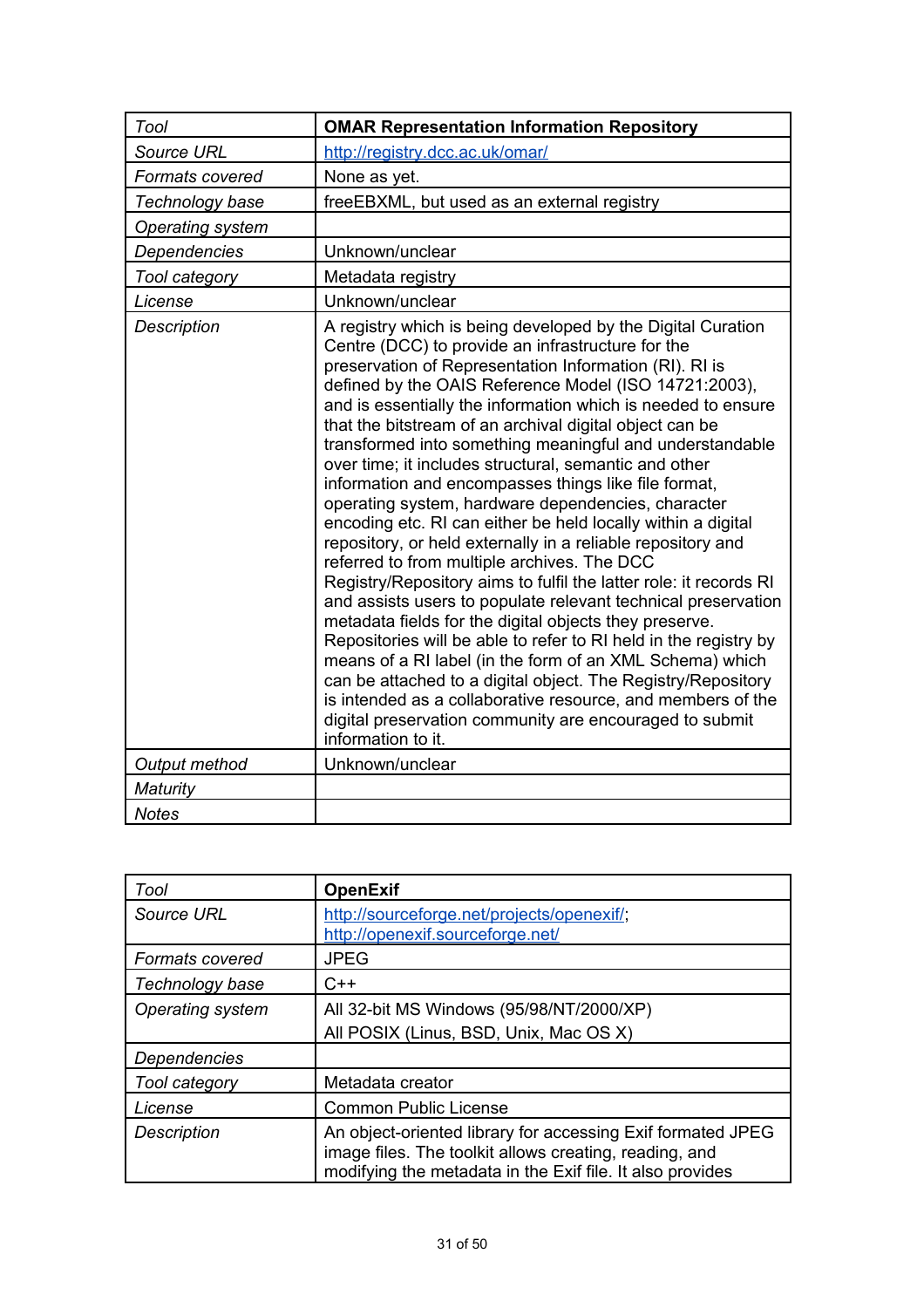| Tool                    | <b>OMAR Representation Information Repository</b>                                                                                                                                                                                                                                                                                                                                                                                                                                                                                                                                                                                                                                                                                                                                                                                                                                                                                                                                                                                                                                                                                                                                                                                                                                                                               |
|-------------------------|---------------------------------------------------------------------------------------------------------------------------------------------------------------------------------------------------------------------------------------------------------------------------------------------------------------------------------------------------------------------------------------------------------------------------------------------------------------------------------------------------------------------------------------------------------------------------------------------------------------------------------------------------------------------------------------------------------------------------------------------------------------------------------------------------------------------------------------------------------------------------------------------------------------------------------------------------------------------------------------------------------------------------------------------------------------------------------------------------------------------------------------------------------------------------------------------------------------------------------------------------------------------------------------------------------------------------------|
| Source URL              | http://registry.dcc.ac.uk/omar/                                                                                                                                                                                                                                                                                                                                                                                                                                                                                                                                                                                                                                                                                                                                                                                                                                                                                                                                                                                                                                                                                                                                                                                                                                                                                                 |
| <b>Formats covered</b>  | None as yet.                                                                                                                                                                                                                                                                                                                                                                                                                                                                                                                                                                                                                                                                                                                                                                                                                                                                                                                                                                                                                                                                                                                                                                                                                                                                                                                    |
| Technology base         | freeEBXML, but used as an external registry                                                                                                                                                                                                                                                                                                                                                                                                                                                                                                                                                                                                                                                                                                                                                                                                                                                                                                                                                                                                                                                                                                                                                                                                                                                                                     |
| <b>Operating system</b> |                                                                                                                                                                                                                                                                                                                                                                                                                                                                                                                                                                                                                                                                                                                                                                                                                                                                                                                                                                                                                                                                                                                                                                                                                                                                                                                                 |
| Dependencies            | Unknown/unclear                                                                                                                                                                                                                                                                                                                                                                                                                                                                                                                                                                                                                                                                                                                                                                                                                                                                                                                                                                                                                                                                                                                                                                                                                                                                                                                 |
| Tool category           | Metadata registry                                                                                                                                                                                                                                                                                                                                                                                                                                                                                                                                                                                                                                                                                                                                                                                                                                                                                                                                                                                                                                                                                                                                                                                                                                                                                                               |
| License                 | Unknown/unclear                                                                                                                                                                                                                                                                                                                                                                                                                                                                                                                                                                                                                                                                                                                                                                                                                                                                                                                                                                                                                                                                                                                                                                                                                                                                                                                 |
| <b>Description</b>      | A registry which is being developed by the Digital Curation<br>Centre (DCC) to provide an infrastructure for the<br>preservation of Representation Information (RI). RI is<br>defined by the OAIS Reference Model (ISO 14721:2003),<br>and is essentially the information which is needed to ensure<br>that the bitstream of an archival digital object can be<br>transformed into something meaningful and understandable<br>over time; it includes structural, semantic and other<br>information and encompasses things like file format,<br>operating system, hardware dependencies, character<br>encoding etc. RI can either be held locally within a digital<br>repository, or held externally in a reliable repository and<br>referred to from multiple archives. The DCC<br>Registry/Repository aims to fulfil the latter role: it records RI<br>and assists users to populate relevant technical preservation<br>metadata fields for the digital objects they preserve.<br>Repositories will be able to refer to RI held in the registry by<br>means of a RI label (in the form of an XML Schema) which<br>can be attached to a digital object. The Registry/Repository<br>is intended as a collaborative resource, and members of the<br>digital preservation community are encouraged to submit<br>information to it. |
| Output method           | Unknown/unclear                                                                                                                                                                                                                                                                                                                                                                                                                                                                                                                                                                                                                                                                                                                                                                                                                                                                                                                                                                                                                                                                                                                                                                                                                                                                                                                 |
| Maturity                |                                                                                                                                                                                                                                                                                                                                                                                                                                                                                                                                                                                                                                                                                                                                                                                                                                                                                                                                                                                                                                                                                                                                                                                                                                                                                                                                 |
| <b>Notes</b>            |                                                                                                                                                                                                                                                                                                                                                                                                                                                                                                                                                                                                                                                                                                                                                                                                                                                                                                                                                                                                                                                                                                                                                                                                                                                                                                                                 |

| Tool                   | <b>OpenExif</b>                                                                                                                                                                    |
|------------------------|------------------------------------------------------------------------------------------------------------------------------------------------------------------------------------|
| Source URL             | http://sourceforge.net/projects/openexif/;<br>http://openexif.sourceforge.net/                                                                                                     |
| <b>Formats covered</b> | <b>JPEG</b>                                                                                                                                                                        |
| Technology base        | $C++$                                                                                                                                                                              |
| Operating system       | All 32-bit MS Windows (95/98/NT/2000/XP)                                                                                                                                           |
|                        | All POSIX (Linus, BSD, Unix, Mac OS X)                                                                                                                                             |
| <b>Dependencies</b>    |                                                                                                                                                                                    |
| Tool category          | Metadata creator                                                                                                                                                                   |
| License                | <b>Common Public License</b>                                                                                                                                                       |
| <b>Description</b>     | An object-oriented library for accessing Exif formated JPEG<br>image files. The toolkit allows creating, reading, and<br>modifying the metadata in the Exif file. It also provides |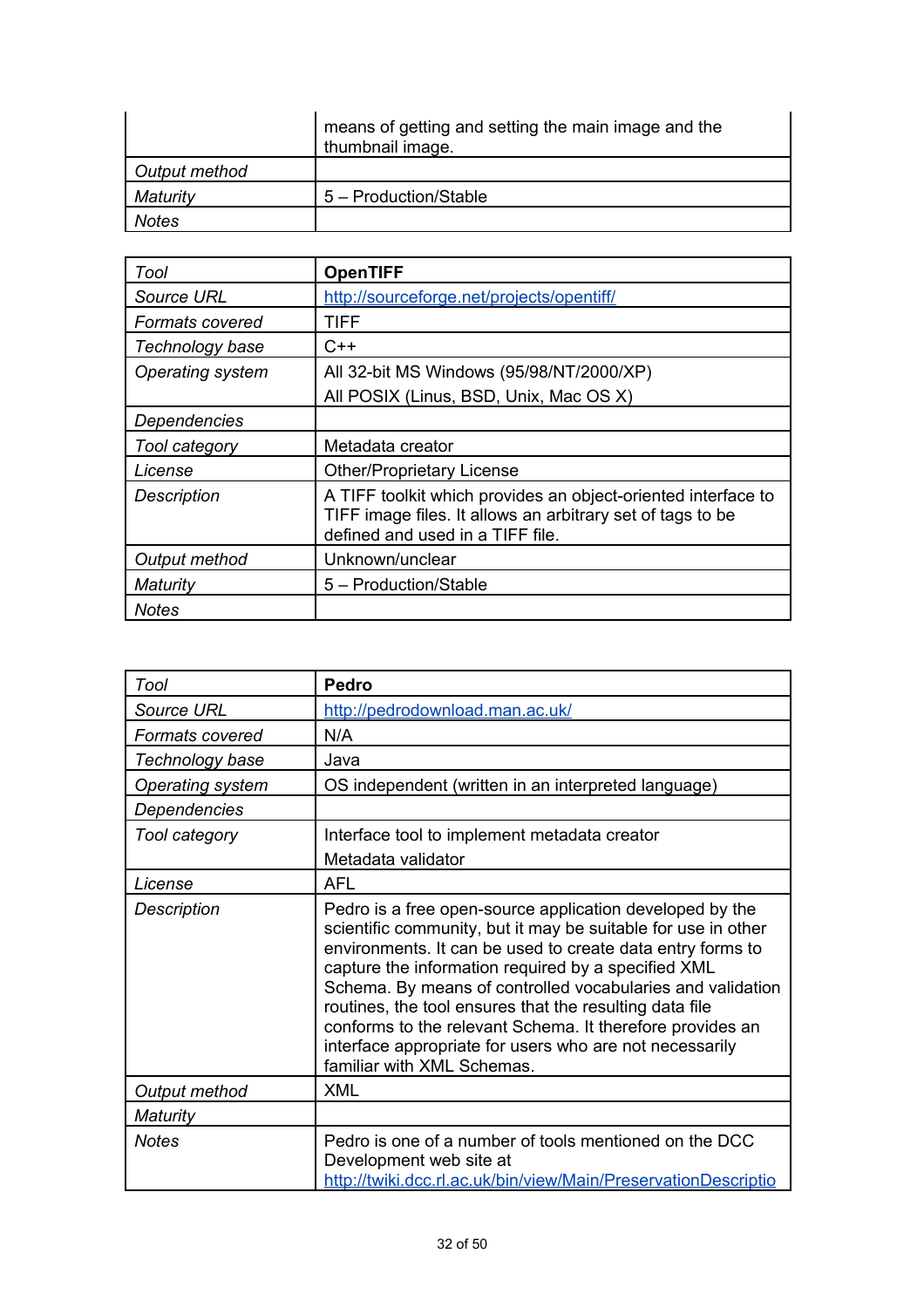|               | means of getting and setting the main image and the<br>thumbnail image. |
|---------------|-------------------------------------------------------------------------|
| Output method |                                                                         |
| Maturity      | 5 - Production/Stable                                                   |
| Notes         |                                                                         |

| Tool                   | <b>OpenTIFF</b>                                                                                                                                                 |
|------------------------|-----------------------------------------------------------------------------------------------------------------------------------------------------------------|
| Source URL             | http://sourceforge.net/projects/opentiff/                                                                                                                       |
| <b>Formats covered</b> | TIFF                                                                                                                                                            |
| Technology base        | $C++$                                                                                                                                                           |
| Operating system       | All 32-bit MS Windows (95/98/NT/2000/XP)                                                                                                                        |
|                        | All POSIX (Linus, BSD, Unix, Mac OS X)                                                                                                                          |
| Dependencies           |                                                                                                                                                                 |
| Tool category          | Metadata creator                                                                                                                                                |
| License                | <b>Other/Proprietary License</b>                                                                                                                                |
| <b>Description</b>     | A TIFF toolkit which provides an object-oriented interface to<br>TIFF image files. It allows an arbitrary set of tags to be<br>defined and used in a TIFF file. |
| Output method          | Unknown/unclear                                                                                                                                                 |
| Maturity               | 5 - Production/Stable                                                                                                                                           |
| <b>Notes</b>           |                                                                                                                                                                 |

| Tool               | <b>Pedro</b>                                                                                                                                                                                                                                                                                                                                                                                                                                                                                                                  |
|--------------------|-------------------------------------------------------------------------------------------------------------------------------------------------------------------------------------------------------------------------------------------------------------------------------------------------------------------------------------------------------------------------------------------------------------------------------------------------------------------------------------------------------------------------------|
| Source URL         | http://pedrodownload.man.ac.uk/                                                                                                                                                                                                                                                                                                                                                                                                                                                                                               |
| Formats covered    | N/A                                                                                                                                                                                                                                                                                                                                                                                                                                                                                                                           |
| Technology base    | Java                                                                                                                                                                                                                                                                                                                                                                                                                                                                                                                          |
| Operating system   | OS independent (written in an interpreted language)                                                                                                                                                                                                                                                                                                                                                                                                                                                                           |
| Dependencies       |                                                                                                                                                                                                                                                                                                                                                                                                                                                                                                                               |
| Tool category      | Interface tool to implement metadata creator                                                                                                                                                                                                                                                                                                                                                                                                                                                                                  |
|                    | Metadata validator                                                                                                                                                                                                                                                                                                                                                                                                                                                                                                            |
| License            | AFL                                                                                                                                                                                                                                                                                                                                                                                                                                                                                                                           |
| <b>Description</b> | Pedro is a free open-source application developed by the<br>scientific community, but it may be suitable for use in other<br>environments. It can be used to create data entry forms to<br>capture the information required by a specified XML<br>Schema. By means of controlled vocabularies and validation<br>routines, the tool ensures that the resulting data file<br>conforms to the relevant Schema. It therefore provides an<br>interface appropriate for users who are not necessarily<br>familiar with XML Schemas. |
| Output method      | <b>XML</b>                                                                                                                                                                                                                                                                                                                                                                                                                                                                                                                    |
| <b>Maturity</b>    |                                                                                                                                                                                                                                                                                                                                                                                                                                                                                                                               |
| <b>Notes</b>       | Pedro is one of a number of tools mentioned on the DCC<br>Development web site at<br>http://twiki.dcc.rl.ac.uk/bin/view/Main/PreservationDescriptio                                                                                                                                                                                                                                                                                                                                                                           |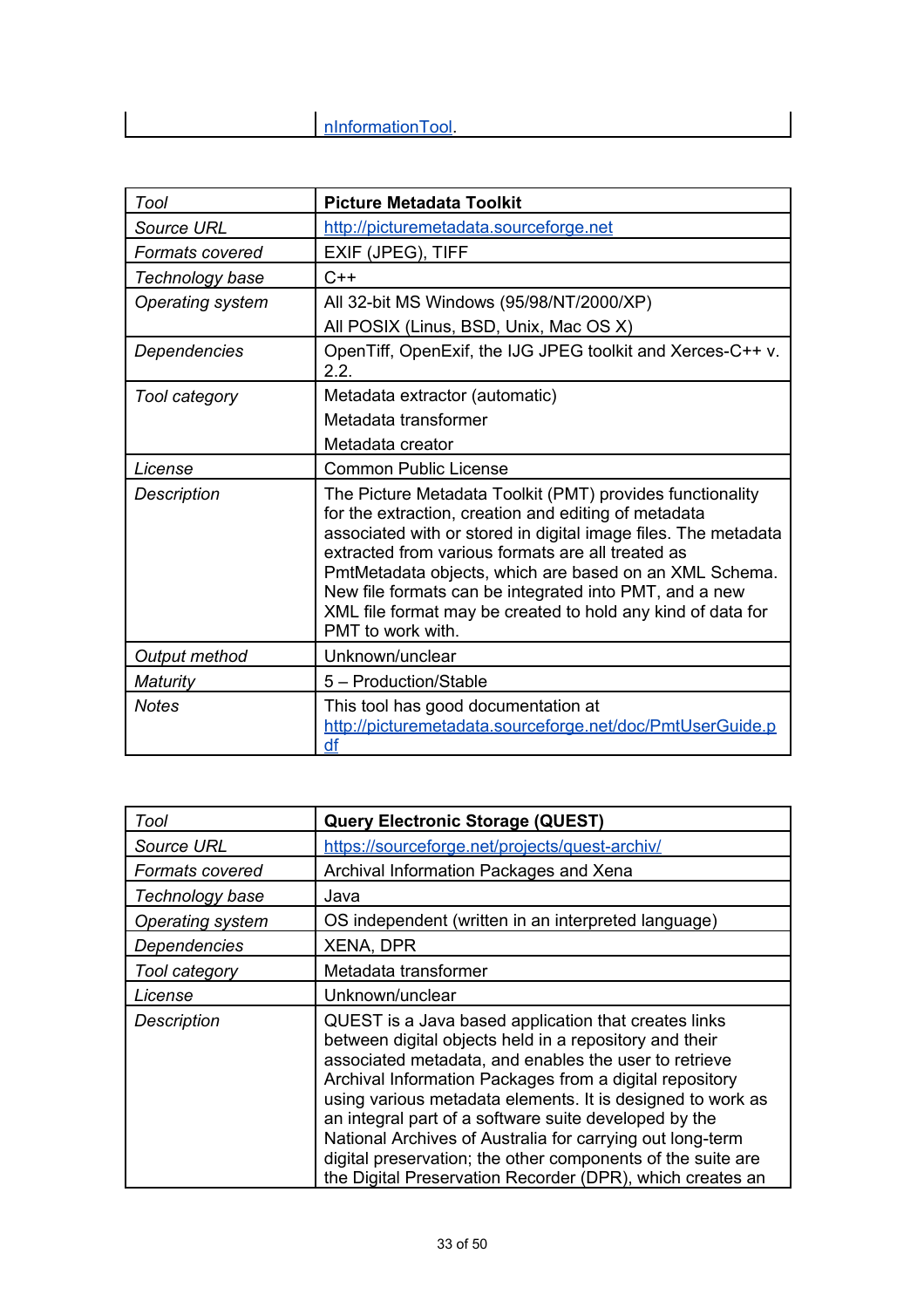| Tool                   | <b>Picture Metadata Toolkit</b>                                                                                                                                                                                                                                                                                                                                                                                                                  |
|------------------------|--------------------------------------------------------------------------------------------------------------------------------------------------------------------------------------------------------------------------------------------------------------------------------------------------------------------------------------------------------------------------------------------------------------------------------------------------|
| <b>Source URL</b>      | http://picturemetadata.sourceforge.net                                                                                                                                                                                                                                                                                                                                                                                                           |
| <b>Formats covered</b> | EXIF (JPEG), TIFF                                                                                                                                                                                                                                                                                                                                                                                                                                |
| Technology base        | $C++$                                                                                                                                                                                                                                                                                                                                                                                                                                            |
| Operating system       | All 32-bit MS Windows (95/98/NT/2000/XP)                                                                                                                                                                                                                                                                                                                                                                                                         |
|                        | All POSIX (Linus, BSD, Unix, Mac OS X)                                                                                                                                                                                                                                                                                                                                                                                                           |
| Dependencies           | OpenTiff, OpenExif, the IJG JPEG toolkit and Xerces-C++ v.<br>2.2.                                                                                                                                                                                                                                                                                                                                                                               |
| Tool category          | Metadata extractor (automatic)                                                                                                                                                                                                                                                                                                                                                                                                                   |
|                        | Metadata transformer                                                                                                                                                                                                                                                                                                                                                                                                                             |
|                        | Metadata creator                                                                                                                                                                                                                                                                                                                                                                                                                                 |
| License                | <b>Common Public License</b>                                                                                                                                                                                                                                                                                                                                                                                                                     |
| <b>Description</b>     | The Picture Metadata Toolkit (PMT) provides functionality<br>for the extraction, creation and editing of metadata<br>associated with or stored in digital image files. The metadata<br>extracted from various formats are all treated as<br>PmtMetadata objects, which are based on an XML Schema.<br>New file formats can be integrated into PMT, and a new<br>XML file format may be created to hold any kind of data for<br>PMT to work with. |
| Output method          | Unknown/unclear                                                                                                                                                                                                                                                                                                                                                                                                                                  |
| Maturity               | 5 - Production/Stable                                                                                                                                                                                                                                                                                                                                                                                                                            |
| <b>Notes</b>           | This tool has good documentation at<br>http://picturemetadata.sourceforge.net/doc/PmtUserGuide.p<br>df                                                                                                                                                                                                                                                                                                                                           |

| Tool               | Query Electronic Storage (QUEST)                                                                                                                                                                                                                                                                                                                                                                                                                                                                                                                   |
|--------------------|----------------------------------------------------------------------------------------------------------------------------------------------------------------------------------------------------------------------------------------------------------------------------------------------------------------------------------------------------------------------------------------------------------------------------------------------------------------------------------------------------------------------------------------------------|
| Source URL         | https://sourceforge.net/projects/quest-archiv/                                                                                                                                                                                                                                                                                                                                                                                                                                                                                                     |
| Formats covered    | Archival Information Packages and Xena                                                                                                                                                                                                                                                                                                                                                                                                                                                                                                             |
| Technology base    | Java                                                                                                                                                                                                                                                                                                                                                                                                                                                                                                                                               |
| Operating system   | OS independent (written in an interpreted language)                                                                                                                                                                                                                                                                                                                                                                                                                                                                                                |
| Dependencies       | <b>XENA, DPR</b>                                                                                                                                                                                                                                                                                                                                                                                                                                                                                                                                   |
| Tool category      | Metadata transformer                                                                                                                                                                                                                                                                                                                                                                                                                                                                                                                               |
| License            | Unknown/unclear                                                                                                                                                                                                                                                                                                                                                                                                                                                                                                                                    |
| <b>Description</b> | QUEST is a Java based application that creates links<br>between digital objects held in a repository and their<br>associated metadata, and enables the user to retrieve<br>Archival Information Packages from a digital repository<br>using various metadata elements. It is designed to work as<br>an integral part of a software suite developed by the<br>National Archives of Australia for carrying out long-term<br>digital preservation; the other components of the suite are<br>the Digital Preservation Recorder (DPR), which creates an |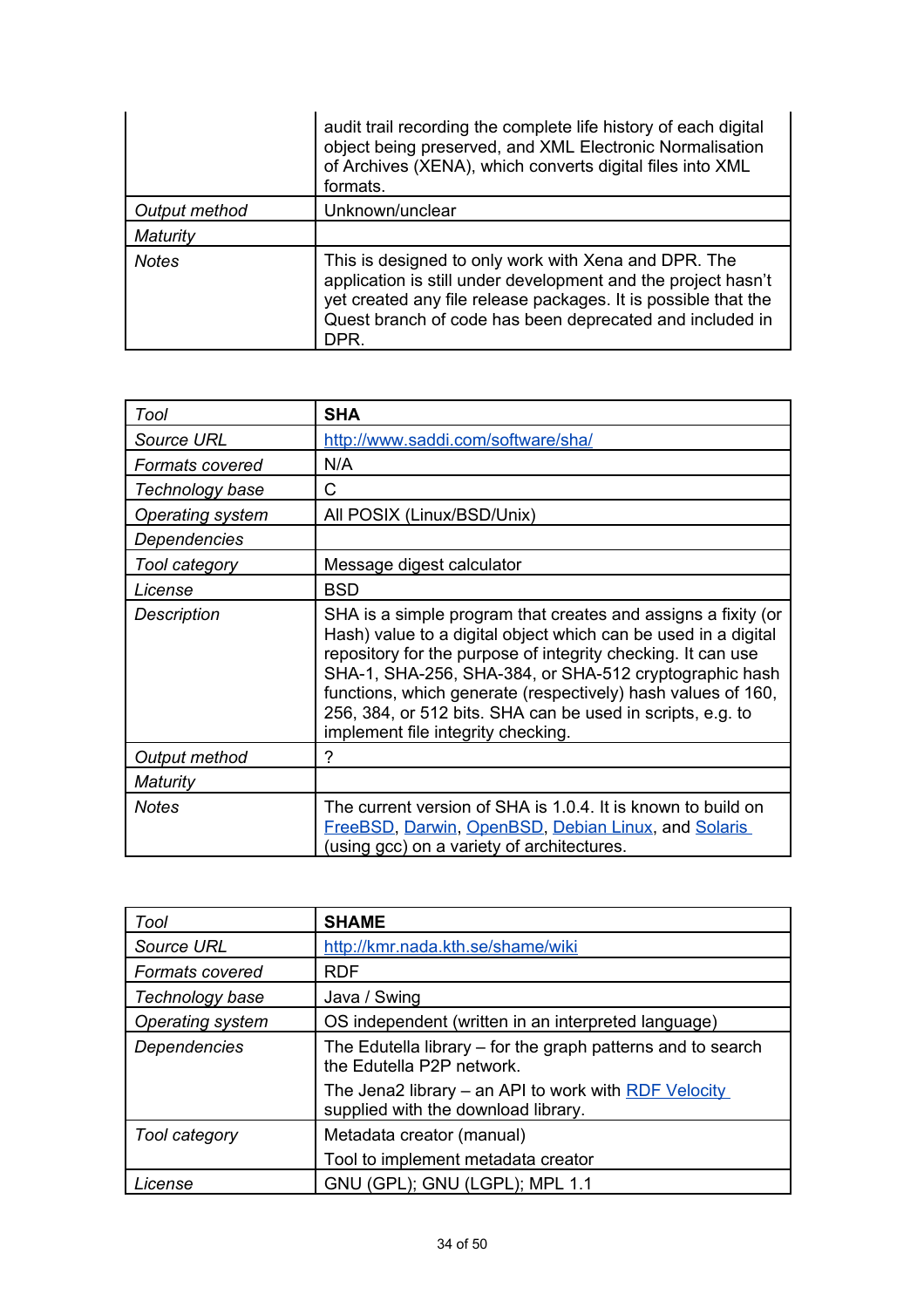|               | audit trail recording the complete life history of each digital<br>object being preserved, and XML Electronic Normalisation<br>of Archives (XENA), which converts digital files into XML<br>formats.                                                        |
|---------------|-------------------------------------------------------------------------------------------------------------------------------------------------------------------------------------------------------------------------------------------------------------|
| Output method | Unknown/unclear                                                                                                                                                                                                                                             |
| Maturity      |                                                                                                                                                                                                                                                             |
| <b>Notes</b>  | This is designed to only work with Xena and DPR. The<br>application is still under development and the project hasn't<br>yet created any file release packages. It is possible that the<br>Quest branch of code has been deprecated and included in<br>DPR. |

| Tool                   | <b>SHA</b>                                                                                                                                                                                                                                                                                                                                                                                                                    |
|------------------------|-------------------------------------------------------------------------------------------------------------------------------------------------------------------------------------------------------------------------------------------------------------------------------------------------------------------------------------------------------------------------------------------------------------------------------|
| <b>Source URL</b>      | http://www.saddi.com/software/sha/                                                                                                                                                                                                                                                                                                                                                                                            |
| <b>Formats covered</b> | N/A                                                                                                                                                                                                                                                                                                                                                                                                                           |
| Technology base        | C                                                                                                                                                                                                                                                                                                                                                                                                                             |
| Operating system       | All POSIX (Linux/BSD/Unix)                                                                                                                                                                                                                                                                                                                                                                                                    |
| Dependencies           |                                                                                                                                                                                                                                                                                                                                                                                                                               |
| Tool category          | Message digest calculator                                                                                                                                                                                                                                                                                                                                                                                                     |
| License                | <b>BSD</b>                                                                                                                                                                                                                                                                                                                                                                                                                    |
| Description            | SHA is a simple program that creates and assigns a fixity (or<br>Hash) value to a digital object which can be used in a digital<br>repository for the purpose of integrity checking. It can use<br>SHA-1, SHA-256, SHA-384, or SHA-512 cryptographic hash<br>functions, which generate (respectively) hash values of 160,<br>256, 384, or 512 bits. SHA can be used in scripts, e.g. to<br>implement file integrity checking. |
| Output method          | 7                                                                                                                                                                                                                                                                                                                                                                                                                             |
| Maturity               |                                                                                                                                                                                                                                                                                                                                                                                                                               |
| <b>Notes</b>           | The current version of SHA is 1.0.4. It is known to build on<br>FreeBSD, Darwin, OpenBSD, Debian Linux, and Solaris<br>(using gcc) on a variety of architectures.                                                                                                                                                                                                                                                             |

| Tool                   | <b>SHAME</b>                                                                                |
|------------------------|---------------------------------------------------------------------------------------------|
| Source URL             | http://kmr.nada.kth.se/shame/wiki                                                           |
| <b>Formats covered</b> | <b>RDF</b>                                                                                  |
| Technology base        | Java / Swing                                                                                |
| Operating system       | OS independent (written in an interpreted language)                                         |
| <b>Dependencies</b>    | The Edutella library – for the graph patterns and to search<br>the Edutella P2P network.    |
|                        | The Jena2 library – an API to work with RDF Velocity<br>supplied with the download library. |
| Tool category          | Metadata creator (manual)                                                                   |
|                        | Tool to implement metadata creator                                                          |
| License                | GNU (GPL); GNU (LGPL); MPL 1.1                                                              |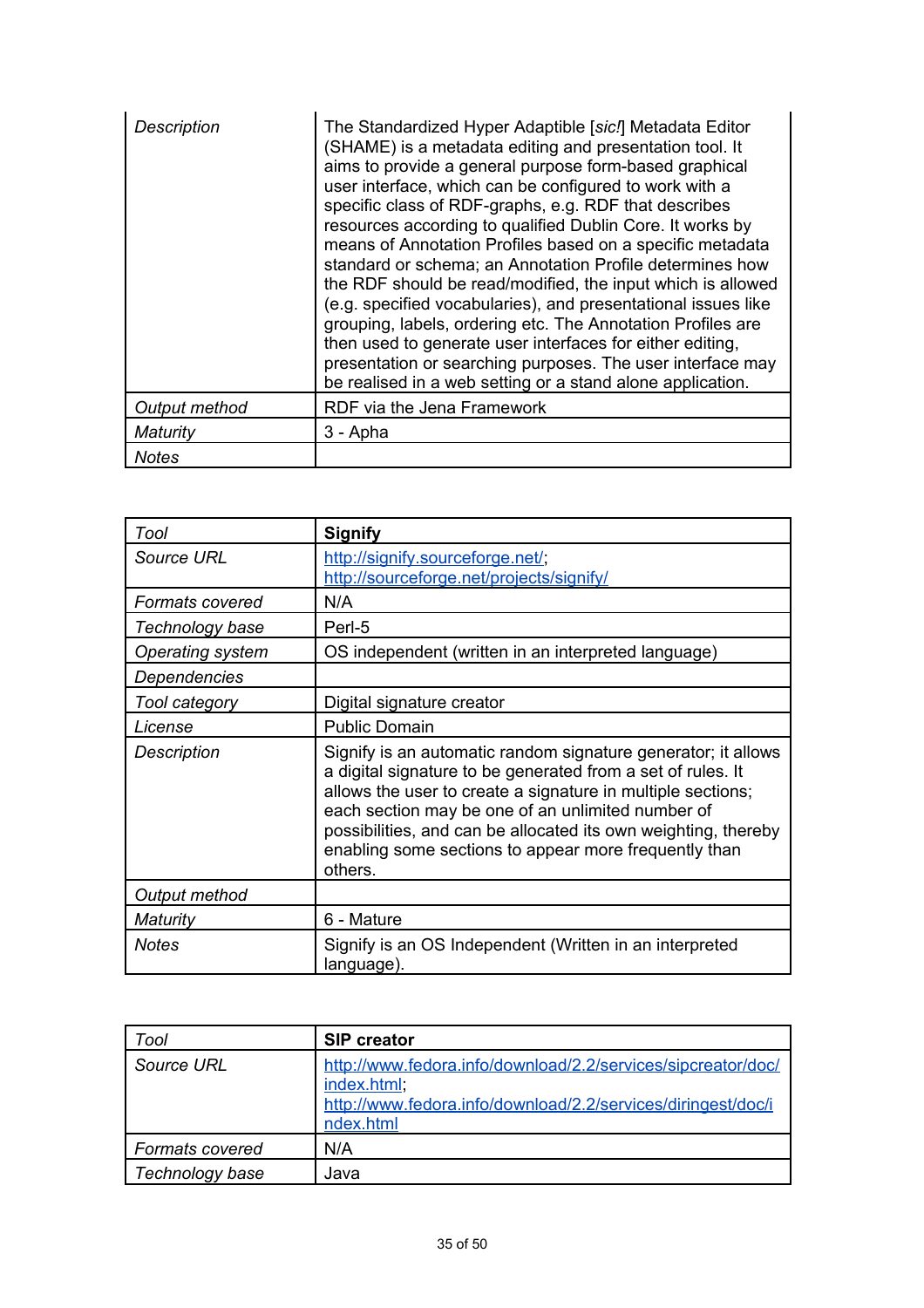| Description   | The Standardized Hyper Adaptible [sic.] Metadata Editor<br>(SHAME) is a metadata editing and presentation tool. It<br>aims to provide a general purpose form-based graphical<br>user interface, which can be configured to work with a<br>specific class of RDF-graphs, e.g. RDF that describes<br>resources according to qualified Dublin Core. It works by<br>means of Annotation Profiles based on a specific metadata<br>standard or schema; an Annotation Profile determines how<br>the RDF should be read/modified, the input which is allowed<br>(e.g. specified vocabularies), and presentational issues like<br>grouping, labels, ordering etc. The Annotation Profiles are<br>then used to generate user interfaces for either editing,<br>presentation or searching purposes. The user interface may<br>be realised in a web setting or a stand alone application. |
|---------------|-------------------------------------------------------------------------------------------------------------------------------------------------------------------------------------------------------------------------------------------------------------------------------------------------------------------------------------------------------------------------------------------------------------------------------------------------------------------------------------------------------------------------------------------------------------------------------------------------------------------------------------------------------------------------------------------------------------------------------------------------------------------------------------------------------------------------------------------------------------------------------|
| Output method | RDF via the Jena Framework                                                                                                                                                                                                                                                                                                                                                                                                                                                                                                                                                                                                                                                                                                                                                                                                                                                    |
| Maturity      | 3 - Apha                                                                                                                                                                                                                                                                                                                                                                                                                                                                                                                                                                                                                                                                                                                                                                                                                                                                      |
| <b>Notes</b>  |                                                                                                                                                                                                                                                                                                                                                                                                                                                                                                                                                                                                                                                                                                                                                                                                                                                                               |

| Tool               | <b>Signify</b>                                                                                                                                                                                                                                                                                                                                                                         |
|--------------------|----------------------------------------------------------------------------------------------------------------------------------------------------------------------------------------------------------------------------------------------------------------------------------------------------------------------------------------------------------------------------------------|
| Source URL         | http://signify.sourceforge.net/;<br>http://sourceforge.net/projects/signify/                                                                                                                                                                                                                                                                                                           |
| Formats covered    | N/A                                                                                                                                                                                                                                                                                                                                                                                    |
| Technology base    | Perl-5                                                                                                                                                                                                                                                                                                                                                                                 |
| Operating system   | OS independent (written in an interpreted language)                                                                                                                                                                                                                                                                                                                                    |
| Dependencies       |                                                                                                                                                                                                                                                                                                                                                                                        |
| Tool category      | Digital signature creator                                                                                                                                                                                                                                                                                                                                                              |
| License            | <b>Public Domain</b>                                                                                                                                                                                                                                                                                                                                                                   |
| <b>Description</b> | Signify is an automatic random signature generator; it allows<br>a digital signature to be generated from a set of rules. It<br>allows the user to create a signature in multiple sections;<br>each section may be one of an unlimited number of<br>possibilities, and can be allocated its own weighting, thereby<br>enabling some sections to appear more frequently than<br>others. |
| Output method      |                                                                                                                                                                                                                                                                                                                                                                                        |
| Maturity           | 6 - Mature                                                                                                                                                                                                                                                                                                                                                                             |
| Notes              | Signify is an OS Independent (Written in an interpreted<br>language).                                                                                                                                                                                                                                                                                                                  |

| Tool                   | <b>SIP creator</b>                                                                                                                                       |
|------------------------|----------------------------------------------------------------------------------------------------------------------------------------------------------|
| Source URL             | http://www.fedora.info/download/2.2/services/sipcreator/doc/<br>index.html;<br>http://www.fedora.info/download/2.2/services/diringest/doc/i<br>ndex.html |
| <b>Formats covered</b> | N/A                                                                                                                                                      |
| Technology base        | Java                                                                                                                                                     |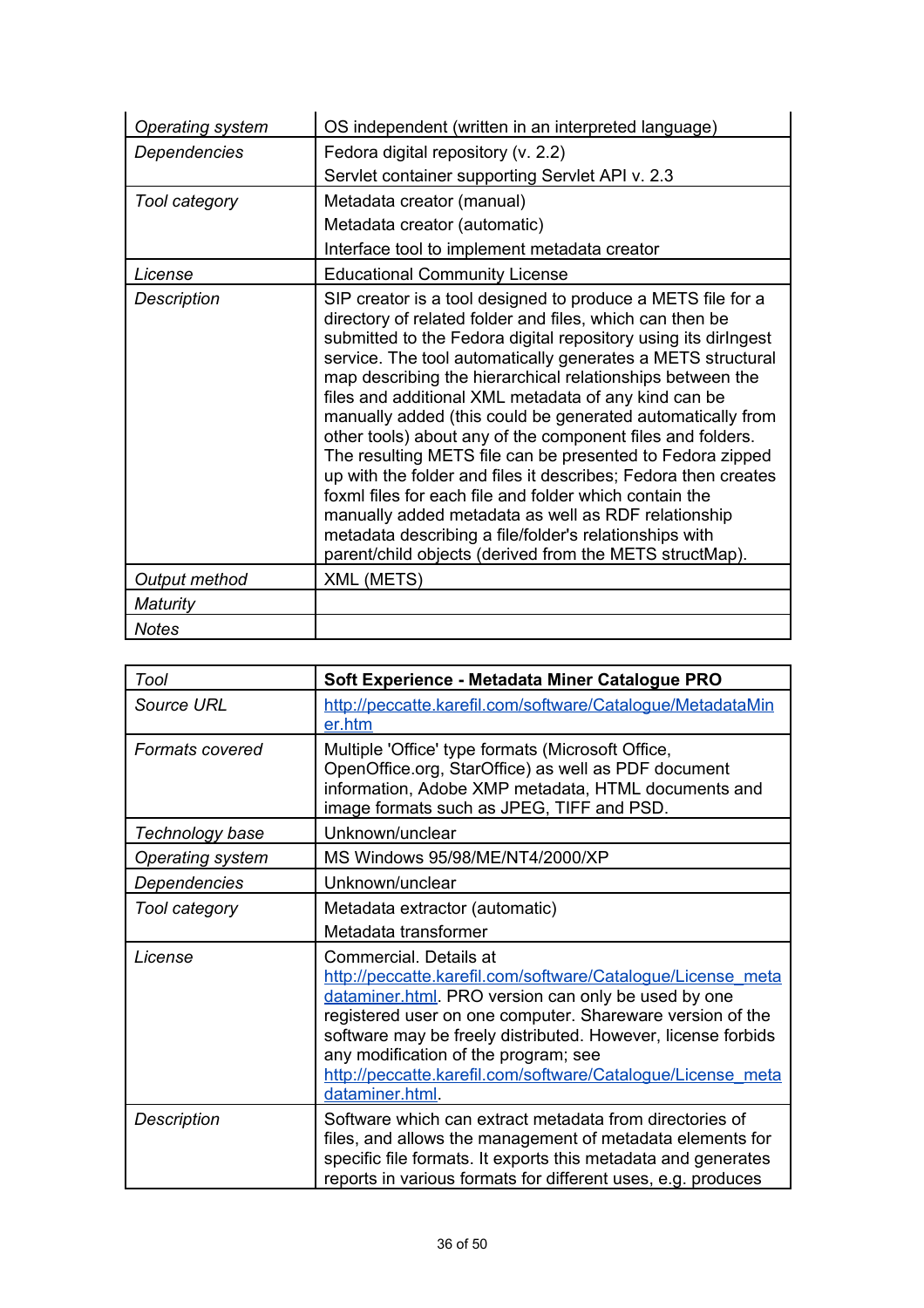| <b>Operating system</b> | OS independent (written in an interpreted language)                                                                                                                                                                                                                                                                                                                                                                                                                                                                                                                                                                                                                                                                                                                                                                                                                            |
|-------------------------|--------------------------------------------------------------------------------------------------------------------------------------------------------------------------------------------------------------------------------------------------------------------------------------------------------------------------------------------------------------------------------------------------------------------------------------------------------------------------------------------------------------------------------------------------------------------------------------------------------------------------------------------------------------------------------------------------------------------------------------------------------------------------------------------------------------------------------------------------------------------------------|
| Dependencies            | Fedora digital repository (v. 2.2)                                                                                                                                                                                                                                                                                                                                                                                                                                                                                                                                                                                                                                                                                                                                                                                                                                             |
|                         | Servlet container supporting Servlet API v. 2.3                                                                                                                                                                                                                                                                                                                                                                                                                                                                                                                                                                                                                                                                                                                                                                                                                                |
| Tool category           | Metadata creator (manual)                                                                                                                                                                                                                                                                                                                                                                                                                                                                                                                                                                                                                                                                                                                                                                                                                                                      |
|                         | Metadata creator (automatic)                                                                                                                                                                                                                                                                                                                                                                                                                                                                                                                                                                                                                                                                                                                                                                                                                                                   |
|                         | Interface tool to implement metadata creator                                                                                                                                                                                                                                                                                                                                                                                                                                                                                                                                                                                                                                                                                                                                                                                                                                   |
| License                 | <b>Educational Community License</b>                                                                                                                                                                                                                                                                                                                                                                                                                                                                                                                                                                                                                                                                                                                                                                                                                                           |
| Description             | SIP creator is a tool designed to produce a METS file for a<br>directory of related folder and files, which can then be<br>submitted to the Fedora digital repository using its diringest<br>service. The tool automatically generates a METS structural<br>map describing the hierarchical relationships between the<br>files and additional XML metadata of any kind can be<br>manually added (this could be generated automatically from<br>other tools) about any of the component files and folders.<br>The resulting METS file can be presented to Fedora zipped<br>up with the folder and files it describes; Fedora then creates<br>foxml files for each file and folder which contain the<br>manually added metadata as well as RDF relationship<br>metadata describing a file/folder's relationships with<br>parent/child objects (derived from the METS structMap). |
| Output method           | XML (METS)                                                                                                                                                                                                                                                                                                                                                                                                                                                                                                                                                                                                                                                                                                                                                                                                                                                                     |
| Maturity                |                                                                                                                                                                                                                                                                                                                                                                                                                                                                                                                                                                                                                                                                                                                                                                                                                                                                                |
| <b>Notes</b>            |                                                                                                                                                                                                                                                                                                                                                                                                                                                                                                                                                                                                                                                                                                                                                                                                                                                                                |

| Tool               | Soft Experience - Metadata Miner Catalogue PRO                                                                                                                                                                                                                                                                                                                                                      |
|--------------------|-----------------------------------------------------------------------------------------------------------------------------------------------------------------------------------------------------------------------------------------------------------------------------------------------------------------------------------------------------------------------------------------------------|
| Source URL         | http://peccatte.karefil.com/software/Catalogue/MetadataMin<br>er.htm                                                                                                                                                                                                                                                                                                                                |
| Formats covered    | Multiple 'Office' type formats (Microsoft Office,<br>OpenOffice.org, StarOffice) as well as PDF document<br>information, Adobe XMP metadata, HTML documents and<br>image formats such as JPEG, TIFF and PSD.                                                                                                                                                                                        |
| Technology base    | Unknown/unclear                                                                                                                                                                                                                                                                                                                                                                                     |
| Operating system   | MS Windows 95/98/ME/NT4/2000/XP                                                                                                                                                                                                                                                                                                                                                                     |
| Dependencies       | Unknown/unclear                                                                                                                                                                                                                                                                                                                                                                                     |
| Tool category      | Metadata extractor (automatic)                                                                                                                                                                                                                                                                                                                                                                      |
|                    | Metadata transformer                                                                                                                                                                                                                                                                                                                                                                                |
| License            | Commercial. Details at<br>http://peccatte.karefil.com/software/Catalogue/License meta<br>dataminer.html. PRO version can only be used by one<br>registered user on one computer. Shareware version of the<br>software may be freely distributed. However, license forbids<br>any modification of the program; see<br>http://peccatte.karefil.com/software/Catalogue/License meta<br>dataminer.html. |
| <b>Description</b> | Software which can extract metadata from directories of<br>files, and allows the management of metadata elements for<br>specific file formats. It exports this metadata and generates<br>reports in various formats for different uses, e.g. produces                                                                                                                                               |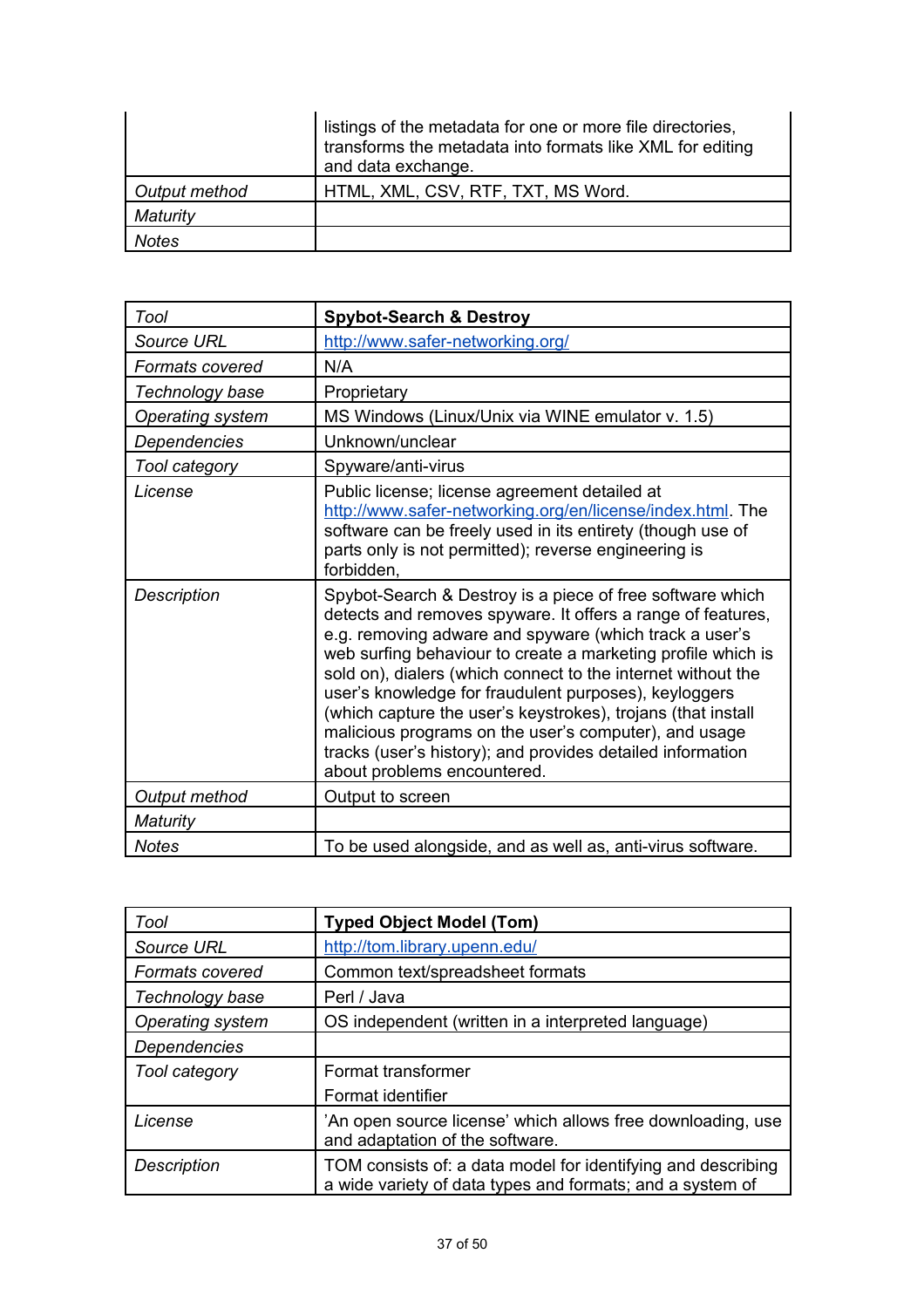|               | listings of the metadata for one or more file directories,<br>transforms the metadata into formats like XML for editing<br>and data exchange. |
|---------------|-----------------------------------------------------------------------------------------------------------------------------------------------|
| Output method | HTML, XML, CSV, RTF, TXT, MS Word.                                                                                                            |
| Maturity      |                                                                                                                                               |
| Notes         |                                                                                                                                               |

| Tool               | <b>Spybot-Search &amp; Destroy</b>                                                                                                                                                                                                                                                                                                                                                                                                                                                                                                                                                                |
|--------------------|---------------------------------------------------------------------------------------------------------------------------------------------------------------------------------------------------------------------------------------------------------------------------------------------------------------------------------------------------------------------------------------------------------------------------------------------------------------------------------------------------------------------------------------------------------------------------------------------------|
| <b>Source URL</b>  | http://www.safer-networking.org/                                                                                                                                                                                                                                                                                                                                                                                                                                                                                                                                                                  |
| Formats covered    | N/A                                                                                                                                                                                                                                                                                                                                                                                                                                                                                                                                                                                               |
| Technology base    | Proprietary                                                                                                                                                                                                                                                                                                                                                                                                                                                                                                                                                                                       |
| Operating system   | MS Windows (Linux/Unix via WINE emulator v. 1.5)                                                                                                                                                                                                                                                                                                                                                                                                                                                                                                                                                  |
| Dependencies       | Unknown/unclear                                                                                                                                                                                                                                                                                                                                                                                                                                                                                                                                                                                   |
| Tool category      | Spyware/anti-virus                                                                                                                                                                                                                                                                                                                                                                                                                                                                                                                                                                                |
| License            | Public license; license agreement detailed at<br>http://www.safer-networking.org/en/license/index.html. The<br>software can be freely used in its entirety (though use of<br>parts only is not permitted); reverse engineering is<br>forbidden.                                                                                                                                                                                                                                                                                                                                                   |
| <b>Description</b> | Spybot-Search & Destroy is a piece of free software which<br>detects and removes spyware. It offers a range of features,<br>e.g. removing adware and spyware (which track a user's<br>web surfing behaviour to create a marketing profile which is<br>sold on), dialers (which connect to the internet without the<br>user's knowledge for fraudulent purposes), keyloggers<br>(which capture the user's keystrokes), trojans (that install<br>malicious programs on the user's computer), and usage<br>tracks (user's history); and provides detailed information<br>about problems encountered. |
| Output method      | Output to screen                                                                                                                                                                                                                                                                                                                                                                                                                                                                                                                                                                                  |
| Maturity           |                                                                                                                                                                                                                                                                                                                                                                                                                                                                                                                                                                                                   |
| <b>Notes</b>       | To be used alongside, and as well as, anti-virus software.                                                                                                                                                                                                                                                                                                                                                                                                                                                                                                                                        |

| Tool                   | <b>Typed Object Model (Tom)</b>                                                                                           |
|------------------------|---------------------------------------------------------------------------------------------------------------------------|
| Source URL             | http://tom.library.upenn.edu/                                                                                             |
| <b>Formats covered</b> | Common text/spreadsheet formats                                                                                           |
| Technology base        | Perl / Java                                                                                                               |
| Operating system       | OS independent (written in a interpreted language)                                                                        |
| <b>Dependencies</b>    |                                                                                                                           |
| Tool category          | Format transformer                                                                                                        |
|                        | Format identifier                                                                                                         |
| License                | 'An open source license' which allows free downloading, use<br>and adaptation of the software.                            |
| <b>Description</b>     | TOM consists of: a data model for identifying and describing<br>a wide variety of data types and formats; and a system of |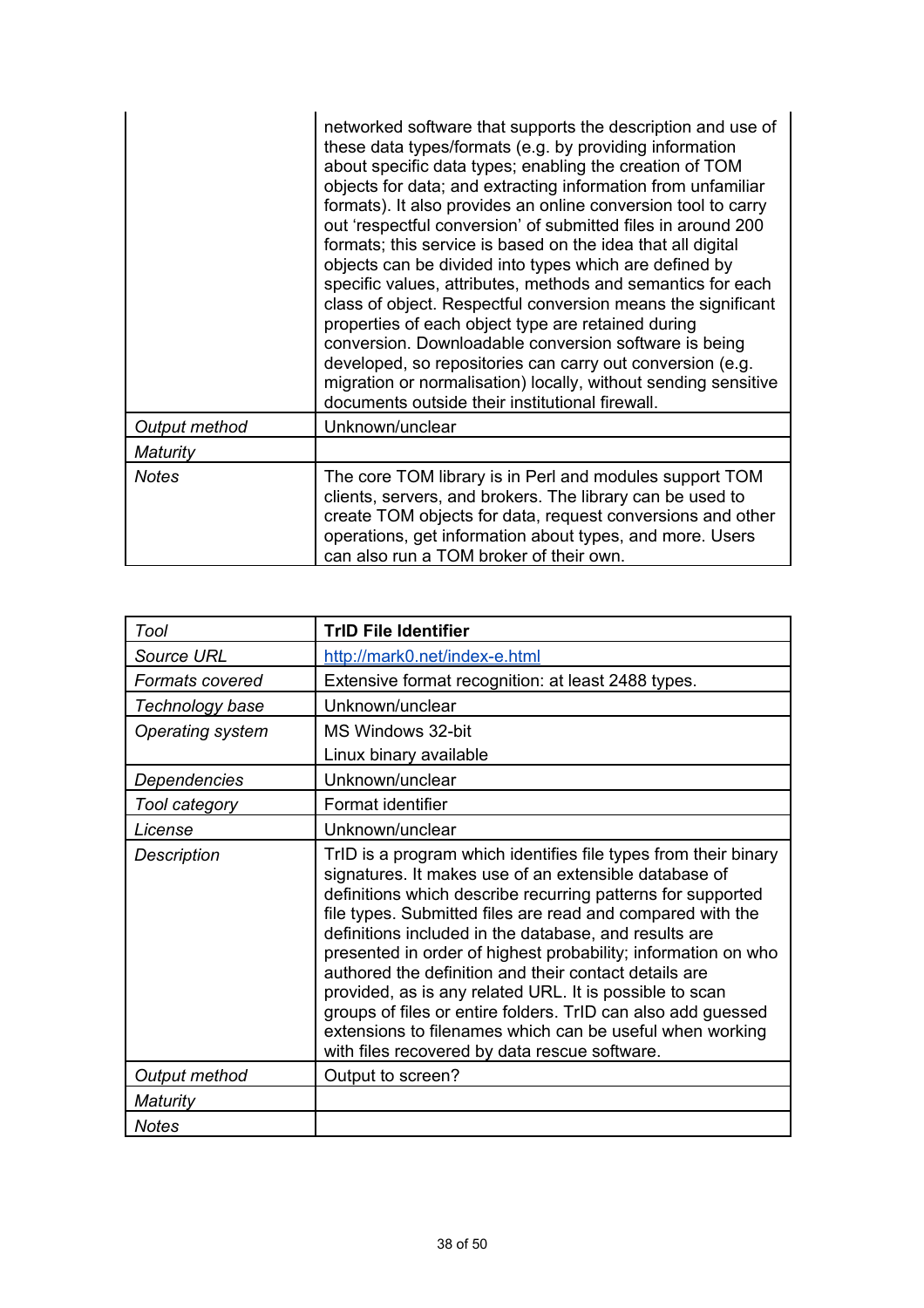|               | networked software that supports the description and use of<br>these data types/formats (e.g. by providing information<br>about specific data types; enabling the creation of TOM<br>objects for data; and extracting information from unfamiliar<br>formats). It also provides an online conversion tool to carry<br>out 'respectful conversion' of submitted files in around 200<br>formats; this service is based on the idea that all digital<br>objects can be divided into types which are defined by<br>specific values, attributes, methods and semantics for each<br>class of object. Respectful conversion means the significant<br>properties of each object type are retained during<br>conversion. Downloadable conversion software is being<br>developed, so repositories can carry out conversion (e.g.<br>migration or normalisation) locally, without sending sensitive<br>documents outside their institutional firewall. |
|---------------|---------------------------------------------------------------------------------------------------------------------------------------------------------------------------------------------------------------------------------------------------------------------------------------------------------------------------------------------------------------------------------------------------------------------------------------------------------------------------------------------------------------------------------------------------------------------------------------------------------------------------------------------------------------------------------------------------------------------------------------------------------------------------------------------------------------------------------------------------------------------------------------------------------------------------------------------|
| Output method | Unknown/unclear                                                                                                                                                                                                                                                                                                                                                                                                                                                                                                                                                                                                                                                                                                                                                                                                                                                                                                                             |
| Maturity      |                                                                                                                                                                                                                                                                                                                                                                                                                                                                                                                                                                                                                                                                                                                                                                                                                                                                                                                                             |
| <b>Notes</b>  | The core TOM library is in Perl and modules support TOM<br>clients, servers, and brokers. The library can be used to<br>create TOM objects for data, request conversions and other<br>operations, get information about types, and more. Users<br>can also run a TOM broker of their own.                                                                                                                                                                                                                                                                                                                                                                                                                                                                                                                                                                                                                                                   |

| Tool                    | <b>TrID File Identifier</b>                                                                                                                                                                                                                                                                                                                                                                                                                                                                                                                                                                                                                                                      |
|-------------------------|----------------------------------------------------------------------------------------------------------------------------------------------------------------------------------------------------------------------------------------------------------------------------------------------------------------------------------------------------------------------------------------------------------------------------------------------------------------------------------------------------------------------------------------------------------------------------------------------------------------------------------------------------------------------------------|
| <b>Source URL</b>       | http://mark0.net/index-e.html                                                                                                                                                                                                                                                                                                                                                                                                                                                                                                                                                                                                                                                    |
| Formats covered         | Extensive format recognition: at least 2488 types.                                                                                                                                                                                                                                                                                                                                                                                                                                                                                                                                                                                                                               |
| Technology base         | Unknown/unclear                                                                                                                                                                                                                                                                                                                                                                                                                                                                                                                                                                                                                                                                  |
| <b>Operating system</b> | MS Windows 32-bit                                                                                                                                                                                                                                                                                                                                                                                                                                                                                                                                                                                                                                                                |
|                         | Linux binary available                                                                                                                                                                                                                                                                                                                                                                                                                                                                                                                                                                                                                                                           |
| Dependencies            | Unknown/unclear                                                                                                                                                                                                                                                                                                                                                                                                                                                                                                                                                                                                                                                                  |
| Tool category           | Format identifier                                                                                                                                                                                                                                                                                                                                                                                                                                                                                                                                                                                                                                                                |
| License                 | Unknown/unclear                                                                                                                                                                                                                                                                                                                                                                                                                                                                                                                                                                                                                                                                  |
| <b>Description</b>      | TrID is a program which identifies file types from their binary<br>signatures. It makes use of an extensible database of<br>definitions which describe recurring patterns for supported<br>file types. Submitted files are read and compared with the<br>definitions included in the database, and results are<br>presented in order of highest probability; information on who<br>authored the definition and their contact details are<br>provided, as is any related URL. It is possible to scan<br>groups of files or entire folders. TrID can also add guessed<br>extensions to filenames which can be useful when working<br>with files recovered by data rescue software. |
| Output method           | Output to screen?                                                                                                                                                                                                                                                                                                                                                                                                                                                                                                                                                                                                                                                                |
| Maturity                |                                                                                                                                                                                                                                                                                                                                                                                                                                                                                                                                                                                                                                                                                  |
| <b>Notes</b>            |                                                                                                                                                                                                                                                                                                                                                                                                                                                                                                                                                                                                                                                                                  |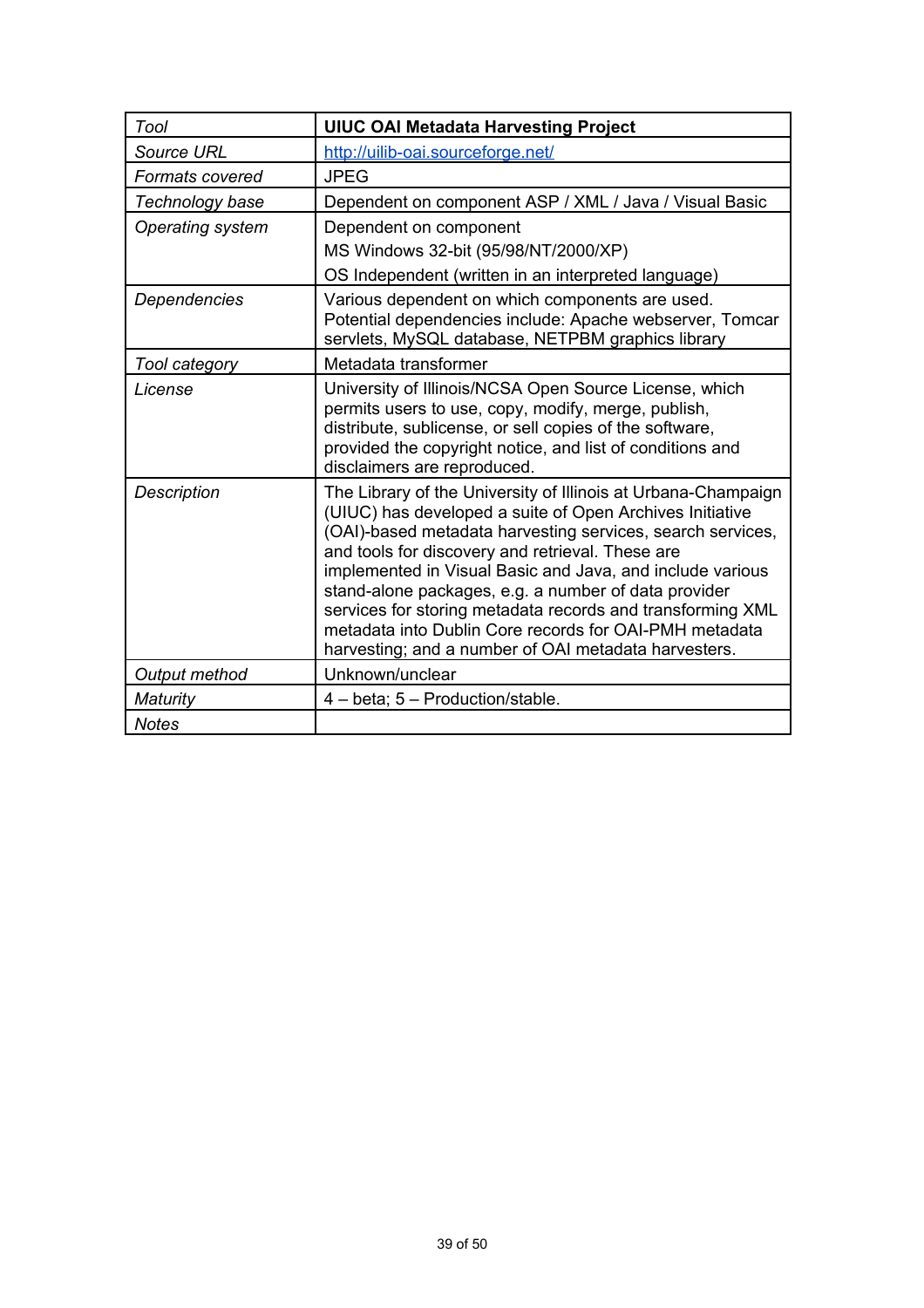| Tool               | <b>UIUC OAI Metadata Harvesting Project</b>                                                                                                                                                                                                                                                                                                                                                                                                                                                                                                      |
|--------------------|--------------------------------------------------------------------------------------------------------------------------------------------------------------------------------------------------------------------------------------------------------------------------------------------------------------------------------------------------------------------------------------------------------------------------------------------------------------------------------------------------------------------------------------------------|
| <b>Source URL</b>  | http://uilib-oai.sourceforge.net/                                                                                                                                                                                                                                                                                                                                                                                                                                                                                                                |
| Formats covered    | <b>JPEG</b>                                                                                                                                                                                                                                                                                                                                                                                                                                                                                                                                      |
| Technology base    | Dependent on component ASP / XML / Java / Visual Basic                                                                                                                                                                                                                                                                                                                                                                                                                                                                                           |
| Operating system   | Dependent on component                                                                                                                                                                                                                                                                                                                                                                                                                                                                                                                           |
|                    | MS Windows 32-bit (95/98/NT/2000/XP)                                                                                                                                                                                                                                                                                                                                                                                                                                                                                                             |
|                    | OS Independent (written in an interpreted language)                                                                                                                                                                                                                                                                                                                                                                                                                                                                                              |
| Dependencies       | Various dependent on which components are used.<br>Potential dependencies include: Apache webserver, Tomcar<br>servlets, MySQL database, NETPBM graphics library                                                                                                                                                                                                                                                                                                                                                                                 |
| Tool category      | Metadata transformer                                                                                                                                                                                                                                                                                                                                                                                                                                                                                                                             |
| License            | University of Illinois/NCSA Open Source License, which<br>permits users to use, copy, modify, merge, publish,<br>distribute, sublicense, or sell copies of the software,<br>provided the copyright notice, and list of conditions and<br>disclaimers are reproduced.                                                                                                                                                                                                                                                                             |
| <b>Description</b> | The Library of the University of Illinois at Urbana-Champaign<br>(UIUC) has developed a suite of Open Archives Initiative<br>(OAI)-based metadata harvesting services, search services,<br>and tools for discovery and retrieval. These are<br>implemented in Visual Basic and Java, and include various<br>stand-alone packages, e.g. a number of data provider<br>services for storing metadata records and transforming XML<br>metadata into Dublin Core records for OAI-PMH metadata<br>harvesting; and a number of OAI metadata harvesters. |
| Output method      | Unknown/unclear                                                                                                                                                                                                                                                                                                                                                                                                                                                                                                                                  |
| Maturity           | 4 - beta; 5 - Production/stable.                                                                                                                                                                                                                                                                                                                                                                                                                                                                                                                 |
| <b>Notes</b>       |                                                                                                                                                                                                                                                                                                                                                                                                                                                                                                                                                  |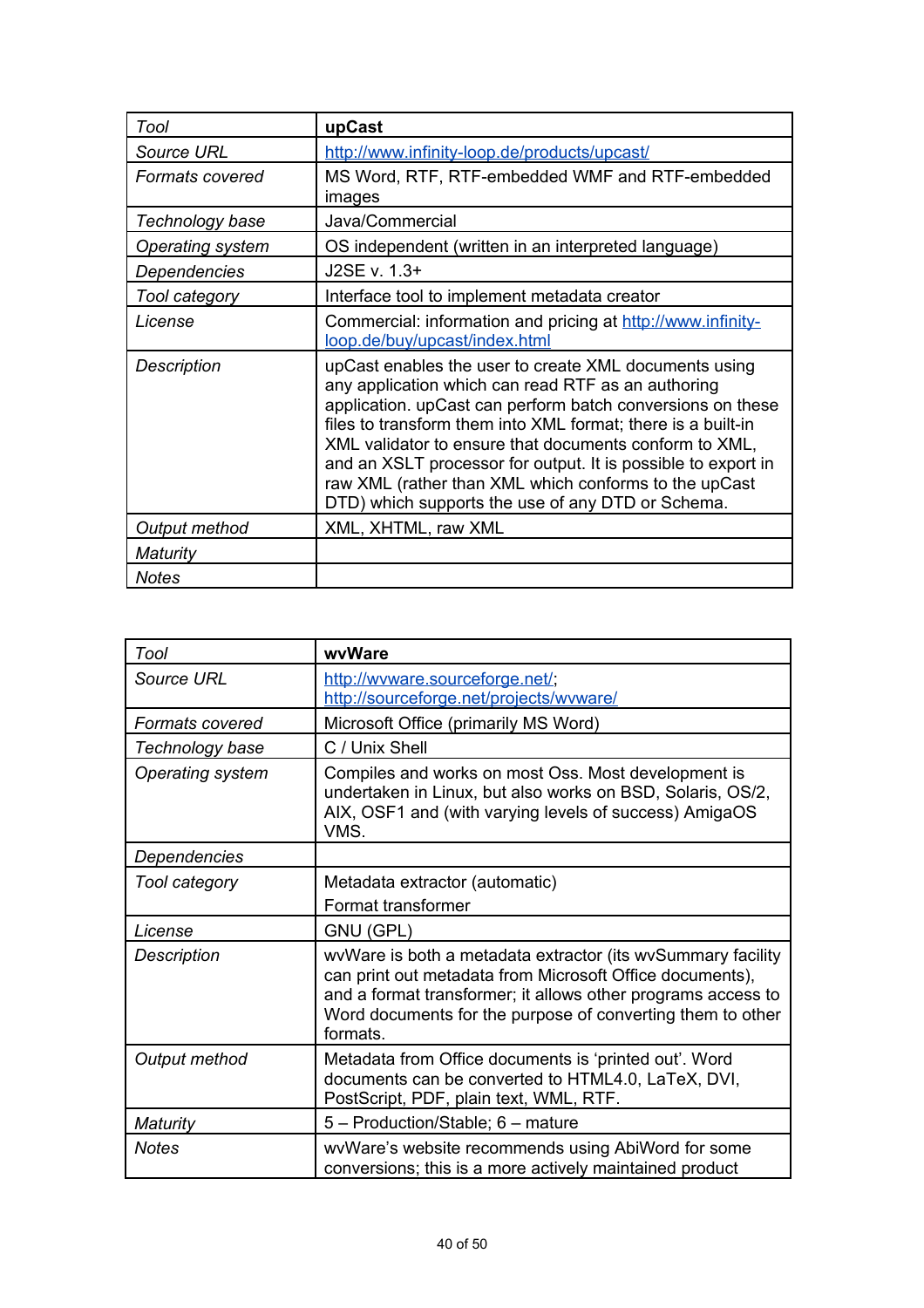| Tool              | upCast                                                                                                                                                                                                                                                                                                                                                                                                                                                                             |
|-------------------|------------------------------------------------------------------------------------------------------------------------------------------------------------------------------------------------------------------------------------------------------------------------------------------------------------------------------------------------------------------------------------------------------------------------------------------------------------------------------------|
| <b>Source URL</b> | http://www.infinity-loop.de/products/upcast/                                                                                                                                                                                                                                                                                                                                                                                                                                       |
| Formats covered   | MS Word, RTF, RTF-embedded WMF and RTF-embedded<br>images                                                                                                                                                                                                                                                                                                                                                                                                                          |
| Technology base   | Java/Commercial                                                                                                                                                                                                                                                                                                                                                                                                                                                                    |
| Operating system  | OS independent (written in an interpreted language)                                                                                                                                                                                                                                                                                                                                                                                                                                |
| Dependencies      | J2SE v. 1.3+                                                                                                                                                                                                                                                                                                                                                                                                                                                                       |
| Tool category     | Interface tool to implement metadata creator                                                                                                                                                                                                                                                                                                                                                                                                                                       |
| License           | Commercial: information and pricing at http://www.infinity-<br>loop.de/buy/upcast/index.html                                                                                                                                                                                                                                                                                                                                                                                       |
| Description       | upCast enables the user to create XML documents using<br>any application which can read RTF as an authoring<br>application. upCast can perform batch conversions on these<br>files to transform them into XML format; there is a built-in<br>XML validator to ensure that documents conform to XML,<br>and an XSLT processor for output. It is possible to export in<br>raw XML (rather than XML which conforms to the upCast<br>DTD) which supports the use of any DTD or Schema. |
| Output method     | XML, XHTML, raw XML                                                                                                                                                                                                                                                                                                                                                                                                                                                                |
| Maturity          |                                                                                                                                                                                                                                                                                                                                                                                                                                                                                    |
| <b>Notes</b>      |                                                                                                                                                                                                                                                                                                                                                                                                                                                                                    |

| Tool                   | wvWare                                                                                                                                                                                                                                                            |
|------------------------|-------------------------------------------------------------------------------------------------------------------------------------------------------------------------------------------------------------------------------------------------------------------|
| Source URL             | http://wyware.sourceforge.net/;<br>http://sourceforge.net/projects/wyware/                                                                                                                                                                                        |
| <b>Formats covered</b> | Microsoft Office (primarily MS Word)                                                                                                                                                                                                                              |
| Technology base        | C / Unix Shell                                                                                                                                                                                                                                                    |
| Operating system       | Compiles and works on most Oss. Most development is<br>undertaken in Linux, but also works on BSD, Solaris, OS/2,<br>AIX, OSF1 and (with varying levels of success) AmigaOS<br>VMS.                                                                               |
| Dependencies           |                                                                                                                                                                                                                                                                   |
| Tool category          | Metadata extractor (automatic)                                                                                                                                                                                                                                    |
|                        | Format transformer                                                                                                                                                                                                                                                |
| License                | GNU (GPL)                                                                                                                                                                                                                                                         |
| <b>Description</b>     | wvWare is both a metadata extractor (its wvSummary facility<br>can print out metadata from Microsoft Office documents),<br>and a format transformer; it allows other programs access to<br>Word documents for the purpose of converting them to other<br>formats. |
| Output method          | Metadata from Office documents is 'printed out'. Word<br>documents can be converted to HTML4.0, LaTeX, DVI,<br>PostScript, PDF, plain text, WML, RTF.                                                                                                             |
| <b>Maturity</b>        | 5 - Production/Stable; 6 - mature                                                                                                                                                                                                                                 |
| <b>Notes</b>           | wvWare's website recommends using AbiWord for some<br>conversions; this is a more actively maintained product                                                                                                                                                     |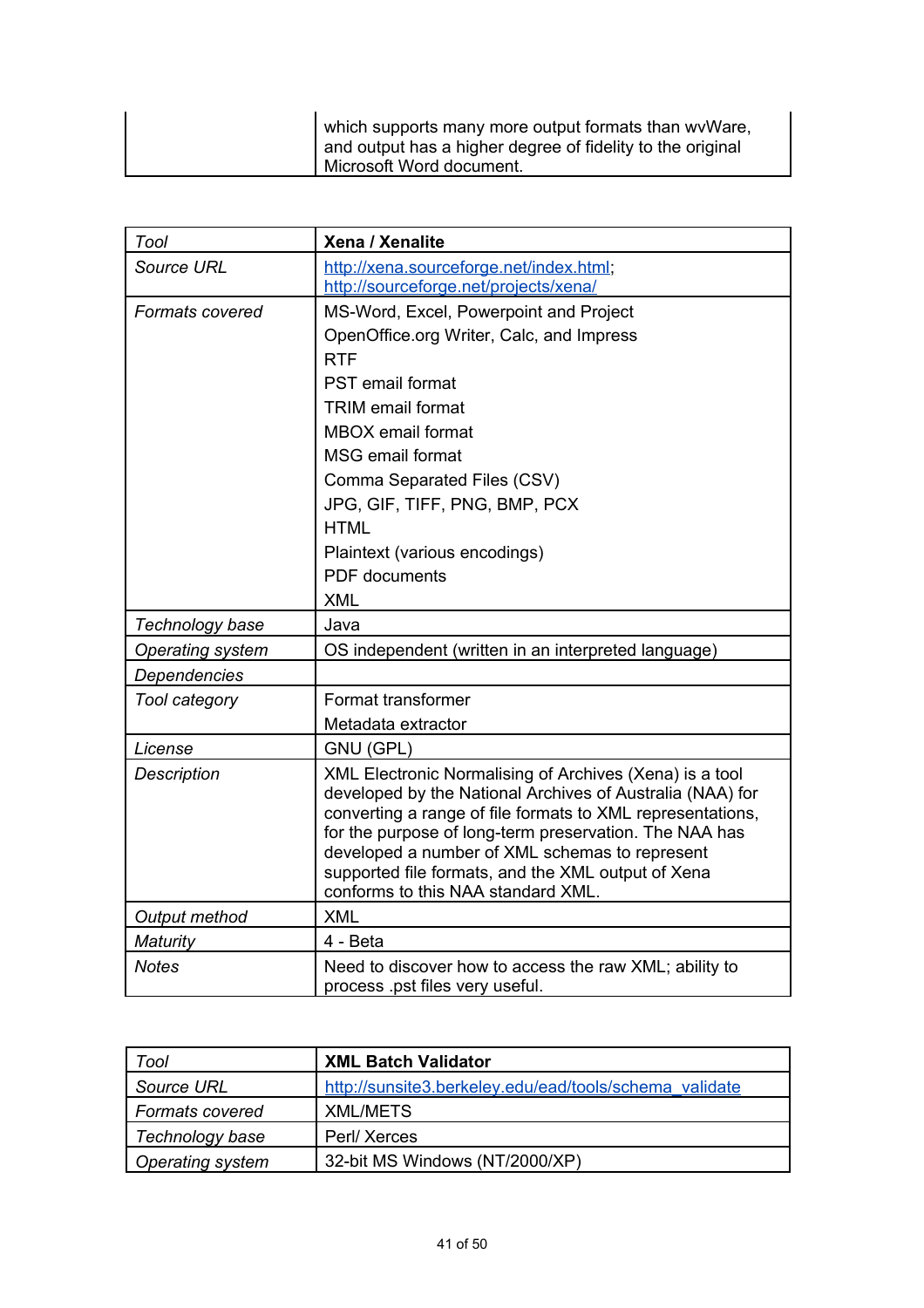| which supports many more output formats than wy Ware,<br>and output has a higher degree of fidelity to the original |
|---------------------------------------------------------------------------------------------------------------------|
| Microsoft Word document.                                                                                            |

| Tool                    | Xena / Xenalite                                                                                                                                                                                                                                                                                                                                                                            |
|-------------------------|--------------------------------------------------------------------------------------------------------------------------------------------------------------------------------------------------------------------------------------------------------------------------------------------------------------------------------------------------------------------------------------------|
| Source URL              | http://xena.sourceforge.net/index.html;                                                                                                                                                                                                                                                                                                                                                    |
|                         | http://sourceforge.net/projects/xena/                                                                                                                                                                                                                                                                                                                                                      |
| <b>Formats covered</b>  | MS-Word, Excel, Powerpoint and Project                                                                                                                                                                                                                                                                                                                                                     |
|                         | OpenOffice.org Writer, Calc, and Impress                                                                                                                                                                                                                                                                                                                                                   |
|                         | <b>RTF</b>                                                                                                                                                                                                                                                                                                                                                                                 |
|                         | <b>PST</b> email format                                                                                                                                                                                                                                                                                                                                                                    |
|                         | <b>TRIM</b> email format                                                                                                                                                                                                                                                                                                                                                                   |
|                         | <b>MBOX</b> email format                                                                                                                                                                                                                                                                                                                                                                   |
|                         | <b>MSG email format</b>                                                                                                                                                                                                                                                                                                                                                                    |
|                         | Comma Separated Files (CSV)                                                                                                                                                                                                                                                                                                                                                                |
|                         | JPG, GIF, TIFF, PNG, BMP, PCX                                                                                                                                                                                                                                                                                                                                                              |
|                         | <b>HTML</b>                                                                                                                                                                                                                                                                                                                                                                                |
|                         | Plaintext (various encodings)                                                                                                                                                                                                                                                                                                                                                              |
|                         | <b>PDF</b> documents                                                                                                                                                                                                                                                                                                                                                                       |
|                         | <b>XML</b>                                                                                                                                                                                                                                                                                                                                                                                 |
| Technology base         | Java                                                                                                                                                                                                                                                                                                                                                                                       |
| <b>Operating system</b> | OS independent (written in an interpreted language)                                                                                                                                                                                                                                                                                                                                        |
| Dependencies            |                                                                                                                                                                                                                                                                                                                                                                                            |
| Tool category           | Format transformer                                                                                                                                                                                                                                                                                                                                                                         |
|                         | Metadata extractor                                                                                                                                                                                                                                                                                                                                                                         |
| License                 | GNU (GPL)                                                                                                                                                                                                                                                                                                                                                                                  |
| <b>Description</b>      | XML Electronic Normalising of Archives (Xena) is a tool<br>developed by the National Archives of Australia (NAA) for<br>converting a range of file formats to XML representations,<br>for the purpose of long-term preservation. The NAA has<br>developed a number of XML schemas to represent<br>supported file formats, and the XML output of Xena<br>conforms to this NAA standard XML. |
| Output method           | <b>XML</b>                                                                                                                                                                                                                                                                                                                                                                                 |
| <b>Maturity</b>         | 4 - Beta                                                                                                                                                                                                                                                                                                                                                                                   |
| <b>Notes</b>            | Need to discover how to access the raw XML; ability to<br>process .pst files very useful.                                                                                                                                                                                                                                                                                                  |

| Tool                    | <b>XML Batch Validator</b>                             |
|-------------------------|--------------------------------------------------------|
| Source URL              | http://sunsite3.berkeley.edu/ead/tools/schema_validate |
| <b>Formats covered</b>  | XML/METS                                               |
| Technology base         | Perl/Xerces                                            |
| <b>Operating system</b> | 32-bit MS Windows (NT/2000/XP)                         |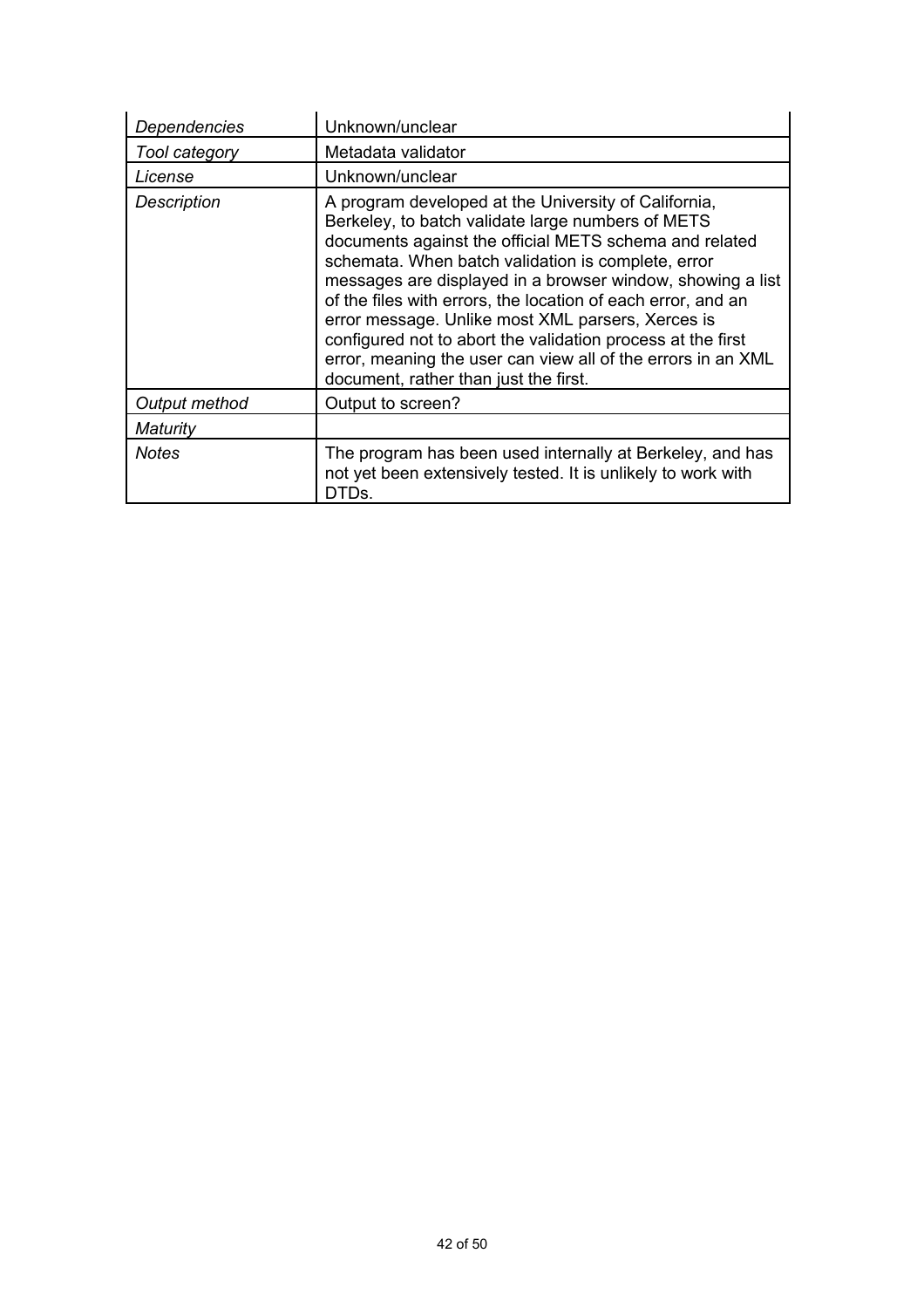| Dependencies         | Unknown/unclear                                                                                                                                                                                                                                                                                                                                                                                                                                                                                                                                                                      |
|----------------------|--------------------------------------------------------------------------------------------------------------------------------------------------------------------------------------------------------------------------------------------------------------------------------------------------------------------------------------------------------------------------------------------------------------------------------------------------------------------------------------------------------------------------------------------------------------------------------------|
| Tool category        | Metadata validator                                                                                                                                                                                                                                                                                                                                                                                                                                                                                                                                                                   |
| License              | Unknown/unclear                                                                                                                                                                                                                                                                                                                                                                                                                                                                                                                                                                      |
| <b>Description</b>   | A program developed at the University of California,<br>Berkeley, to batch validate large numbers of METS<br>documents against the official METS schema and related<br>schemata. When batch validation is complete, error<br>messages are displayed in a browser window, showing a list<br>of the files with errors, the location of each error, and an<br>error message. Unlike most XML parsers, Xerces is<br>configured not to abort the validation process at the first<br>error, meaning the user can view all of the errors in an XML<br>document, rather than just the first. |
| <b>Output method</b> | Output to screen?                                                                                                                                                                                                                                                                                                                                                                                                                                                                                                                                                                    |
| Maturity             |                                                                                                                                                                                                                                                                                                                                                                                                                                                                                                                                                                                      |
| <b>Notes</b>         | The program has been used internally at Berkeley, and has<br>not yet been extensively tested. It is unlikely to work with<br>DTDs.                                                                                                                                                                                                                                                                                                                                                                                                                                                   |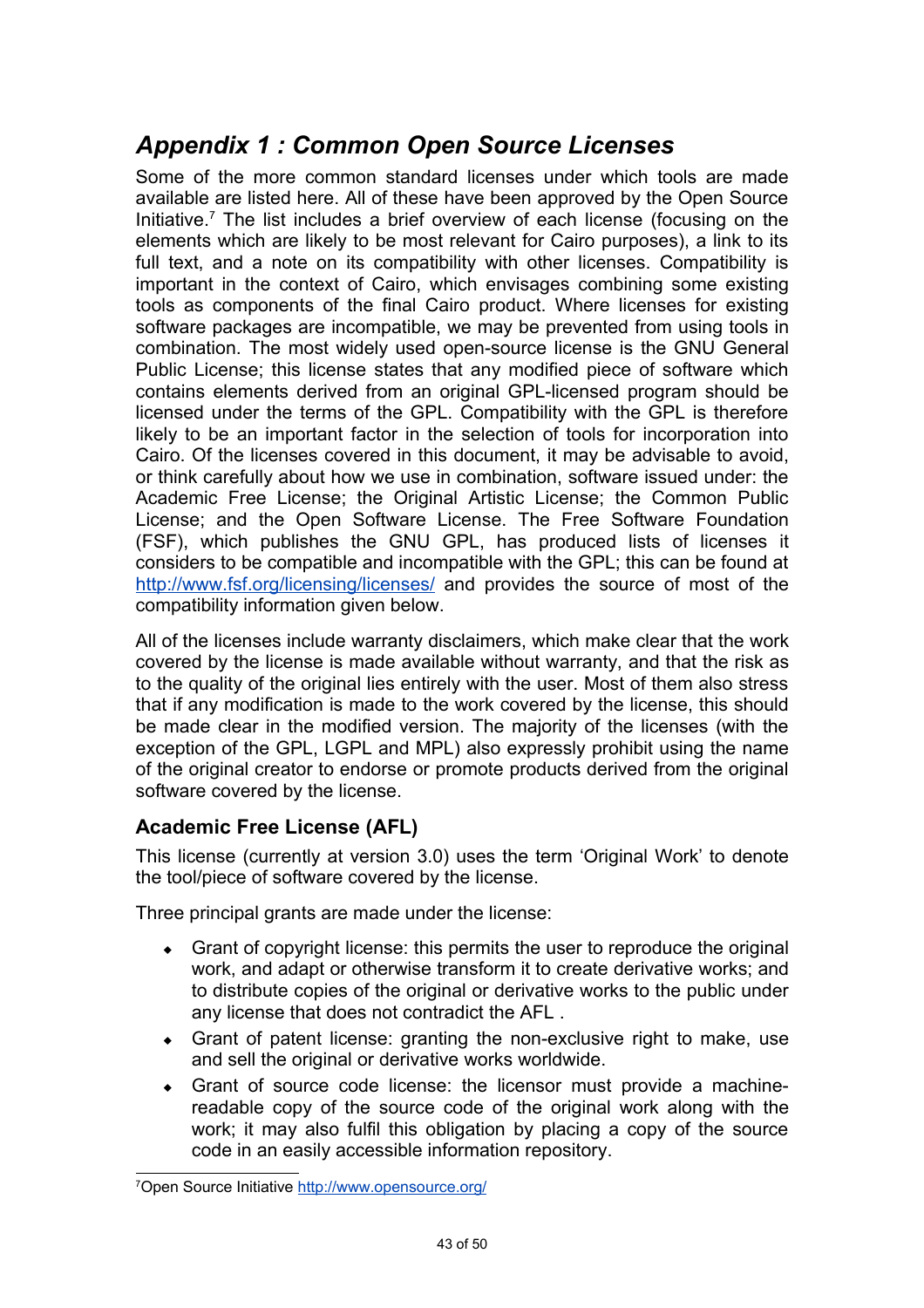# *Appendix 1 : Common Open Source Licenses*

Some of the more common standard licenses under which tools are made available are listed here. All of these have been approved by the Open Source Initiative.<sup>[7](#page-44-0)</sup> The list includes a brief overview of each license (focusing on the elements which are likely to be most relevant for Cairo purposes), a link to its full text, and a note on its compatibility with other licenses. Compatibility is important in the context of Cairo, which envisages combining some existing tools as components of the final Cairo product. Where licenses for existing software packages are incompatible, we may be prevented from using tools in combination. The most widely used open-source license is the GNU General Public License; this license states that any modified piece of software which contains elements derived from an original GPL-licensed program should be licensed under the terms of the GPL. Compatibility with the GPL is therefore likely to be an important factor in the selection of tools for incorporation into Cairo. Of the licenses covered in this document, it may be advisable to avoid, or think carefully about how we use in combination, software issued under: the Academic Free License; the Original Artistic License; the Common Public License; and the Open Software License. The Free Software Foundation (FSF), which publishes the GNU GPL, has produced lists of licenses it considers to be compatible and incompatible with the GPL; this can be found at <http://www.fsf.org/licensing/licenses/> and provides the source of most of the compatibility information given below.

All of the licenses include warranty disclaimers, which make clear that the work covered by the license is made available without warranty, and that the risk as to the quality of the original lies entirely with the user. Most of them also stress that if any modification is made to the work covered by the license, this should be made clear in the modified version. The majority of the licenses (with the exception of the GPL, LGPL and MPL) also expressly prohibit using the name of the original creator to endorse or promote products derived from the original software covered by the license.

## **Academic Free License (AFL)**

This license (currently at version 3.0) uses the term 'Original Work' to denote the tool/piece of software covered by the license.

Three principal grants are made under the license:

- Grant of copyright license: this permits the user to reproduce the original work, and adapt or otherwise transform it to create derivative works; and to distribute copies of the original or derivative works to the public under any license that does not contradict the AFL .
- Grant of patent license: granting the non-exclusive right to make, use and sell the original or derivative works worldwide.
- Grant of source code license: the licensor must provide a machinereadable copy of the source code of the original work along with the work; it may also fulfil this obligation by placing a copy of the source code in an easily accessible information repository.

<span id="page-44-0"></span><sup>7</sup>Open Source Initiative <http://www.opensource.org/>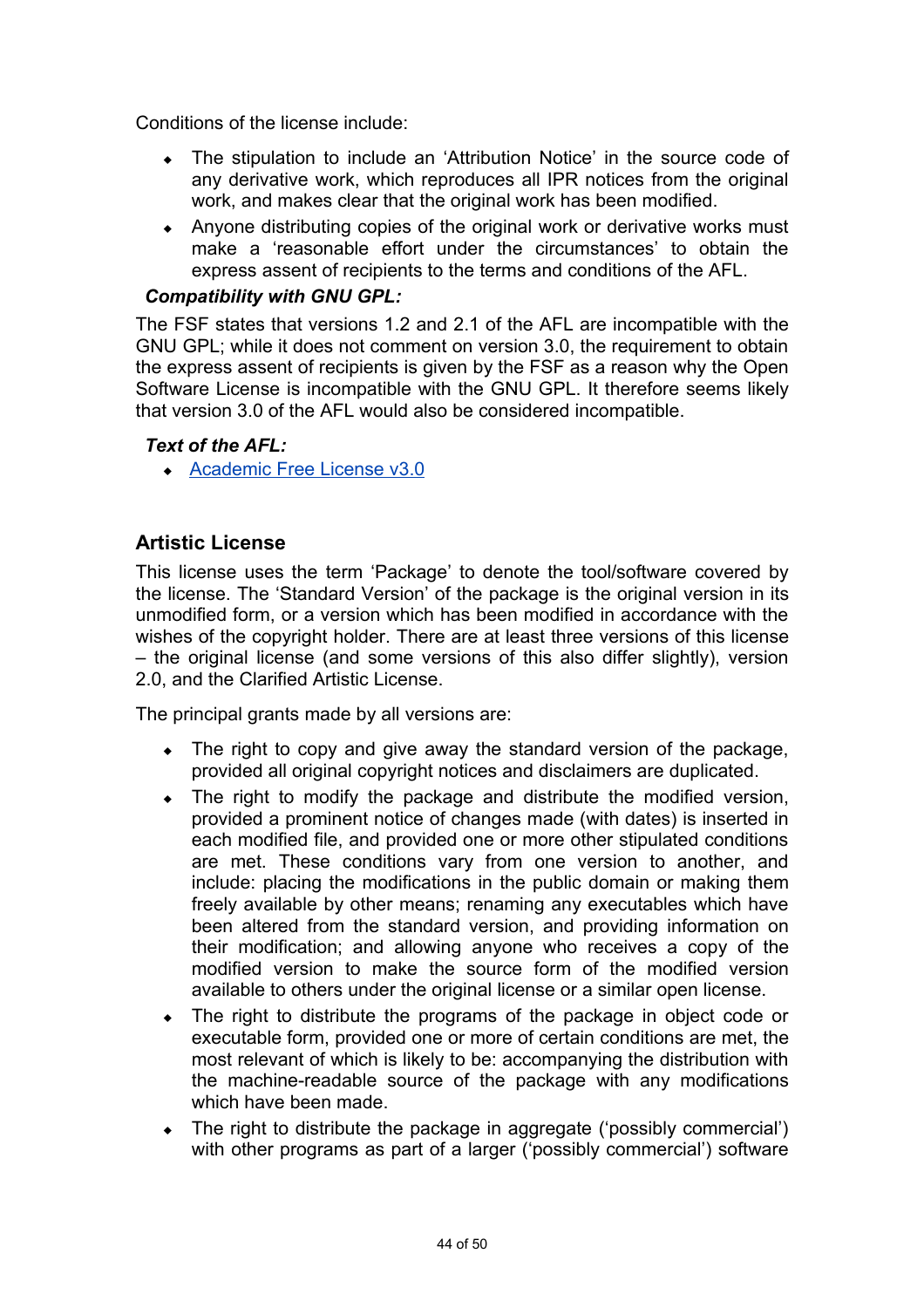Conditions of the license include:

- The stipulation to include an 'Attribution Notice' in the source code of any derivative work, which reproduces all IPR notices from the original work, and makes clear that the original work has been modified.
- Anyone distributing copies of the original work or derivative works must make a 'reasonable effort under the circumstances' to obtain the express assent of recipients to the terms and conditions of the AFL.

#### *Compatibility with GNU GPL:*

The FSF states that versions 1.2 and 2.1 of the AFL are incompatible with the GNU GPL; while it does not comment on version 3.0, the requirement to obtain the express assent of recipients is given by the FSF as a reason why the Open Software License is incompatible with the GNU GPL. It therefore seems likely that version 3.0 of the AFL would also be considered incompatible.

#### *Text of the AFL:*

◆ [Academic Free License v3.0](http://www.opensource.org/licenses/afl-3.0.php)

### **Artistic License**

This license uses the term 'Package' to denote the tool/software covered by the license. The 'Standard Version' of the package is the original version in its unmodified form, or a version which has been modified in accordance with the wishes of the copyright holder. There are at least three versions of this license – the original license (and some versions of this also differ slightly), version 2.0, and the Clarified Artistic License.

The principal grants made by all versions are:

- The right to copy and give away the standard version of the package, provided all original copyright notices and disclaimers are duplicated.
- The right to modify the package and distribute the modified version, provided a prominent notice of changes made (with dates) is inserted in each modified file, and provided one or more other stipulated conditions are met. These conditions vary from one version to another, and include: placing the modifications in the public domain or making them freely available by other means; renaming any executables which have been altered from the standard version, and providing information on their modification; and allowing anyone who receives a copy of the modified version to make the source form of the modified version available to others under the original license or a similar open license.
- The right to distribute the programs of the package in object code or executable form, provided one or more of certain conditions are met, the most relevant of which is likely to be: accompanying the distribution with the machine-readable source of the package with any modifications which have been made.
- The right to distribute the package in aggregate ('possibly commercial') with other programs as part of a larger ('possibly commercial') software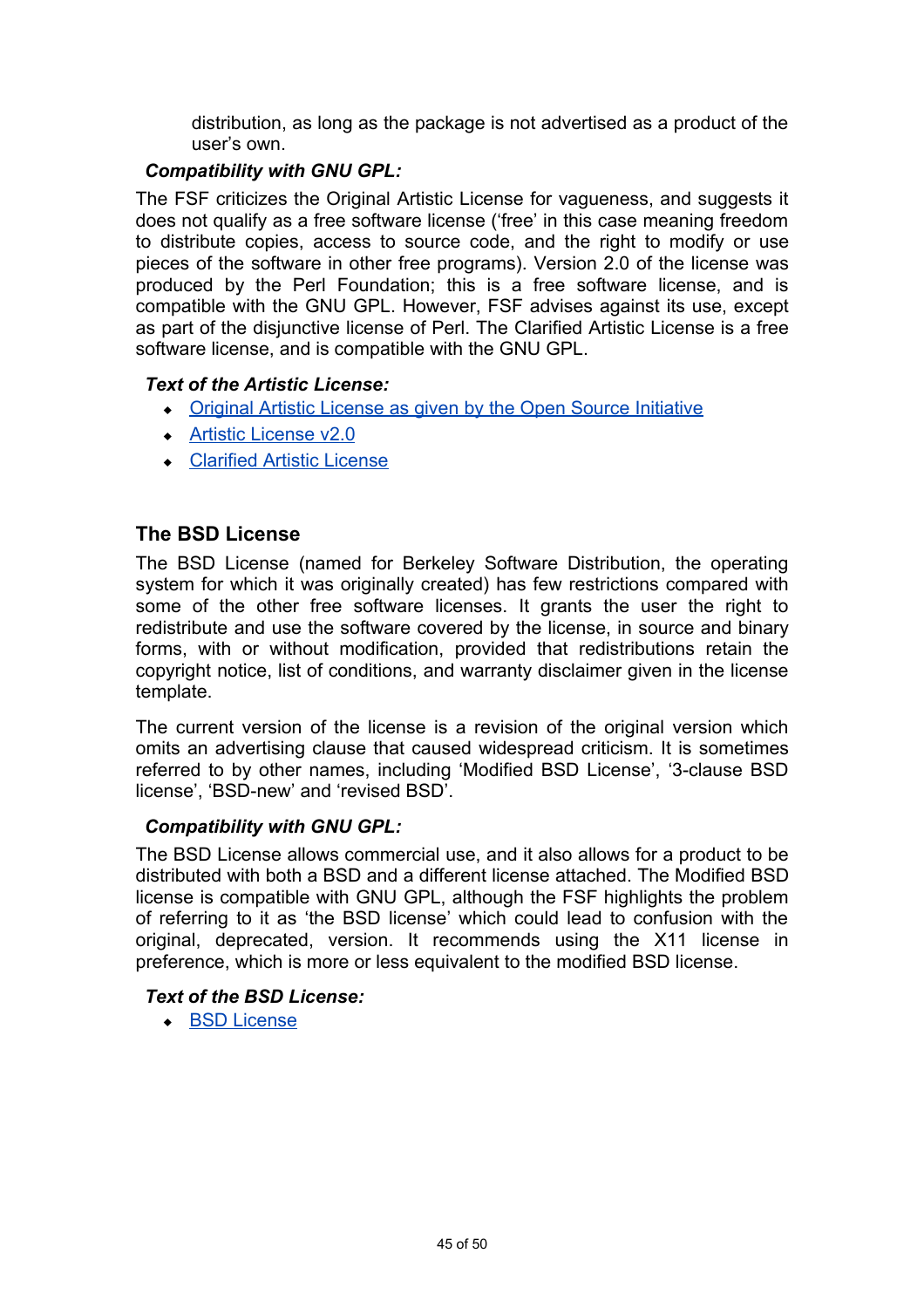distribution, as long as the package is not advertised as a product of the user's own.

#### *Compatibility with GNU GPL:*

The FSF criticizes the Original Artistic License for vagueness, and suggests it does not qualify as a free software license ('free' in this case meaning freedom to distribute copies, access to source code, and the right to modify or use pieces of the software in other free programs). Version 2.0 of the license was produced by the Perl Foundation; this is a free software license, and is compatible with the GNU GPL. However, FSF advises against its use, except as part of the disjunctive license of Perl. The Clarified Artistic License is a free software license, and is compatible with the GNU GPL.

#### *Text of the Artistic License:*

- • [Original Artistic License as given by the Open Source Initiative](http://www.opensource.org/osi3.0/licenses/artistic-license.php)
- **Artistic License v2.0**
- [Clarified Artistic License](http://www.statistica.unimib.it/utenti/dellavedova/software/artistic2.html)

### **The BSD License**

The BSD License (named for Berkeley Software Distribution, the operating system for which it was originally created) has few restrictions compared with some of the other free software licenses. It grants the user the right to redistribute and use the software covered by the license, in source and binary forms, with or without modification, provided that redistributions retain the copyright notice, list of conditions, and warranty disclaimer given in the license template.

The current version of the license is a revision of the original version which omits an advertising clause that caused widespread criticism. It is sometimes referred to by other names, including 'Modified BSD License', '3-clause BSD license', 'BSD-new' and 'revised BSD'.

#### *Compatibility with GNU GPL:*

The BSD License allows commercial use, and it also allows for a product to be distributed with both a BSD and a different license attached. The Modified BSD license is compatible with GNU GPL, although the FSF highlights the problem of referring to it as 'the BSD license' which could lead to confusion with the original, deprecated, version. It recommends using the X11 license in preference, which is more or less equivalent to the modified BSD license.

#### *Text of the BSD License:*

◆ [BSD License](http://www.opensource.org/licenses/bsd-license.php)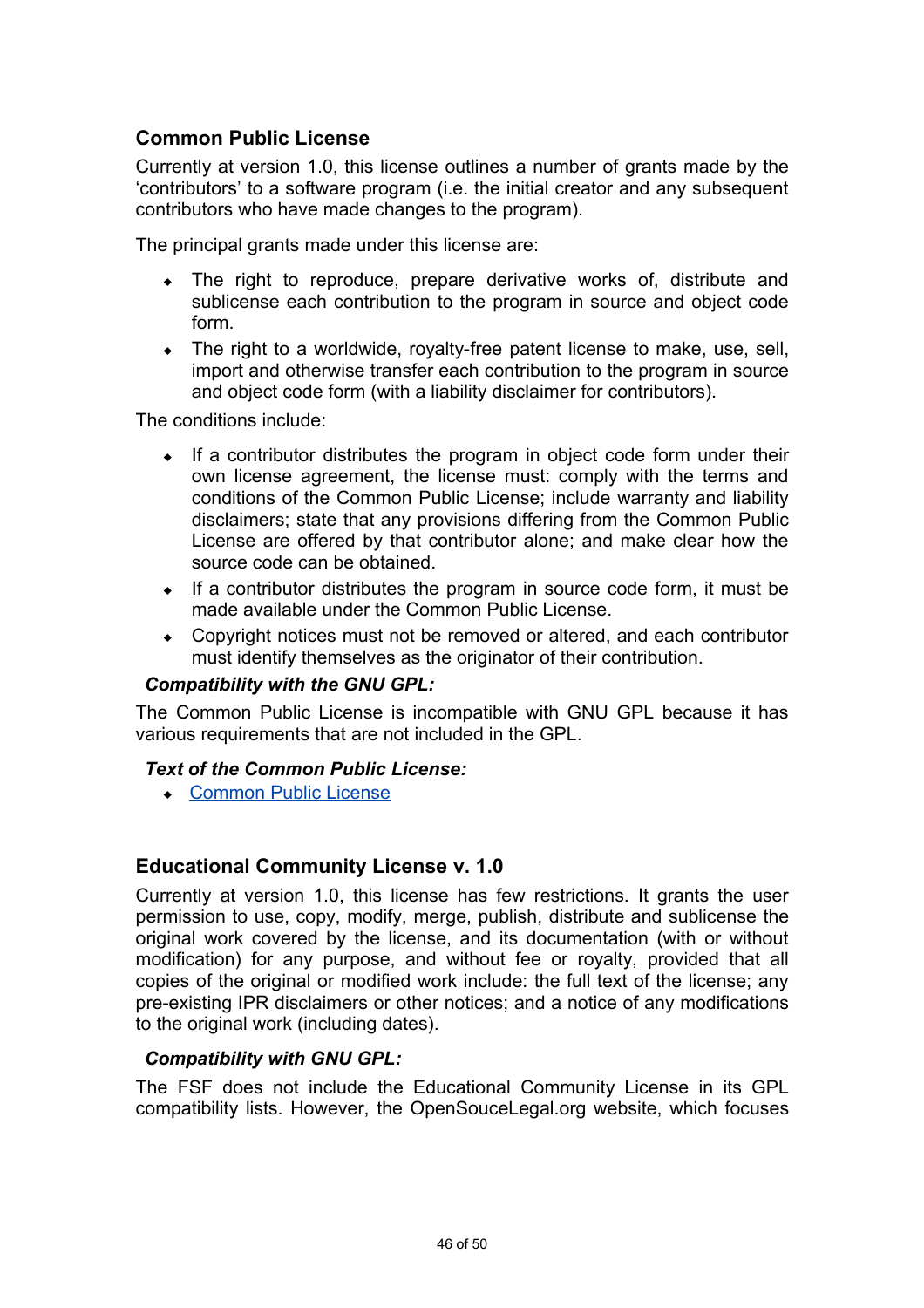## **Common Public License**

Currently at version 1.0, this license outlines a number of grants made by the 'contributors' to a software program (i.e. the initial creator and any subsequent contributors who have made changes to the program).

The principal grants made under this license are:

- The right to reproduce, prepare derivative works of, distribute and sublicense each contribution to the program in source and object code form.
- $\bullet$  The right to a worldwide, royalty-free patent license to make, use, sell, import and otherwise transfer each contribution to the program in source and object code form (with a liability disclaimer for contributors).

The conditions include:

- $\bullet$  If a contributor distributes the program in object code form under their own license agreement, the license must: comply with the terms and conditions of the Common Public License; include warranty and liability disclaimers; state that any provisions differing from the Common Public License are offered by that contributor alone; and make clear how the source code can be obtained.
- $\bullet$  If a contributor distributes the program in source code form, it must be made available under the Common Public License.
- Copyright notices must not be removed or altered, and each contributor must identify themselves as the originator of their contribution.

#### *Compatibility with the GNU GPL:*

The Common Public License is incompatible with GNU GPL because it has various requirements that are not included in the GPL.

#### *Text of the Common Public License:*

◆ [Common Public License](http://www.opensource.org/osi3.0/licenses/cpl1.0.php)

#### **Educational Community License v. 1.0**

Currently at version 1.0, this license has few restrictions. It grants the user permission to use, copy, modify, merge, publish, distribute and sublicense the original work covered by the license, and its documentation (with or without modification) for any purpose, and without fee or royalty, provided that all copies of the original or modified work include: the full text of the license; any pre-existing IPR disclaimers or other notices; and a notice of any modifications to the original work (including dates).

#### *Compatibility with GNU GPL:*

The FSF does not include the Educational Community License in its GPL compatibility lists. However, the OpenSouceLegal.org website, which focuses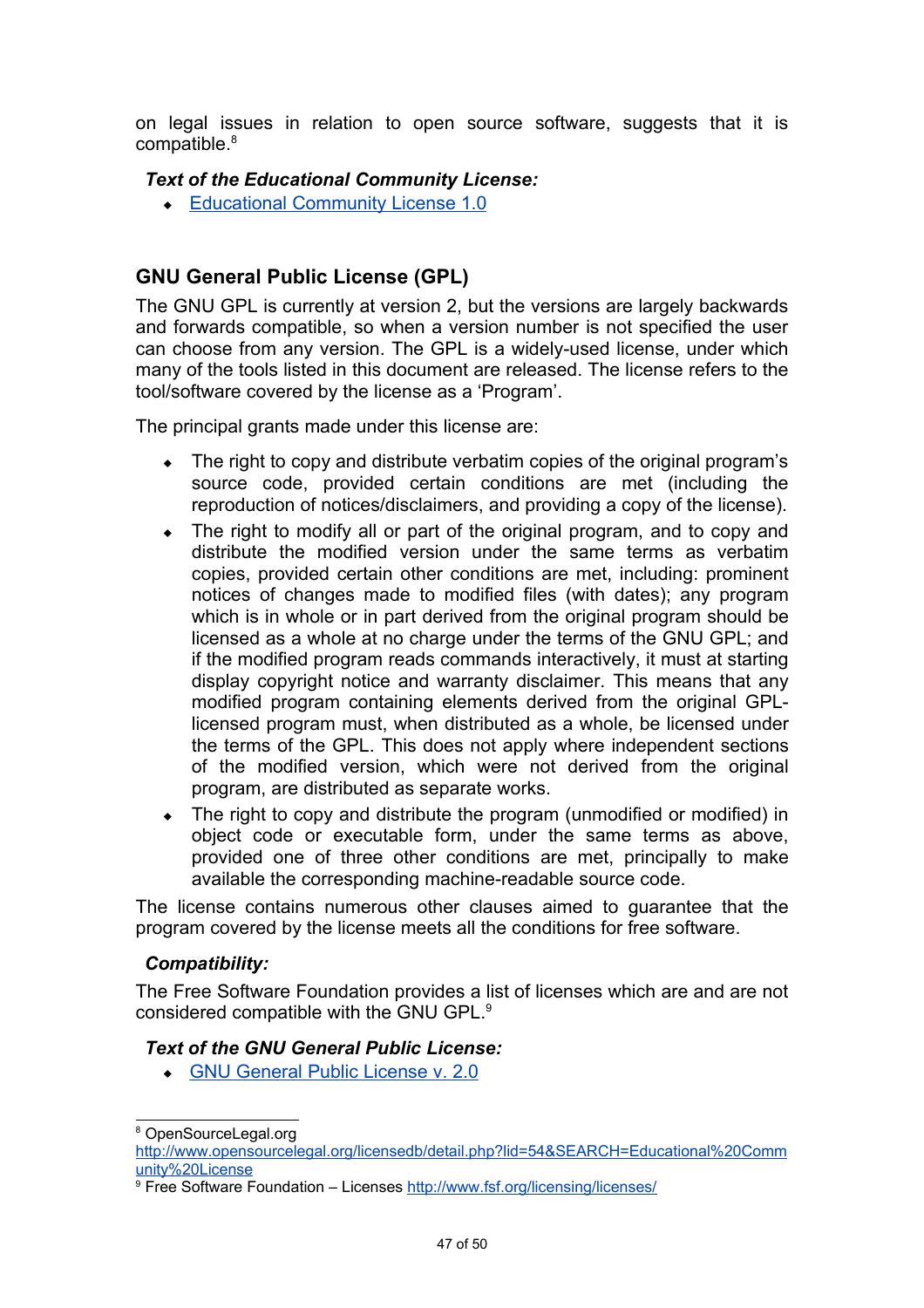on legal issues in relation to open source software, suggests that it is compatible.<sup>[8](#page-48-0)</sup>

#### *Text of the Educational Community License:*

◆ [Educational Community License 1.0](http://www.opensource.org/osi3.0/licenses/ecl1.php)

# **GNU General Public License (GPL)**

The GNU GPL is currently at version 2, but the versions are largely backwards and forwards compatible, so when a version number is not specified the user can choose from any version. The GPL is a widely-used license, under which many of the tools listed in this document are released. The license refers to the tool/software covered by the license as a 'Program'.

The principal grants made under this license are:

- The right to copy and distribute verbatim copies of the original program's source code, provided certain conditions are met (including the reproduction of notices/disclaimers, and providing a copy of the license).
- The right to modify all or part of the original program, and to copy and distribute the modified version under the same terms as verbatim copies, provided certain other conditions are met, including: prominent notices of changes made to modified files (with dates); any program which is in whole or in part derived from the original program should be licensed as a whole at no charge under the terms of the GNU GPL; and if the modified program reads commands interactively, it must at starting display copyright notice and warranty disclaimer. This means that any modified program containing elements derived from the original GPLlicensed program must, when distributed as a whole, be licensed under the terms of the GPL. This does not apply where independent sections of the modified version, which were not derived from the original program, are distributed as separate works.
- The right to copy and distribute the program (unmodified or modified) in object code or executable form, under the same terms as above, provided one of three other conditions are met, principally to make available the corresponding machine-readable source code.

The license contains numerous other clauses aimed to guarantee that the program covered by the license meets all the conditions for free software.

#### *Compatibility:*

The Free Software Foundation provides a list of licenses which are and are not considered compatible with the GNU GPL.[9](#page-48-1)

#### *Text of the GNU General Public License:*

 [GNU General Public License v. 2.0](http://www.opensource.org/osi3.0/licenses/gpl-license.php)

<span id="page-48-0"></span><sup>8</sup> OpenSourceLegal.org

[http://www.opensourcelegal.org/licensedb/detail.php?lid=54&SEARCH=Educational%20Comm](http://www.opensourcelegal.org/licensedb/detail.php?lid=54&SEARCH=Educational Community License) [unity%20License](http://www.opensourcelegal.org/licensedb/detail.php?lid=54&SEARCH=Educational Community License)

<span id="page-48-1"></span><sup>&</sup>lt;sup>9</sup> Free Software Foundation – Licenses<http://www.fsf.org/licensing/licenses/>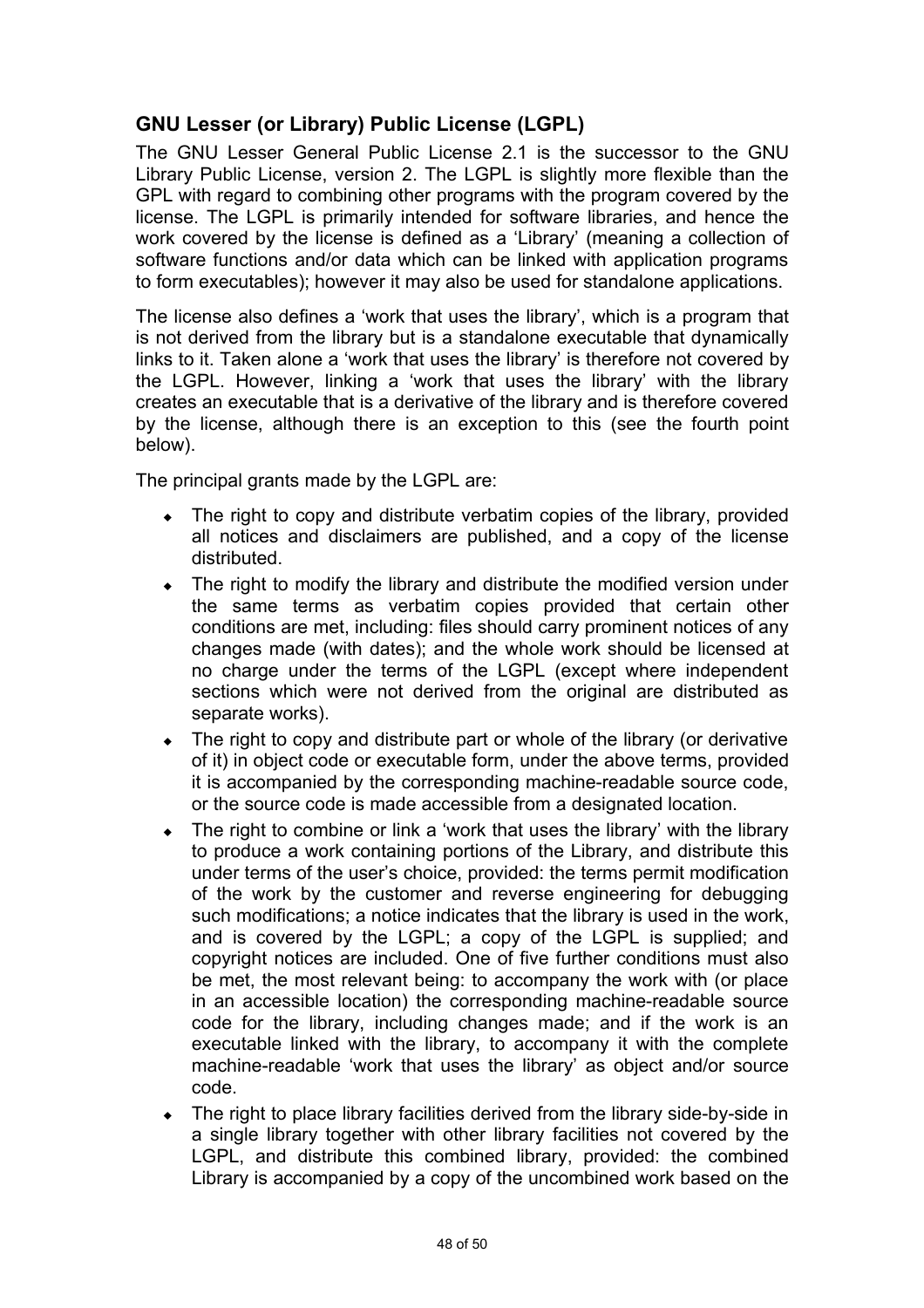# **GNU Lesser (or Library) Public License (LGPL)**

The GNU Lesser General Public License 2.1 is the successor to the GNU Library Public License, version 2. The LGPL is slightly more flexible than the GPL with regard to combining other programs with the program covered by the license. The LGPL is primarily intended for software libraries, and hence the work covered by the license is defined as a 'Library' (meaning a collection of software functions and/or data which can be linked with application programs to form executables); however it may also be used for standalone applications.

The license also defines a 'work that uses the library', which is a program that is not derived from the library but is a standalone executable that dynamically links to it. Taken alone a 'work that uses the library' is therefore not covered by the LGPL. However, linking a 'work that uses the library' with the library creates an executable that is a derivative of the library and is therefore covered by the license, although there is an exception to this (see the fourth point below).

The principal grants made by the LGPL are:

- The right to copy and distribute verbatim copies of the library, provided all notices and disclaimers are published, and a copy of the license distributed.
- The right to modify the library and distribute the modified version under the same terms as verbatim copies provided that certain other conditions are met, including: files should carry prominent notices of any changes made (with dates); and the whole work should be licensed at no charge under the terms of the LGPL (except where independent sections which were not derived from the original are distributed as separate works).
- The right to copy and distribute part or whole of the library (or derivative of it) in object code or executable form, under the above terms, provided it is accompanied by the corresponding machine-readable source code, or the source code is made accessible from a designated location.
- The right to combine or link a 'work that uses the library' with the library to produce a work containing portions of the Library, and distribute this under terms of the user's choice, provided: the terms permit modification of the work by the customer and reverse engineering for debugging such modifications; a notice indicates that the library is used in the work, and is covered by the LGPL; a copy of the LGPL is supplied; and copyright notices are included. One of five further conditions must also be met, the most relevant being: to accompany the work with (or place in an accessible location) the corresponding machine-readable source code for the library, including changes made; and if the work is an executable linked with the library, to accompany it with the complete machine-readable 'work that uses the library' as object and/or source code.
- The right to place library facilities derived from the library side-by-side in a single library together with other library facilities not covered by the LGPL, and distribute this combined library, provided: the combined Library is accompanied by a copy of the uncombined work based on the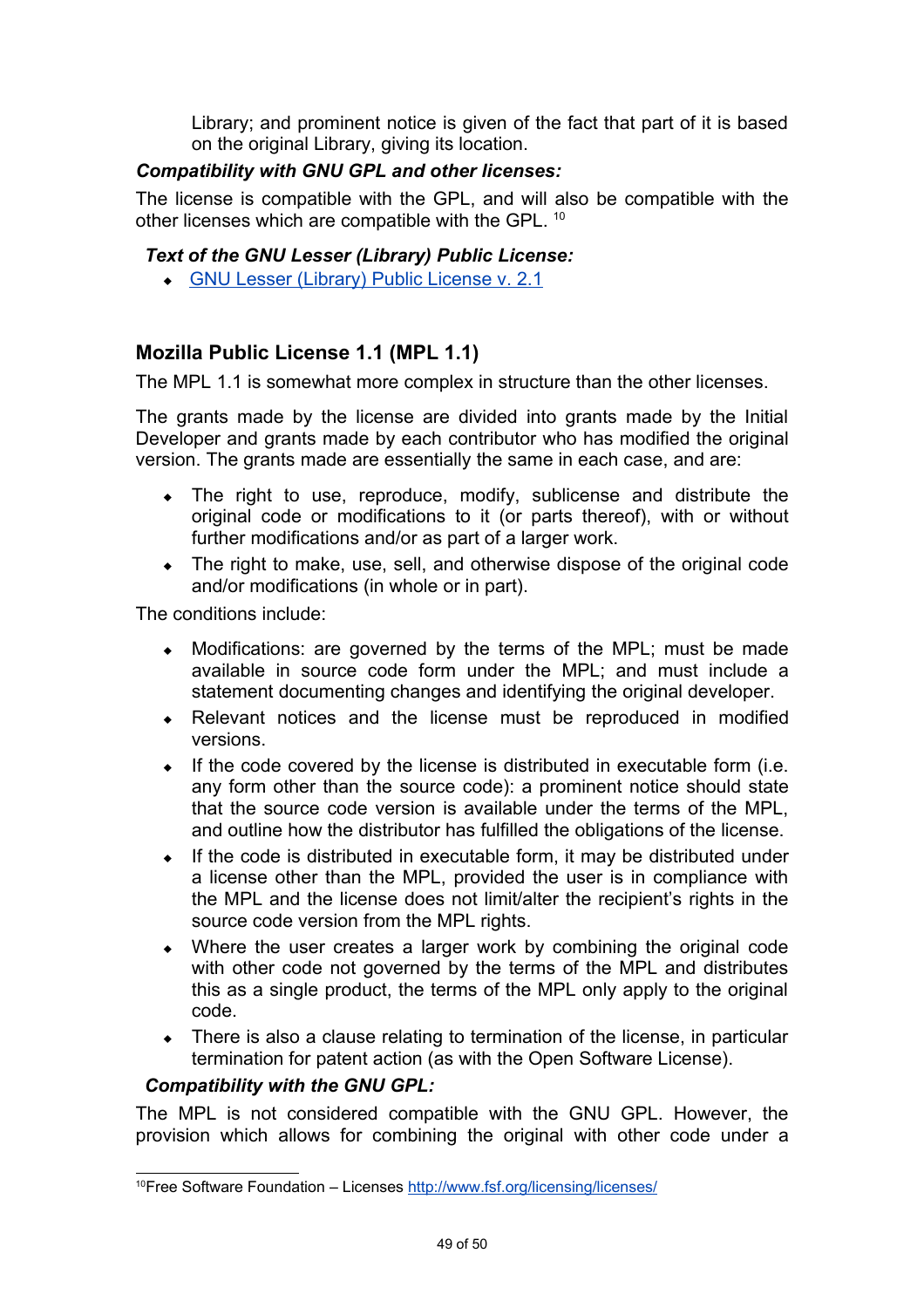Library; and prominent notice is given of the fact that part of it is based on the original Library, giving its location.

### *Compatibility with GNU GPL and other licenses:*

The license is compatible with the GPL, and will also be compatible with the other licenses which are compatible with the GPL. <sup>[10](#page-50-0)</sup>

#### *Text of the GNU Lesser (Library) Public License:*

 [GNU Lesser \(Library\) Public License v. 2.1](http://www.opensource.org/osi3.0/licenses/lgpl-license.php)

### **Mozilla Public License 1.1 (MPL 1.1)**

The MPL 1.1 is somewhat more complex in structure than the other licenses.

The grants made by the license are divided into grants made by the Initial Developer and grants made by each contributor who has modified the original version. The grants made are essentially the same in each case, and are:

- The right to use, reproduce, modify, sublicense and distribute the original code or modifications to it (or parts thereof), with or without further modifications and/or as part of a larger work.
- The right to make, use, sell, and otherwise dispose of the original code and/or modifications (in whole or in part).

The conditions include:

- Modifications: are governed by the terms of the MPL; must be made available in source code form under the MPL; and must include a statement documenting changes and identifying the original developer.
- Relevant notices and the license must be reproduced in modified versions.
- $\bullet$  If the code covered by the license is distributed in executable form (i.e. any form other than the source code): a prominent notice should state that the source code version is available under the terms of the MPL, and outline how the distributor has fulfilled the obligations of the license.
- $\bullet$  If the code is distributed in executable form, it may be distributed under a license other than the MPL, provided the user is in compliance with the MPL and the license does not limit/alter the recipient's rights in the source code version from the MPL rights.
- Where the user creates a larger work by combining the original code with other code not governed by the terms of the MPL and distributes this as a single product, the terms of the MPL only apply to the original code.
- There is also a clause relating to termination of the license, in particular termination for patent action (as with the Open Software License).

#### *Compatibility with the GNU GPL:*

The MPL is not considered compatible with the GNU GPL. However, the provision which allows for combining the original with other code under a

<span id="page-50-0"></span><sup>&</sup>lt;sup>10</sup>Free Software Foundation – Licenses<http://www.fsf.org/licensing/licenses/>